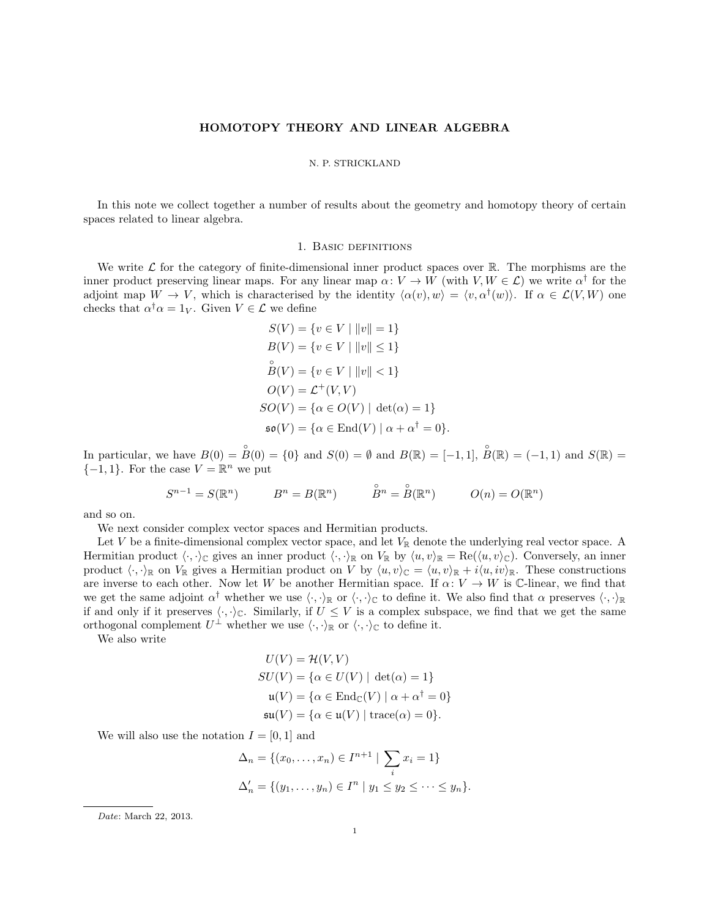# HOMOTOPY THEORY AND LINEAR ALGEBRA

#### N. P. STRICKLAND

In this note we collect together a number of results about the geometry and homotopy theory of certain spaces related to linear algebra.

## 1. Basic definitions

We write  $\mathcal L$  for the category of finite-dimensional inner product spaces over  $\mathbb R$ . The morphisms are the inner product preserving linear maps. For any linear map  $\alpha: V \to W$  (with  $V, W \in \mathcal{L}$ ) we write  $\alpha^{\dagger}$  for the adjoint map  $W \to V$ , which is characterised by the identity  $\langle \alpha(v), w \rangle = \langle v, \alpha^{\dagger}(w) \rangle$ . If  $\alpha \in \mathcal{L}(V, W)$  one checks that  $\alpha^{\dagger} \alpha = 1_V$ . Given  $V \in \mathcal{L}$  we define

$$
S(V) = \{v \in V \mid ||v|| = 1\}
$$
  
\n
$$
B(V) = \{v \in V \mid ||v|| \le 1\}
$$
  
\n
$$
\overset{\circ}{B}(V) = \{v \in V \mid ||v|| < 1\}
$$
  
\n
$$
O(V) = \mathcal{L}^+(V, V)
$$
  
\n
$$
SO(V) = \{\alpha \in O(V) \mid \det(\alpha) = 1\}
$$
  
\n
$$
\mathfrak{so}(V) = \{\alpha \in \text{End}(V) \mid \alpha + \alpha^{\dagger} = 0\}.
$$

In particular, we have  $B(0) = \overset{\circ}{B}(0) = \{0\}$  and  $S(0) = \emptyset$  and  $B(\mathbb{R}) = [-1,1], \overset{\circ}{B}(\mathbb{R}) = (-1,1)$  and  $S(\mathbb{R}) =$  $\{-1,1\}$ . For the case  $V = \mathbb{R}^n$  we put

$$
S^{n-1} = S(\mathbb{R}^n) \qquad \qquad B^n = B(\mathbb{R}^n) \qquad \qquad \overset{\circ}{B^n} = \overset{\circ}{B}(\mathbb{R}^n) \qquad \qquad O(n) = O(\mathbb{R}^n)
$$

and so on.

We next consider complex vector spaces and Hermitian products.

Let V be a finite-dimensional complex vector space, and let  $V_{\mathbb{R}}$  denote the underlying real vector space. A Hermitian product  $\langle \cdot, \cdot \rangle_{\mathbb{C}}$  gives an inner product  $\langle \cdot, \cdot \rangle_{\mathbb{R}}$  on  $V_{\mathbb{R}}$  by  $\langle u, v \rangle_{\mathbb{R}} = \text{Re}(\langle u, v \rangle_{\mathbb{C}})$ . Conversely, an inner product  $\langle \cdot, \cdot \rangle_{\mathbb{R}}$  on  $V_{\mathbb{R}}$  gives a Hermitian product on V by  $\langle u, v \rangle_{\mathbb{C}} = \langle u, v \rangle_{\mathbb{R}} + i \langle u, iv \rangle_{\mathbb{R}}$ . These constructions are inverse to each other. Now let W be another Hermitian space. If  $\alpha: V \to W$  is C-linear, we find that we get the same adjoint  $\alpha^{\dagger}$  whether we use  $\langle \cdot, \cdot \rangle_{\mathbb{R}}$  or  $\langle \cdot, \cdot \rangle_{\mathbb{C}}$  to define it. We also find that  $\alpha$  preserves  $\langle \cdot, \cdot \rangle_{\mathbb{R}}$ if and only if it preserves  $\langle \cdot, \cdot \rangle_{\mathbb{C}}$ . Similarly, if  $U \leq V$  is a complex subspace, we find that we get the same orthogonal complement  $U^{\perp}$  whether we use  $\langle \cdot, \cdot \rangle_{\mathbb{R}}$  or  $\langle \cdot, \cdot \rangle_{\mathbb{C}}$  to define it.

We also write

$$
U(V) = \mathcal{H}(V, V)
$$
  
\n
$$
SU(V) = \{ \alpha \in U(V) \mid \det(\alpha) = 1 \}
$$
  
\n
$$
\mathfrak{u}(V) = \{ \alpha \in \text{End}_{\mathbb{C}}(V) \mid \alpha + \alpha^{\dagger} = 0 \}
$$
  
\n
$$
\mathfrak{su}(V) = \{ \alpha \in \mathfrak{u}(V) \mid \text{trace}(\alpha) = 0 \}.
$$

We will also use the notation  $I = [0, 1]$  and

$$
\Delta_n = \{(x_0, \dots, x_n) \in I^{n+1} \mid \sum_i x_i = 1\}
$$
  

$$
\Delta'_n = \{(y_1, \dots, y_n) \in I^n \mid y_1 \le y_2 \le \dots \le y_n\}.
$$

Date: March 22, 2013.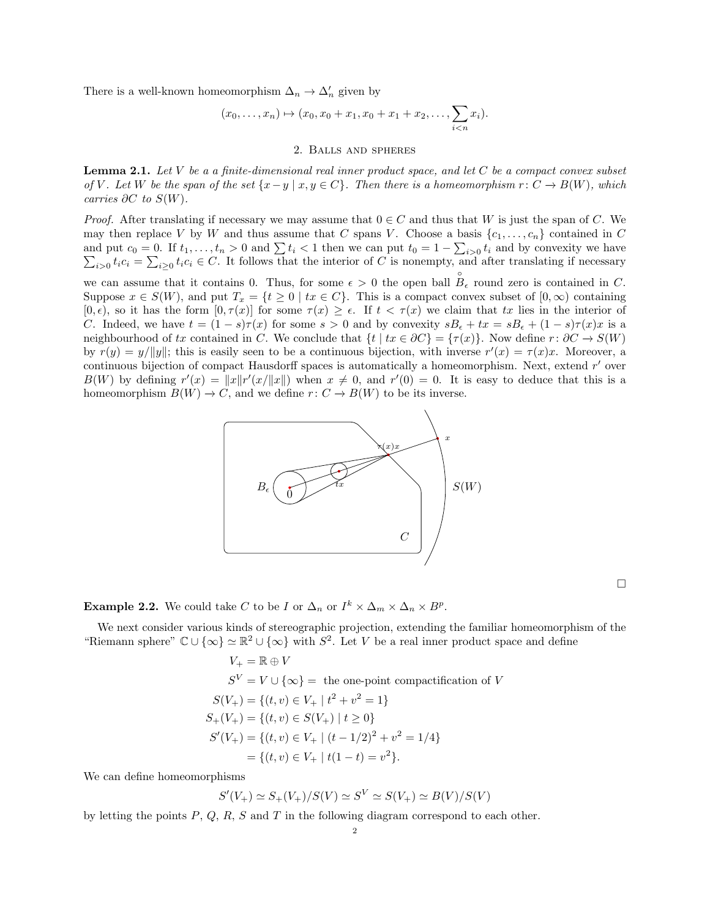There is a well-known homeomorphism  $\Delta_n \to \Delta_n'$  given by

$$
(x_0,...,x_n) \mapsto (x_0,x_0+x_1,x_0+x_1+x_2,...,\sum_{i
$$

#### 2. Balls and spheres

**Lemma 2.1.** Let  $V$  be a a finite-dimensional real inner product space, and let  $C$  be a compact convex subset of V. Let W be the span of the set  $\{x-y \mid x, y \in C\}$ . Then there is a homeomorphism  $r: C \to B(W)$ , which carries  $\partial C$  to  $S(W)$ .

*Proof.* After translating if necessary we may assume that  $0 \in C$  and thus that W is just the span of C. We may then replace V by W and thus assume that C spans V. Choose a basis  $\{c_1, \ldots, c_n\}$  contained in C and put  $c_0 = 0$ . If  $t_1, \ldots, t_n > 0$  and  $\sum t_i < 1$  then we can put  $t_0 = 1 - \sum_{i>0}$ <br> $\sum_{i>0} t_i c_i = \sum_{i>0} t_i c_i \in C$ . It follows that the interior of C is nonempty, and  $t_i$  and by convexity we have  $i>0$   $t_ic_i = \sum_{i\geq 0} t_ic_i \in C$ . It follows that the interior of C is nonempty, and after translating if necessary

we can assume that it contains 0. Thus, for some  $\epsilon > 0$  the open ball  $B_{\epsilon}$  round zero is contained in C. Suppose  $x \in S(W)$ , and put  $T_x = \{t \geq 0 \mid tx \in C\}$ . This is a compact convex subset of  $[0, \infty)$  containing  $[0, \epsilon)$ , so it has the form  $[0, \tau(x)]$  for some  $\tau(x) \geq \epsilon$ . If  $t < \tau(x)$  we claim that tx lies in the interior of C. Indeed, we have  $t = (1 - s)\tau(x)$  for some  $s > 0$  and by convexity  $sB_\epsilon + tx = sB_\epsilon + (1 - s)\tau(x)x$  is a neighbourhood of tx contained in C. We conclude that  $\{t \mid tx \in \partial C\} = \{\tau(x)\}\.$  Now define  $r : \partial C \to S(W)$ by  $r(y) = y/||y||$ ; this is easily seen to be a continuous bijection, with inverse  $r'(x) = \tau(x)x$ . Moreover, a continuous bijection of compact Hausdorff spaces is automatically a homeomorphism. Next, extend  $r'$  over  $B(W)$  by defining  $r'(x) = ||x||r'(x/||x||)$  when  $x \neq 0$ , and  $r'(0) = 0$ . It is easy to deduce that this is a homeomorphism  $B(W) \to C$ , and we define  $r: C \to B(W)$  to be its inverse.



**Example 2.2.** We could take C to be I or  $\Delta_n$  or  $I^k \times \Delta_m \times \Delta_n \times B^p$ .

We next consider various kinds of stereographic projection, extending the familiar homeomorphism of the "Riemann sphere"  $\mathbb{C} \cup \{\infty\} \simeq \mathbb{R}^2 \cup \{\infty\}$  with  $S^2$ . Let V be a real inner product space and define

$$
V_{+} = \mathbb{R} \oplus V
$$
  
\n
$$
S^{V} = V \cup \{\infty\} = \text{ the one-point compactification of } V
$$
  
\n
$$
S(V_{+}) = \{(t, v) \in V_{+} \mid t^{2} + v^{2} = 1\}
$$
  
\n
$$
S_{+}(V_{+}) = \{(t, v) \in S(V_{+}) \mid t \ge 0\}
$$
  
\n
$$
S'(V_{+}) = \{(t, v) \in V_{+} \mid (t - 1/2)^{2} + v^{2} = 1/4\}
$$
  
\n
$$
= \{(t, v) \in V_{+} \mid t(1 - t) = v^{2}\}.
$$

We can define homeomorphisms

$$
S'(V_+) \simeq S_+(V_+)/S(V) \simeq S^V \simeq S(V_+) \simeq B(V)/S(V)
$$

by letting the points  $P, Q, R, S$  and  $T$  in the following diagram correspond to each other.

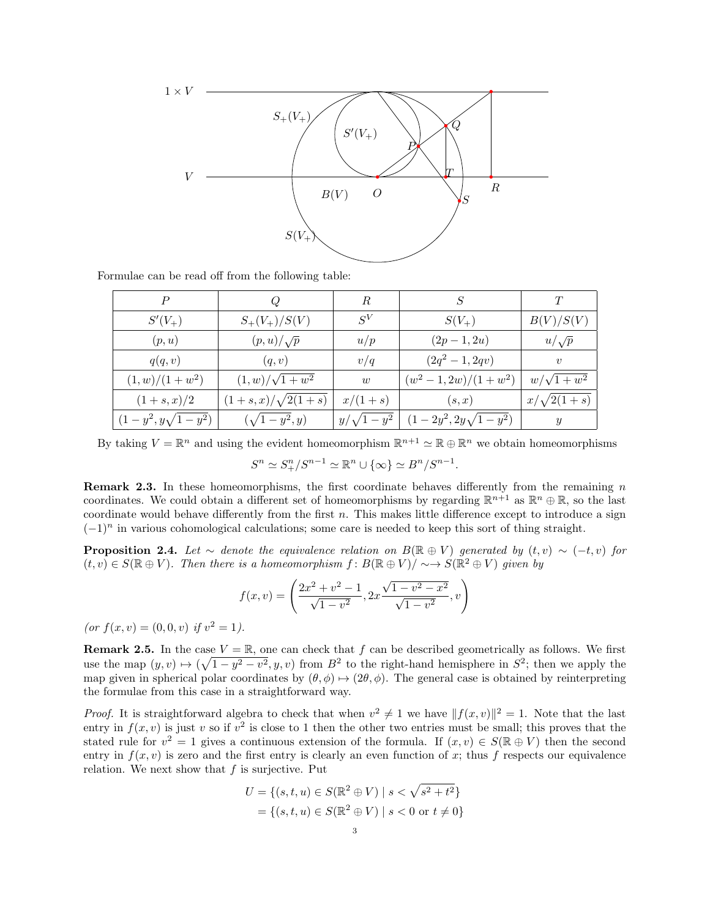

Formulae can be read off from the following table:

| P                        |                                | R                | S                          |                   |
|--------------------------|--------------------------------|------------------|----------------------------|-------------------|
| $S'(V_+)$                | $S_{+}(V_{+})/S(V)$            | $S^V$            | $S(V_+)$                   | B(V)/S(V)         |
| (p, u)                   | $(p, u)/\sqrt{p}$              | u/p              | $(2p-1, 2u)$               | $u/\sqrt{p}$      |
| q(q, v)                  | (q, v)                         | v/q              | $(2q^2 - 1, 2qv)$          | $\boldsymbol{v}$  |
| $(1, w)/(1 + w^2)$       | $(1, w)/\sqrt{1 + w^2}$        | w                | $(w^2-1, 2w)/(1+w^2)$      | $w/\sqrt{1+w^2}$  |
| $(1 + s, x)/2$           | $(1 + s, x) / \sqrt{2(1 + s)}$ | $x/(1+s)$        | (s,x)                      | $x/\sqrt{2(1+s)}$ |
| $(1-y^2, y\sqrt{1-y^2})$ | $(\sqrt{1-y^2},y)$             | $y/\sqrt{1-y^2}$ | $(1-2y^2, 2y\sqrt{1-y^2})$ | $\boldsymbol{y}$  |

By taking  $V = \mathbb{R}^n$  and using the evident homeomorphism  $\mathbb{R}^{n+1} \simeq \mathbb{R} \oplus \mathbb{R}^n$  we obtain homeomorphisms  $S^n \simeq S^n_+/S^{n-1} \simeq \mathbb{R}^n \cup {\infty} \simeq B^n/S^{n-1}.$ 

**Remark 2.3.** In these homeomorphisms, the first coordinate behaves differently from the remaining  $n$ coordinates. We could obtain a different set of homeomorphisms by regarding  $\mathbb{R}^{n+1}$  as  $\mathbb{R}^n \oplus \mathbb{R}$ , so the last coordinate would behave differently from the first  $n$ . This makes little difference except to introduce a sign  $(-1)^n$  in various cohomological calculations; some care is needed to keep this sort of thing straight.

**Proposition 2.4.** Let  $\sim$  denote the equivalence relation on B( $\mathbb{R} \oplus V$ ) generated by  $(t, v) \sim (-t, v)$  for  $(t, v) \in S(\mathbb{R} \oplus V)$ . Then there is a homeomorphism  $f: B(\mathbb{R} \oplus V)/ \sim \rightarrow S(\mathbb{R}^2 \oplus V)$  given by

$$
f(x,v) = \left(\frac{2x^2 + v^2 - 1}{\sqrt{1 - v^2}}, 2x \frac{\sqrt{1 - v^2 - x^2}}{\sqrt{1 - v^2}}, v\right)
$$

(or  $f(x, v) = (0, 0, v)$  if  $v^2 = 1$ ).

**Remark 2.5.** In the case  $V = \mathbb{R}$ , one can check that f can be described geometrically as follows. We first use the map  $(y, v) \mapsto (\sqrt{1 - y^2 - v^2}, y, v)$  from  $B^2$  to the right-hand hemisphere in  $S^2$ ; then we apply the map given in spherical polar coordinates by  $(\theta, \phi) \mapsto (2\theta, \phi)$ . The general case is obtained by reinterpreting the formulae from this case in a straightforward way.

*Proof.* It is straightforward algebra to check that when  $v^2 \neq 1$  we have  $||f(x, v)||^2 = 1$ . Note that the last entry in  $f(x, v)$  is just v so if  $v^2$  is close to 1 then the other two entries must be small; this proves that the stated rule for  $v^2 = 1$  gives a continuous extension of the formula. If  $(x, v) \in S(\mathbb{R} \oplus V)$  then the second entry in  $f(x, v)$  is zero and the first entry is clearly an even function of x; thus f respects our equivalence relation. We next show that  $f$  is surjective. Put

$$
U = \{(s, t, u) \in S(\mathbb{R}^2 \oplus V) \mid s < \sqrt{s^2 + t^2}\}\
$$

$$
= \{(s, t, u) \in S(\mathbb{R}^2 \oplus V) \mid s < 0 \text{ or } t \neq 0\}
$$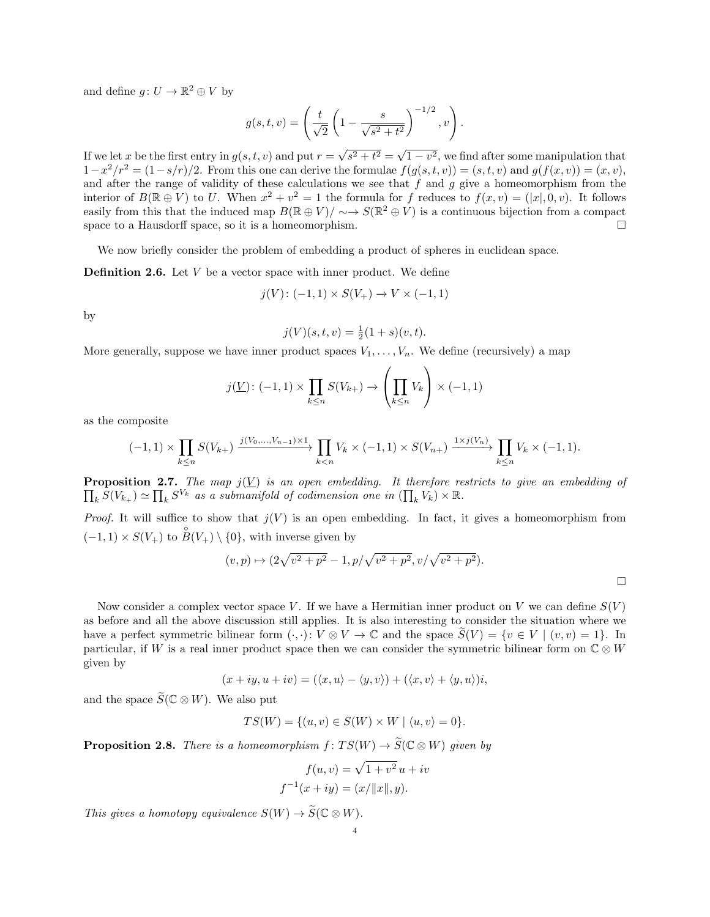and define  $g: U \to \mathbb{R}^2 \oplus V$  by

$$
g(s,t,v) = \left(\frac{t}{\sqrt{2}}\left(1 - \frac{s}{\sqrt{s^2 + t^2}}\right)^{-1/2}, v\right).
$$

If we let x be the first entry in  $g(s,t,v)$  and put  $r =$  $\sqrt{s^2 + t^2} = \sqrt{ }$  $\overline{1-v^2}$ , we find after some manipulation that  $1-x^2/r^2 = (1-s/r)/2$ . From this one can derive the formulae  $f(g(s,t,v)) = (s,t,v)$  and  $g(f(x,v)) = (x,v)$ , and after the range of validity of these calculations we see that  $f$  and  $g$  give a homeomorphism from the interior of  $B(\mathbb{R} \oplus V)$  to U. When  $x^2 + v^2 = 1$  the formula for f reduces to  $f(x, v) = (x, 0, v)$ . It follows easily from this that the induced map  $B(\mathbb{R} \oplus V)/\sim \to S(\mathbb{R}^2 \oplus V)$  is a continuous bijection from a compact space to a Hausdorff space, so it is a homeomorphism.

We now briefly consider the problem of embedding a product of spheres in euclidean space.

**Definition 2.6.** Let  $V$  be a vector space with inner product. We define

$$
j(V)
$$
:  $(-1,1) \times S(V_+) \to V \times (-1,1)$ 

by

$$
j(V)(s,t,v) = \frac{1}{2}(1+s)(v,t).
$$

More generally, suppose we have inner product spaces  $V_1, \ldots, V_n$ . We define (recursively) a map

$$
j(\underline{V}) \colon (-1,1) \times \prod_{k \le n} S(V_{k+}) \to \left(\prod_{k \le n} V_k\right) \times (-1,1)
$$

as the composite

$$
(-1,1) \times \prod_{k \leq n} S(V_{k+}) \xrightarrow{j(V_0,\ldots,V_{n-1}) \times 1} \prod_{k < n} V_k \times (-1,1) \times S(V_{n+}) \xrightarrow{1 \times j(V_n)} \prod_{k \leq n} V_k \times (-1,1).
$$

**Proposition 2.7.** The map  $j(V)$  is an open embedding. It therefore restricts to give an embedding of  $\prod_k S(V_{k_+}) \simeq \prod_k S^{V_k}$  as a submanifold of codimension one in  $(\prod_k V_k) \times \mathbb{R}$ .

*Proof.* It will suffice to show that  $j(V)$  is an open embedding. In fact, it gives a homeomorphism from  $(-1, 1) \times S(V_+)$  to  $\overset{\circ}{B}(V_+) \setminus \{0\}$ , with inverse given by

$$
(v, p) \mapsto (2\sqrt{v^2 + p^2} - 1, p/\sqrt{v^2 + p^2}, v/\sqrt{v^2 + p^2}).
$$

Now consider a complex vector space V. If we have a Hermitian inner product on V we can define  $S(V)$ as before and all the above discussion still applies. It is also interesting to consider the situation where we have a perfect symmetric bilinear form  $(\cdot, \cdot): V \otimes V \to \mathbb{C}$  and the space  $\tilde{S}(V) = \{v \in V \mid (v, v) = 1\}$ . In particular, if W is a real inner product space then we can consider the symmetric bilinear form on  $\mathbb{C} \otimes W$ given by

$$
(x+iy, u+iv) = (\langle x, u \rangle - \langle y, v \rangle) + (\langle x, v \rangle + \langle y, u \rangle)i,
$$

and the space  $\widetilde{S}(\mathbb{C} \otimes W)$ . We also put

$$
TS(W) = \{(u, v) \in S(W) \times W \mid \langle u, v \rangle = 0\}.
$$

**Proposition 2.8.** There is a homeomorphism  $f: TS(W) \to \widetilde{S}(\mathbb{C} \otimes W)$  given by

$$
f(u, v) = \sqrt{1 + v^2} u + iv
$$
  

$$
f^{-1}(x + iy) = (x/||x||, y).
$$

This gives a homotopy equivalence  $S(W) \to \widetilde{S}(\mathbb{C} \otimes W)$ .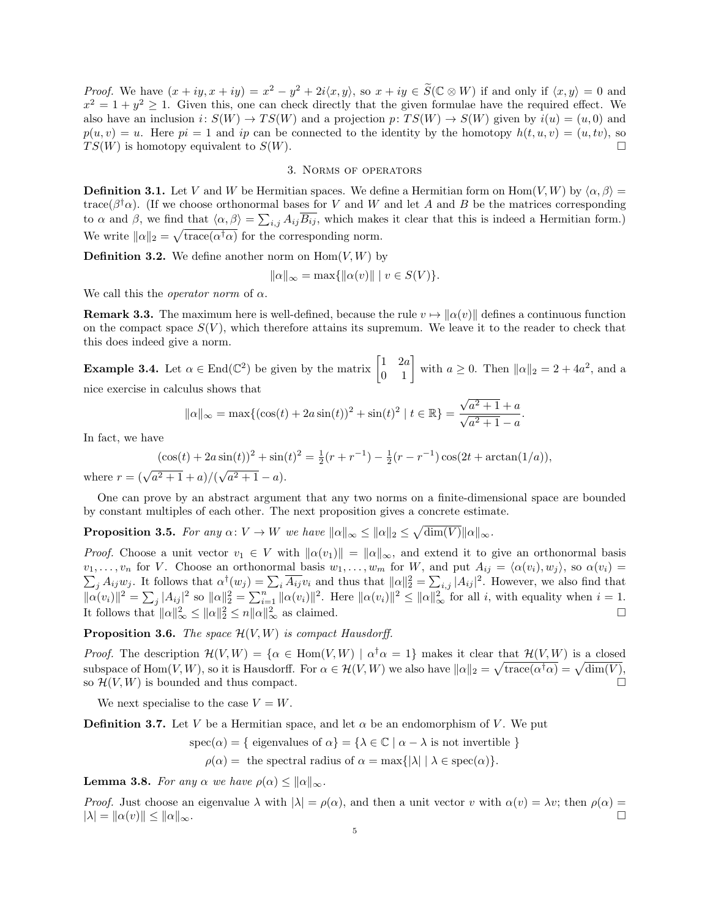*Proof.* We have  $(x+iy, x+iy) = x^2 - y^2 + 2i\langle x, y \rangle$ , so  $x+iy \in \widetilde{S}(\mathbb{C} \otimes W)$  if and only if  $\langle x, y \rangle = 0$  and  $x^2 = 1 + y^2 \ge 1$ . Given this, one can check directly that the given formulae have the required effect. We also have an inclusion  $i: S(W) \to TS(W)$  and a projection  $p: TS(W) \to S(W)$  given by  $i(u) = (u, 0)$  and  $p(u, v) = u$ . Here  $pi = 1$  and ip can be connected to the identity by the homotopy  $h(t, u, v) = (u, tv)$ , so  $TS(W)$  is homotopy equivalent to  $S(W)$ .

# 3. Norms of operators

**Definition 3.1.** Let V and W be Hermitian spaces. We define a Hermitian form on Hom $(V, W)$  by  $\langle \alpha, \beta \rangle =$ trace( $\beta^{\dagger}\alpha$ ). (If we choose orthonormal bases for V and W and let A and B be the matrices corresponding to  $\alpha$  and  $\beta$ , we find that  $\langle \alpha, \beta \rangle = \sum_{i,j} A_{ij} \overline{B_{ij}}$ , which makes it clear that this is indeed a Hermitian form.) We write  $\|\alpha\|_2 = \sqrt{\text{trace}(\alpha^{\dagger}\alpha)}$  for the corresponding norm.

**Definition 3.2.** We define another norm on  $\text{Hom}(V, W)$  by

$$
\|\alpha\|_{\infty} = \max\{\|\alpha(v)\| \mid v \in S(V)\}.
$$

We call this the *operator norm* of  $\alpha$ .

**Remark 3.3.** The maximum here is well-defined, because the rule  $v \mapsto ||\alpha(v)||$  defines a continuous function on the compact space  $S(V)$ , which therefore attains its supremum. We leave it to the reader to check that this does indeed give a norm.

**Example 3.4.** Let  $\alpha \in \text{End}(\mathbb{C}^2)$  be given by the matrix  $\begin{bmatrix} 1 & 2a \\ 0 & 1 \end{bmatrix}$  with  $a \ge 0$ . Then  $\|\alpha\|_2 = 2 + 4a^2$ , and a nice exercise in calculus shows that

$$
\|\alpha\|_{\infty} = \max\{(\cos(t) + 2a\sin(t))^2 + \sin(t)^2 \mid t \in \mathbb{R}\} = \frac{\sqrt{a^2 + 1} + a}{\sqrt{a^2 + 1} - a}.
$$

In fact, we have

$$
(\cos(t) + 2a\sin(t))^2 + \sin(t)^2 = \frac{1}{2}(r + r^{-1}) - \frac{1}{2}(r - r^{-1})\cos(2t + \arctan(1/a)),
$$

where  $r = (\sqrt{a^2 + 1} + a)/(\sqrt{a^2 + 1})$  $a^2 + 1 - a$ .

One can prove by an abstract argument that any two norms on a finite-dimensional space are bounded by constant multiples of each other. The next proposition gives a concrete estimate.

**Proposition 3.5.** For any  $\alpha: V \to W$  we have  $\|\alpha\|_{\infty} \le \|\alpha\|_2 \le \sqrt{\dim(V)} \|\alpha\|_{\infty}$ .

*Proof.* Choose a unit vector  $v_1 \in V$  with  $\|\alpha(v_1)\| = \|\alpha\|_{\infty}$ , and extend it to give an orthonormal basis  $v_1, \ldots, v_n$  for V. Choose an orthonormal basis  $w_1, \ldots, w_m$  for W, and put  $A_{ij} = \langle \alpha(v_i), w_j \rangle$ , so  $\alpha(v_i) =$  $\sum_j A_{ij}w_j$ . It follows that  $\alpha^{\dagger}(w_j) = \sum_i \overline{A_{ij}}v_i$  and thus that  $\|\alpha\|_2^2 = \sum_{i,j} |A_{ij}|^2$ . However, we also find that  $\|\alpha(v_i)\|^2 = \sum_j |A_{ij}|^2$  so  $\|\alpha\|_2^2 = \sum_{i=1}^n \|\alpha(v_i)\|^2$ . Here  $\|\alpha(v_i)\|^2 \le \|\alpha\|_{\infty}^2$  for all i, with equality when  $i = 1$ . It follows that  $\|\alpha\|_{\infty}^2 \le \|\alpha\|_2^2 \le n \|\alpha\|_{\infty}^2$  $\frac{2}{\infty}$  as claimed.

**Proposition 3.6.** The space  $\mathcal{H}(V, W)$  is compact Hausdorff.

*Proof.* The description  $\mathcal{H}(V, W) = \{ \alpha \in \text{Hom}(V, W) \mid \alpha^{\dagger} \alpha = 1 \}$  makes it clear that  $\mathcal{H}(V, W)$  is a closed subspace of  $\text{Hom}(V, W)$ , so it is Hausdorff. For  $\alpha \in \mathcal{H}(V, W)$  we also have  $\|\alpha\|_2 = \sqrt{\text{trace}(\alpha^{\dagger}\alpha)} = \sqrt{\text{dim}(V)}$ , so  $\mathcal{H}(V, W)$  is bounded and thus compact.

We next specialise to the case  $V = W$ .

**Definition 3.7.** Let V be a Hermitian space, and let  $\alpha$  be an endomorphism of V. We put

$$
spec(\alpha) = \{ \text{ eigenvalues of } \alpha \} = \{ \lambda \in \mathbb{C} \mid \alpha - \lambda \text{ is not invertible } \}
$$

 $\rho(\alpha) =$  the spectral radius of  $\alpha = \max\{|\lambda| \mid \lambda \in \text{spec}(\alpha)\}.$ 

**Lemma 3.8.** For any  $\alpha$  we have  $\rho(\alpha) \leq ||\alpha||_{\infty}$ .

*Proof.* Just choose an eigenvalue  $\lambda$  with  $|\lambda| = \rho(\alpha)$ , and then a unit vector v with  $\alpha(v) = \lambda v$ ; then  $\rho(\alpha) =$  $|\lambda| = \|\alpha(v)\| \le \|\alpha\|_{\infty}$ .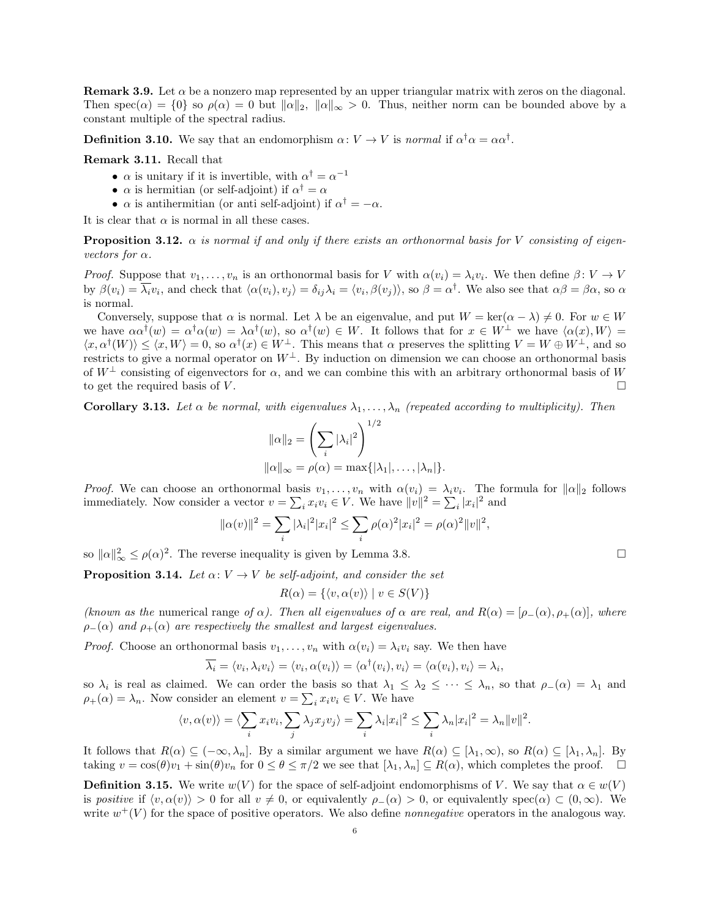**Remark 3.9.** Let  $\alpha$  be a nonzero map represented by an upper triangular matrix with zeros on the diagonal. Then spec( $\alpha$ ) = {0} so  $\rho(\alpha) = 0$  but  $\|\alpha\|_2$ ,  $\|\alpha\|_{\infty} > 0$ . Thus, neither norm can be bounded above by a constant multiple of the spectral radius.

**Definition 3.10.** We say that an endomorphism  $\alpha: V \to V$  is normal if  $\alpha^{\dagger} \alpha = \alpha \alpha^{\dagger}$ .

Remark 3.11. Recall that

- $\alpha$  is unitary if it is invertible, with  $\alpha^{\dagger} = \alpha^{-1}$
- $\alpha$  is hermitian (or self-adjoint) if  $\alpha^{\dagger} = \alpha$
- $\alpha$  is antihermitian (or anti self-adjoint) if  $\alpha^{\dagger} = -\alpha$ .

It is clear that  $\alpha$  is normal in all these cases.

**Proposition 3.12.**  $\alpha$  is normal if and only if there exists an orthonormal basis for V consisting of eigenvectors for  $\alpha$ .

*Proof.* Suppose that  $v_1, \ldots, v_n$  is an orthonormal basis for V with  $\alpha(v_i) = \lambda_i v_i$ . We then define  $\beta: V \to V$ by  $\beta(v_i) = \overline{\lambda_i} v_i$ , and check that  $\langle \alpha(v_i), v_j \rangle = \delta_{ij} \lambda_i = \langle v_i, \beta(v_j) \rangle$ , so  $\beta = \alpha^{\dagger}$ . We also see that  $\alpha \beta = \beta \alpha$ , so  $\alpha$ is normal.

Conversely, suppose that  $\alpha$  is normal. Let  $\lambda$  be an eigenvalue, and put  $W = \text{ker}(\alpha - \lambda) \neq 0$ . For  $w \in W$ we have  $\alpha \alpha^{\dagger}(w) = \alpha^{\dagger} \alpha(w) = \lambda \alpha^{\dagger}(w)$ , so  $\alpha^{\dagger}(w) \in W$ . It follows that for  $x \in W^{\perp}$  we have  $\langle \alpha(x), W \rangle =$  $\langle x, \alpha^{\dagger}(W) \rangle \leq \langle x, W \rangle = 0$ , so  $\alpha^{\dagger}(x) \in W^{\perp}$ . This means that  $\alpha$  preserves the splitting  $V = W \oplus W^{\perp}$ , and so restricts to give a normal operator on  $W^{\perp}$ . By induction on dimension we can choose an orthonormal basis of  $W^{\perp}$  consisting of eigenvectors for  $\alpha$ , and we can combine this with an arbitrary orthonormal basis of W to get the required basis of  $V$ .

**Corollary 3.13.** Let  $\alpha$  be normal, with eigenvalues  $\lambda_1, \ldots, \lambda_n$  (repeated according to multiplicity). Then

$$
\|\alpha\|_2 = \left(\sum_i |\lambda_i|^2\right)^{1/2}
$$

$$
\|\alpha\|_{\infty} = \rho(\alpha) = \max\{|\lambda_1|, \dots, |\lambda_n|\}.
$$

*Proof.* We can choose an orthonormal basis  $v_1, \ldots, v_n$  with  $\alpha(v_i) = \lambda_i v_i$ . The formula for  $\|\alpha\|_2$  follows immediately. Now consider a vector  $v = \sum_i x_i v_i \in V$ . We have  $||v||^2 = \sum_i |x_i|^2$  and

$$
\|\alpha(v)\|^2 = \sum_i |\lambda_i|^2 |x_i|^2 \le \sum_i \rho(\alpha)^2 |x_i|^2 = \rho(\alpha)^2 \|v\|^2,
$$

so  $\|\alpha\|_{\infty}^2 \le \rho(\alpha)^2$ . The reverse inequality is given by Lemma 3.8.

**Proposition 3.14.** Let  $\alpha: V \to V$  be self-adjoint, and consider the set

$$
R(\alpha) = \{ \langle v, \alpha(v) \rangle \mid v \in S(V) \}
$$

(known as the numerical range of  $\alpha$ ). Then all eigenvalues of  $\alpha$  are real, and  $R(\alpha) = [\rho_{-}(\alpha), \rho_{+}(\alpha)]$ , where  $\rho_-(\alpha)$  and  $\rho_+(\alpha)$  are respectively the smallest and largest eigenvalues.

*Proof.* Choose an orthonormal basis  $v_1, \ldots, v_n$  with  $\alpha(v_i) = \lambda_i v_i$  say. We then have

$$
\overline{\lambda_i} = \langle v_i, \lambda_i v_i \rangle = \langle v_i, \alpha(v_i) \rangle = \langle \alpha^{\dagger}(v_i), v_i \rangle = \langle \alpha(v_i), v_i \rangle = \lambda_i,
$$

so  $\lambda_i$  is real as claimed. We can order the basis so that  $\lambda_1 \leq \lambda_2 \leq \cdots \leq \lambda_n$ , so that  $\rho_-(\alpha) = \lambda_1$  and  $\rho_{+}(\alpha) = \lambda_n$ . Now consider an element  $v = \sum_i x_i v_i \in V$ . We have

$$
\langle v, \alpha(v) \rangle = \langle \sum_i x_i v_i, \sum_j \lambda_j x_j v_j \rangle = \sum_i \lambda_i |x_i|^2 \le \sum_i \lambda_n |x_i|^2 = \lambda_n ||v||^2.
$$

It follows that  $R(\alpha) \subseteq (-\infty, \lambda_n]$ . By a similar argument we have  $R(\alpha) \subseteq [\lambda_1, \infty)$ , so  $R(\alpha) \subseteq [\lambda_1, \lambda_n]$ . By taking  $v = \cos(\theta)v_1 + \sin(\theta)v_n$  for  $0 \le \theta \le \pi/2$  we see that  $[\lambda_1, \lambda_n] \subseteq R(\alpha)$ , which completes the proof.

**Definition 3.15.** We write  $w(V)$  for the space of self-adjoint endomorphisms of V. We say that  $\alpha \in w(V)$ is positive if  $\langle v, \alpha(v) \rangle > 0$  for all  $v \neq 0$ , or equivalently  $\rho_-(\alpha) > 0$ , or equivalently spec $(\alpha) \subset (0, \infty)$ . We write  $w^+(V)$  for the space of positive operators. We also define *nonnegative* operators in the analogous way.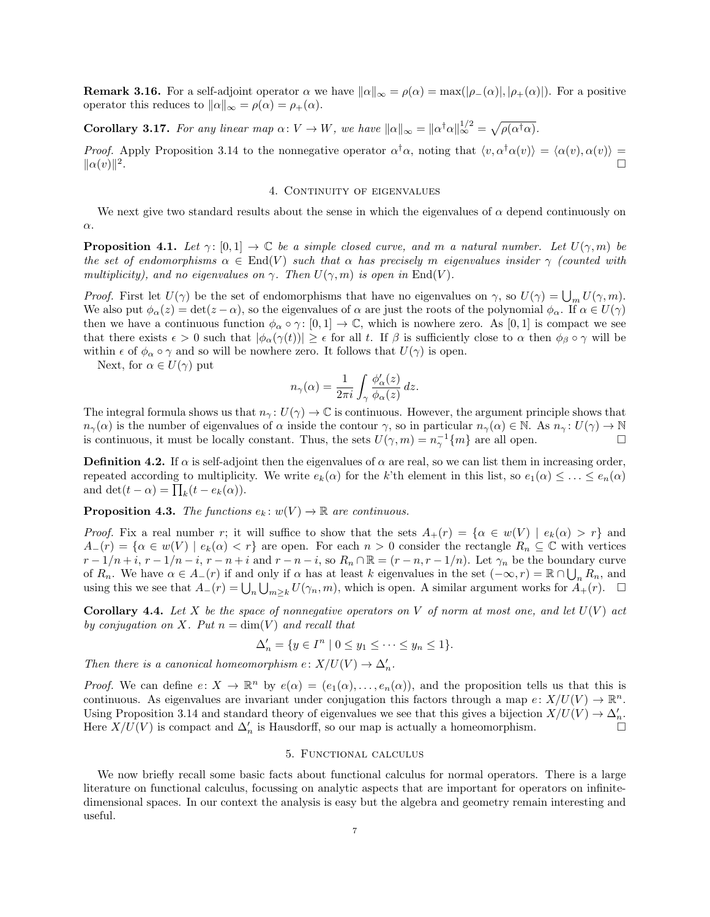**Remark 3.16.** For a self-adjoint operator  $\alpha$  we have  $\|\alpha\|_{\infty} = \rho(\alpha) = \max(|\rho_{-}(\alpha)|, |\rho_{+}(\alpha)|)$ . For a positive operator this reduces to  $\|\alpha\|_{\infty} = \rho(\alpha) = \rho_+(\alpha)$ .

**Corollary 3.17.** For any linear map  $\alpha: V \to W$ , we have  $\|\alpha\|_{\infty} = \|\alpha^{\dagger}\alpha\|_{\infty}^{1/2} = \sqrt{\rho(\alpha^{\dagger}\alpha)}$ .

*Proof.* Apply Proposition 3.14 to the nonnegative operator  $\alpha^{\dagger} \alpha$ , noting that  $\langle v, \alpha^{\dagger} \alpha(v) \rangle = \langle \alpha(v), \alpha(v) \rangle =$  $\|\alpha(v)\|^2$ .

# 4. CONTINUITY OF EIGENVALUES

We next give two standard results about the sense in which the eigenvalues of  $\alpha$  depend continuously on α.

**Proposition 4.1.** Let  $\gamma: [0, 1] \to \mathbb{C}$  be a simple closed curve, and m a natural number. Let  $U(\gamma, m)$  be the set of endomorphisms  $\alpha \in \text{End}(V)$  such that  $\alpha$  has precisely m eigenvalues insider  $\gamma$  (counted with multiplicity), and no eigenvalues on  $\gamma$ . Then  $U(\gamma, m)$  is open in End(V).

*Proof.* First let  $U(\gamma)$  be the set of endomorphisms that have no eigenvalues on  $\gamma$ , so  $U(\gamma) = \bigcup_m U(\gamma, m)$ . We also put  $\phi_{\alpha}(z) = \det(z - \alpha)$ , so the eigenvalues of  $\alpha$  are just the roots of the polynomial  $\phi_{\alpha}$ . If  $\alpha \in U(\gamma)$ then we have a continuous function  $\phi_{\alpha} \circ \gamma : [0,1] \to \mathbb{C}$ , which is nowhere zero. As  $[0,1]$  is compact we see that there exists  $\epsilon > 0$  such that  $|\phi_{\alpha}(\gamma(t))| \geq \epsilon$  for all t. If  $\beta$  is sufficiently close to  $\alpha$  then  $\phi_{\beta} \circ \gamma$  will be within  $\epsilon$  of  $\phi_{\alpha} \circ \gamma$  and so will be nowhere zero. It follows that  $U(\gamma)$  is open.

Next, for  $\alpha \in U(\gamma)$  put

$$
n_{\gamma}(\alpha) = \frac{1}{2\pi i} \int_{\gamma} \frac{\phi_{\alpha}'(z)}{\phi_{\alpha}(z)} dz.
$$

The integral formula shows us that  $n_\gamma: U(\gamma) \to \mathbb{C}$  is continuous. However, the argument principle shows that  $n_{\gamma}(\alpha)$  is the number of eigenvalues of  $\alpha$  inside the contour  $\gamma$ , so in particular  $n_{\gamma}(\alpha) \in \mathbb{N}$ . As  $n_{\gamma} : U(\gamma) \to \mathbb{N}$ is continuous, it must be locally constant. Thus, the sets  $U(\gamma, m) = n_{\gamma}^{-1}\{m\}$  are all open.

**Definition 4.2.** If  $\alpha$  is self-adjoint then the eigenvalues of  $\alpha$  are real, so we can list them in increasing order, repeated according to multiplicity. We write  $e_k(\alpha)$  for the k'th element in this list, so  $e_1(\alpha) \leq \ldots \leq e_n(\alpha)$ and  $\det(t - \alpha) = \prod_k (t - e_k(\alpha)).$ 

**Proposition 4.3.** The functions  $e_k: w(V) \to \mathbb{R}$  are continuous.

*Proof.* Fix a real number r; it will suffice to show that the sets  $A_{+}(r) = \{ \alpha \in w(V) \mid e_{k}(\alpha) > r \}$  and  $A_{-}(r) = \{ \alpha \in w(V) \mid e_{k}(\alpha) < r \}$  are open. For each  $n > 0$  consider the rectangle  $R_{n} \subseteq \mathbb{C}$  with vertices  $r-1/n+i$ ,  $r-1/n-i$ ,  $r-n+i$  and  $r-n-i$ , so  $R_n \cap \mathbb{R} = (r-n, r-1/n)$ . Let  $\gamma_n$  be the boundary curve of  $R_n$ . We have  $\alpha \in A_-(r)$  if and only if  $\alpha$  has at least k eigenvalues in the set  $(-\infty, r) = \mathbb{R} \cap \bigcup_n R_n$ , and using this we see that  $A_-(r) = \bigcup_n \bigcup_{m \geq k} U(\gamma_n, m)$ , which is open. A similar argument works for  $A_+(r)$ .  $\Box$ 

**Corollary 4.4.** Let X be the space of nonnegative operators on V of norm at most one, and let  $U(V)$  act by conjugation on X. Put  $n = \dim(V)$  and recall that

$$
\Delta'_n = \{ y \in I^n \mid 0 \le y_1 \le \dots \le y_n \le 1 \}.
$$

Then there is a canonical homeomorphism  $e: X/U(V) \to \Delta'_n$ .

*Proof.* We can define  $e: X \to \mathbb{R}^n$  by  $e(\alpha) = (e_1(\alpha), \ldots, e_n(\alpha))$ , and the proposition tells us that this is continuous. As eigenvalues are invariant under conjugation this factors through a map  $e: X/U(V) \to \mathbb{R}^n$ . Using Proposition 3.14 and standard theory of eigenvalues we see that this gives a bijection  $X/U(V) \to \Delta'_n$ . Here  $X/U(V)$  is compact and  $\Delta'_n$  is Hausdorff, so our map is actually a homeomorphism.

#### 5. Functional calculus

We now briefly recall some basic facts about functional calculus for normal operators. There is a large literature on functional calculus, focussing on analytic aspects that are important for operators on infinitedimensional spaces. In our context the analysis is easy but the algebra and geometry remain interesting and useful.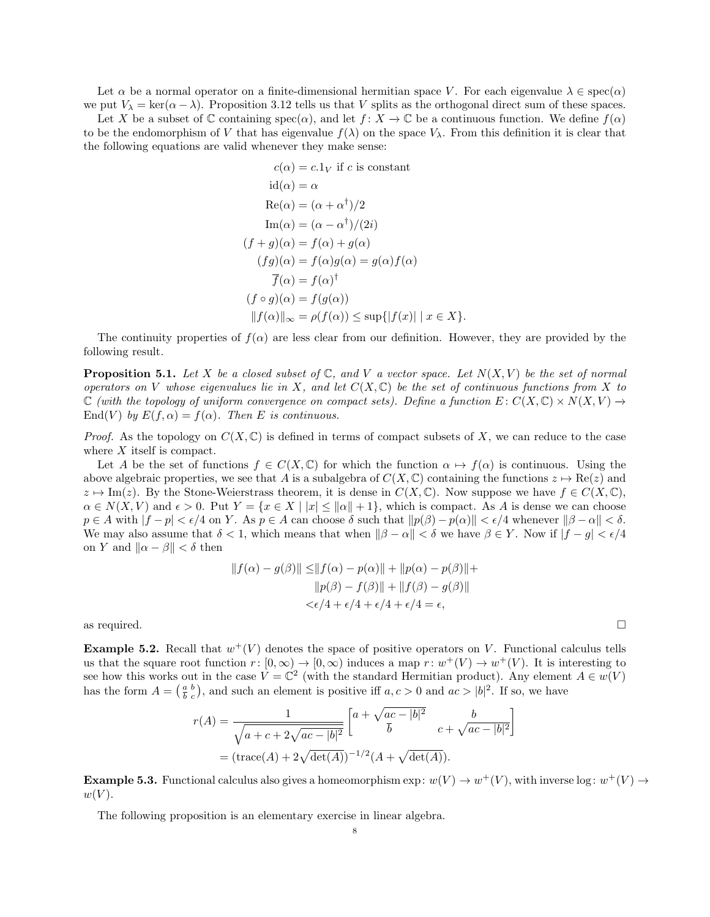Let  $\alpha$  be a normal operator on a finite-dimensional hermitian space V. For each eigenvalue  $\lambda \in \text{spec}(\alpha)$ we put  $V_{\lambda} = \ker(\alpha - \lambda)$ . Proposition 3.12 tells us that V splits as the orthogonal direct sum of these spaces.

Let X be a subset of  $\mathbb C$  containing  $spec(\alpha)$ , and let  $f: X \to \mathbb C$  be a continuous function. We define  $f(\alpha)$ to be the endomorphism of V that has eigenvalue  $f(\lambda)$  on the space  $V_\lambda$ . From this definition it is clear that the following equations are valid whenever they make sense:

$$
c(\alpha) = c.1_V \text{ if } c \text{ is constant}
$$

$$
id(\alpha) = \alpha
$$

$$
Re(\alpha) = (\alpha + \alpha^{\dagger})/2
$$

$$
Im(\alpha) = (\alpha - \alpha^{\dagger})/(2i)
$$

$$
(f + g)(\alpha) = f(\alpha) + g(\alpha)
$$

$$
(fg)(\alpha) = f(\alpha)g(\alpha) = g(\alpha)f(\alpha)
$$

$$
\overline{f}(\alpha) = f(\alpha)^{\dagger}
$$

$$
(f \circ g)(\alpha) = f(g(\alpha))
$$

$$
||f(\alpha)||_{\infty} = \rho(f(\alpha)) \le \sup\{|f(x)| \mid x \in X\}.
$$

The continuity properties of  $f(\alpha)$  are less clear from our definition. However, they are provided by the following result.

**Proposition 5.1.** Let X be a closed subset of  $\mathbb{C}$ , and V a vector space. Let  $N(X, V)$  be the set of normal operators on V whose eigenvalues lie in X, and let  $C(X, \mathbb{C})$  be the set of continuous functions from X to  $\mathbb C$  (with the topology of uniform convergence on compact sets). Define a function  $E: C(X, \mathbb C) \times N(X, V) \to$ End(V) by  $E(f, \alpha) = f(\alpha)$ . Then E is continuous.

*Proof.* As the topology on  $C(X, \mathbb{C})$  is defined in terms of compact subsets of X, we can reduce to the case where  $X$  itself is compact.

Let A be the set of functions  $f \in C(X, \mathbb{C})$  for which the function  $\alpha \mapsto f(\alpha)$  is continuous. Using the above algebraic properties, we see that A is a subalgebra of  $C(X, \mathbb{C})$  containing the functions  $z \mapsto \text{Re}(z)$  and  $z \mapsto \text{Im}(z)$ . By the Stone-Weierstrass theorem, it is dense in  $C(X, \mathbb{C})$ . Now suppose we have  $f \in C(X, \mathbb{C})$ ,  $\alpha \in N(X, V)$  and  $\epsilon > 0$ . Put  $Y = \{x \in X \mid |x| \leq ||\alpha|| + 1\}$ , which is compact. As A is dense we can choose  $p \in A$  with  $|f - p| < \epsilon/4$  on Y. As  $p \in A$  can choose  $\delta$  such that  $\|p(\beta) - p(\alpha)\| < \epsilon/4$  whenever  $\|\beta - \alpha\| < \delta$ . We may also assume that  $\delta < 1$ , which means that when  $\|\beta - \alpha\| < \delta$  we have  $\beta \in Y$ . Now if  $|f - g| < \epsilon/4$ on Y and  $\|\alpha - \beta\| < \delta$  then

$$
||f(\alpha) - g(\beta)|| \le ||f(\alpha) - p(\alpha)|| + ||p(\alpha) - p(\beta)|| +
$$
  
\n
$$
||p(\beta) - f(\beta)|| + ||f(\beta) - g(\beta)||
$$
  
\n
$$
< \epsilon/4 + \epsilon/4 + \epsilon/4 + \epsilon/4 = \epsilon,
$$

as required.  $\square$ 

**Example 5.2.** Recall that  $w^+(V)$  denotes the space of positive operators on V. Functional calculus tells us that the square root function  $r: [0, \infty) \to [0, \infty)$  induces a map  $r: w^+(V) \to w^+(V)$ . It is interesting to see how this works out in the case  $V = \mathbb{C}^2$  (with the standard Hermitian product). Any element  $A \in w(V)$ has the form  $A = \begin{pmatrix} a & b \\ b & c \end{pmatrix}$  $\frac{a}{b}$ , and such an element is positive iff  $a, c > 0$  and  $ac > |b|^2$ . If so, we have

$$
r(A) = \frac{1}{\sqrt{a+c+2\sqrt{ac-|b|^2}}} \begin{bmatrix} a+\sqrt{ac-|b|^2} & b \\ \overline{b} & c+\sqrt{ac-|b|^2} \end{bmatrix}
$$
  
=  $(\text{trace}(A) + 2\sqrt{\text{det}(A)})^{-1/2}(A + \sqrt{\text{det}(A)}).$ 

**Example 5.3.** Functional calculus also gives a homeomorphism  $\exp: w(V) \to w^+(V)$ , with inverse  $\log: w^+(V) \to w$  $w(V)$ .

The following proposition is an elementary exercise in linear algebra.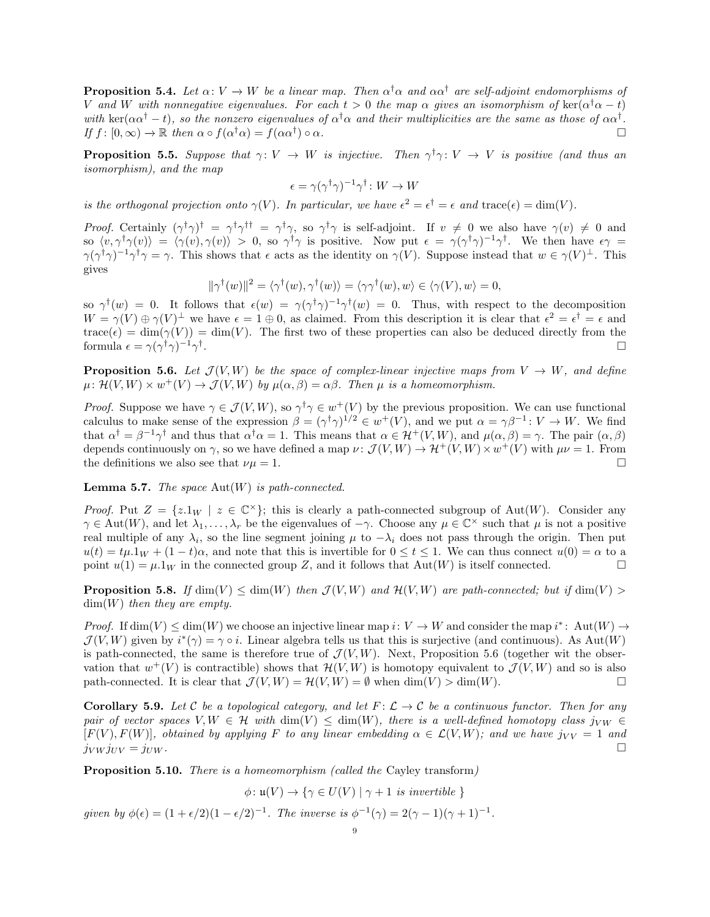**Proposition 5.4.** Let  $\alpha: V \to W$  be a linear map. Then  $\alpha^{\dagger} \alpha$  and  $\alpha \alpha^{\dagger}$  are self-adjoint endomorphisms of V and W with nonnegative eigenvalues. For each  $t > 0$  the map  $\alpha$  gives an isomorphism of  $\ker(\alpha^{\dagger}\alpha - t)$ with ker( $\alpha\alpha^{\dagger} - t$ ), so the nonzero eigenvalues of  $\alpha^{\dagger}\alpha$  and their multiplicities are the same as those of  $\alpha\alpha^{\dagger}$ . If  $f : [0, \infty) \to \mathbb{R}$  then  $\alpha \circ f(\alpha^{\dagger} \alpha) = f(\alpha \alpha^{\dagger})$ )  $\circ$   $\alpha$ .

**Proposition 5.5.** Suppose that  $\gamma: V \to W$  is injective. Then  $\gamma^{\dagger} \gamma: V \to V$  is positive (and thus an isomorphism), and the map

$$
\epsilon = \gamma (\gamma^{\dagger} \gamma)^{-1} \gamma^{\dagger} \colon W \to W
$$

is the orthogonal projection onto  $\gamma(V)$ . In particular, we have  $\epsilon^2 = \epsilon^{\dagger} = \epsilon$  and trace( $\epsilon$ ) = dim(V).

Proof. Certainly  $(\gamma^{\dagger}\gamma)^{\dagger} = \gamma^{\dagger}\gamma^{\dagger \dagger} = \gamma^{\dagger}\gamma$ , so  $\gamma^{\dagger}\gamma$  is self-adjoint. If  $v \neq 0$  we also have  $\gamma(v) \neq 0$  and so  $\langle v, \gamma^{\dagger} \gamma(v) \rangle = \langle \gamma(v), \gamma(v) \rangle > 0$ , so  $\gamma^{\dagger} \gamma$  is positive. Now put  $\epsilon = \gamma(\gamma^{\dagger} \gamma)^{-1} \gamma^{\dagger}$ . We then have  $\epsilon \gamma =$  $\gamma(\gamma^{\dagger}\gamma)^{-1}\gamma^{\dagger}\gamma = \gamma$ . This shows that  $\epsilon$  acts as the identity on  $\gamma(V)$ . Suppose instead that  $w \in \gamma(V)^{\perp}$ . This gives

$$
\|\gamma^{\dagger}(w)\|^2 = \langle \gamma^{\dagger}(w), \gamma^{\dagger}(w) \rangle = \langle \gamma \gamma^{\dagger}(w), w \rangle \in \langle \gamma(V), w \rangle = 0,
$$

so  $\gamma^{\dagger}(w) = 0$ . It follows that  $\epsilon(w) = \gamma(\gamma^{\dagger}\gamma)^{-1}\gamma^{\dagger}(w) = 0$ . Thus, with respect to the decomposition  $W = \gamma(V) \oplus \gamma(V)^{\perp}$  we have  $\epsilon = 1 \oplus 0$ , as claimed. From this description it is clear that  $\epsilon^2 = \epsilon^{\dagger} = \epsilon$  and  $trace(\epsilon) = dim(\gamma(V)) = dim(V)$ . The first two of these properties can also be deduced directly from the formula  $\epsilon = \gamma(\gamma^{\dagger} \gamma)^{-1} \gamma^{\dagger}$ <u>. In the second contract of the second contract of the second contract of the second contract of the second co</u><br>In the second contract of the second contract of the second contract of the second contract of the second con

**Proposition 5.6.** Let  $\mathcal{J}(V, W)$  be the space of complex-linear injective maps from  $V \to W$ , and define  $\mu: \mathcal{H}(V, W) \times w^+(V) \to \mathcal{J}(V, W)$  by  $\mu(\alpha, \beta) = \alpha \beta$ . Then  $\mu$  is a homeomorphism.

*Proof.* Suppose we have  $\gamma \in \mathcal{J}(V, W)$ , so  $\gamma^{\dagger} \gamma \in w^+(V)$  by the previous proposition. We can use functional calculus to make sense of the expression  $\beta = (\gamma^{\dagger} \gamma)^{1/2} \in w^+(V)$ , and we put  $\alpha = \gamma \beta^{-1} : V \to W$ . We find that  $\alpha^{\dagger} = \beta^{-1}\gamma^{\dagger}$  and thus that  $\alpha^{\dagger} \alpha = 1$ . This means that  $\alpha \in \mathcal{H}^+(V,W)$ , and  $\mu(\alpha,\beta) = \gamma$ . The pair  $(\alpha,\beta)$ depends continuously on  $\gamma$ , so we have defined a map  $\nu: \mathcal{J}(V, W) \to \mathcal{H}^+(V, W) \times w^+(V)$  with  $\mu\nu = 1$ . From the definitions we also see that  $\nu\mu = 1$ .

**Lemma 5.7.** The space  $Aut(W)$  is path-connected.

*Proof.* Put  $Z = \{z.1_W \mid z \in \mathbb{C}^\times\}$ ; this is clearly a path-connected subgroup of Aut $(W)$ . Consider any  $\gamma \in \text{Aut}(W)$ , and let  $\lambda_1, \ldots, \lambda_r$  be the eigenvalues of  $-\gamma$ . Choose any  $\mu \in \mathbb{C}^\times$  such that  $\mu$  is not a positive real multiple of any  $\lambda_i$ , so the line segment joining  $\mu$  to  $-\lambda_i$  does not pass through the origin. Then put  $u(t) = t\mu \cdot 1_W + (1-t)\alpha$ , and note that this is invertible for  $0 \le t \le 1$ . We can thus connect  $u(0) = \alpha$  to a point  $u(1) = \mu \cdot 1_W$  in the connected group Z, and it follows that Aut(W) is itself connected.

**Proposition 5.8.** If  $\dim(V) \leq \dim(W)$  then  $\mathcal{J}(V, W)$  and  $\mathcal{H}(V, W)$  are path-connected; but if  $\dim(V)$  $\dim(W)$  then they are empty.

*Proof.* If  $\dim(V) \leq \dim(W)$  we choose an injective linear map  $i: V \to W$  and consider the map  $i^*$ :  $\text{Aut}(W) \to$  $\mathcal{J}(V,W)$  given by  $i^*(\gamma) = \gamma \circ i$ . Linear algebra tells us that this is surjective (and continuous). As Aut $(W)$ is path-connected, the same is therefore true of  $\mathcal{J}(V,W)$ . Next, Proposition 5.6 (together wit the observation that  $w^+(V)$  is contractible) shows that  $\mathcal{H}(V, W)$  is homotopy equivalent to  $\mathcal{J}(V, W)$  and so is also path-connected. It is clear that  $\mathcal{J}(V, W) = \mathcal{H}(V, W) = \emptyset$  when  $\dim(V) > \dim(W)$ .

**Corollary 5.9.** Let C be a topological category, and let  $F: \mathcal{L} \to \mathcal{C}$  be a continuous functor. Then for any pair of vector spaces  $V, W \in \mathcal{H}$  with  $\dim(V) \leq \dim(W)$ , there is a well-defined homotopy class j $_{VW} \in$  $[F(V), F(W)]$ , obtained by applying F to any linear embedding  $\alpha \in \mathcal{L}(V, W)$ ; and we have j $_{VV} = 1$  and  $j_V w j_{UV} = j_{UW}$ .

Proposition 5.10. There is a homeomorphism (called the Cayley transform)

$$
\phi: \mathfrak{u}(V) \to \{ \gamma \in U(V) \mid \gamma + 1 \text{ is invertible } \}
$$

given by  $\phi(\epsilon) = (1 + \epsilon/2)(1 - \epsilon/2)^{-1}$ . The inverse is  $\phi^{-1}(\gamma) = 2(\gamma - 1)(\gamma + 1)^{-1}$ .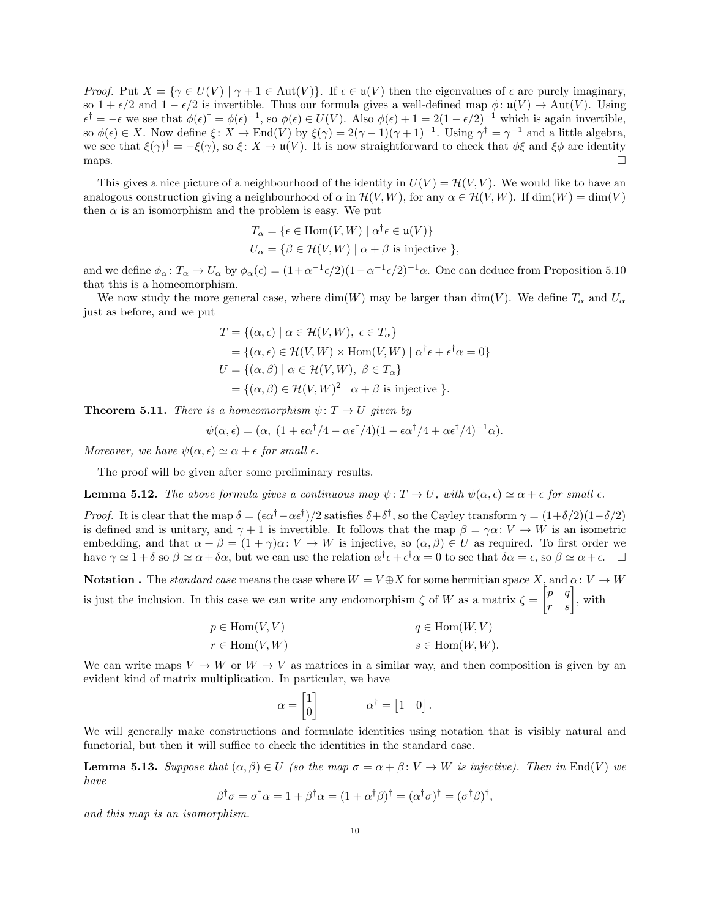Proof. Put  $X = \{ \gamma \in U(V) \mid \gamma + 1 \in Aut(V) \}$ . If  $\epsilon \in \mathfrak{u}(V)$  then the eigenvalues of  $\epsilon$  are purely imaginary, so  $1 + \epsilon/2$  and  $1 - \epsilon/2$  is invertible. Thus our formula gives a well-defined map  $\phi: \mathfrak{u}(V) \to \text{Aut}(V)$ . Using  $\epsilon^{\dagger} = -\epsilon$  we see that  $\phi(\epsilon)^{\dagger} = \phi(\epsilon)^{-1}$ , so  $\phi(\epsilon) \in U(V)$ . Also  $\phi(\epsilon) + 1 = 2(1 - \epsilon/2)^{-1}$  which is again invertible, so  $\phi(\epsilon) \in X$ . Now define  $\xi \colon X \to \text{End}(V)$  by  $\xi(\gamma) = 2(\gamma - 1)(\gamma + 1)^{-1}$ . Using  $\gamma^{\dagger} = \gamma^{-1}$  and a little algebra, we see that  $\xi(\gamma)^{\dagger} = -\xi(\gamma)$ , so  $\xi \colon X \to \mathfrak{u}(V)$ . It is now straightforward to check that  $\phi\xi$  and  $\xi\phi$  are identity maps.  $\square$ 

This gives a nice picture of a neighbourhood of the identity in  $U(V) = \mathcal{H}(V, V)$ . We would like to have an analogous construction giving a neighbourhood of  $\alpha$  in  $\mathcal{H}(V, W)$ , for any  $\alpha \in \mathcal{H}(V, W)$ . If  $\dim(W) = \dim(V)$ then  $\alpha$  is an isomorphism and the problem is easy. We put

$$
T_{\alpha} = \{ \epsilon \in \text{Hom}(V, W) \mid \alpha^{\dagger} \epsilon \in \mathfrak{u}(V) \}
$$
  

$$
U_{\alpha} = \{ \beta \in \mathcal{H}(V, W) \mid \alpha + \beta \text{ is injective } \},
$$

and we define  $\phi_\alpha\colon T_\alpha\to U_\alpha$  by  $\phi_\alpha(\epsilon)=(1+\alpha^{-1}\epsilon/2)(1-\alpha^{-1}\epsilon/2)^{-1}\alpha$ . One can deduce from Proposition 5.10 that this is a homeomorphism.

We now study the more general case, where  $\dim(W)$  may be larger than  $\dim(V)$ . We define  $T_{\alpha}$  and  $U_{\alpha}$ just as before, and we put

$$
T = \{ (\alpha, \epsilon) \mid \alpha \in \mathcal{H}(V, W), \ \epsilon \in T_{\alpha} \}
$$
  
=  $\{ (\alpha, \epsilon) \in \mathcal{H}(V, W) \times \text{Hom}(V, W) \mid \alpha^{\dagger} \epsilon + \epsilon^{\dagger} \alpha = 0 \}$   

$$
U = \{ (\alpha, \beta) \mid \alpha \in \mathcal{H}(V, W), \ \beta \in T_{\alpha} \}
$$
  
=  $\{ (\alpha, \beta) \in \mathcal{H}(V, W)^2 \mid \alpha + \beta \text{ is injective } \}.$ 

**Theorem 5.11.** There is a homeomorphism  $\psi: T \to U$  given by

$$
\psi(\alpha,\epsilon) = (\alpha, (1 + \epsilon \alpha^{\dagger}/4 - \alpha \epsilon^{\dagger}/4)(1 - \epsilon \alpha^{\dagger}/4 + \alpha \epsilon^{\dagger}/4)^{-1}\alpha).
$$

Moreover, we have  $\psi(\alpha, \epsilon) \simeq \alpha + \epsilon$  for small  $\epsilon$ .

The proof will be given after some preliminary results.

**Lemma 5.12.** The above formula gives a continuous map  $\psi: T \to U$ , with  $\psi(\alpha, \epsilon) \simeq \alpha + \epsilon$  for small  $\epsilon$ .

Proof. It is clear that the map  $\delta = (\epsilon \alpha^{\dagger} - \alpha \epsilon^{\dagger})/2$  satisfies  $\delta + \delta^{\dagger}$ , so the Cayley transform  $\gamma = (1 + \delta/2)(1 - \delta/2)$ is defined and is unitary, and  $\gamma + 1$  is invertible. It follows that the map  $\beta = \gamma \alpha : V \to W$  is an isometric embedding, and that  $\alpha + \beta = (1 + \gamma)\alpha: V \to W$  is injective, so  $(\alpha, \beta) \in U$  as required. To first order we have  $\gamma \simeq 1 + \delta$  so  $\beta \simeq \alpha + \delta \alpha$ , but we can use the relation  $\alpha^{\dagger} \epsilon + \epsilon^{\dagger} \alpha = 0$  to see that  $\delta \alpha = \epsilon$ , so  $\beta \simeq \alpha + \epsilon$ .

**Notation**. The *standard case* means the case where  $W = V \oplus X$  for some hermitian space X, and  $\alpha: V \to W$ is just the inclusion. In this case we can write any endomorphism  $\zeta$  of W as a matrix  $\zeta = \begin{bmatrix} p & q \\ r & s \end{bmatrix}$ , with

| $p \in \text{Hom}(V, V)$ | $q \in \text{Hom}(W, V)$   |
|--------------------------|----------------------------|
| $r \in \text{Hom}(V, W)$ | $s \in \text{Hom}(W, W)$ . |

We can write maps  $V \to W$  or  $W \to V$  as matrices in a similar way, and then composition is given by an evident kind of matrix multiplication. In particular, we have

$$
\alpha = \begin{bmatrix} 1 \\ 0 \end{bmatrix} \qquad \qquad \alpha^{\dagger} = \begin{bmatrix} 1 & 0 \end{bmatrix}.
$$

We will generally make constructions and formulate identities using notation that is visibly natural and functorial, but then it will suffice to check the identities in the standard case.

**Lemma 5.13.** Suppose that  $(\alpha, \beta) \in U$  (so the map  $\sigma = \alpha + \beta : V \to W$  is injective). Then in End(V) we have

$$
\beta^{\dagger} \sigma = \sigma^{\dagger} \alpha = 1 + \beta^{\dagger} \alpha = (1 + \alpha^{\dagger} \beta)^{\dagger} = (\alpha^{\dagger} \sigma)^{\dagger} = (\sigma^{\dagger} \beta)^{\dagger}
$$

,

and this map is an isomorphism.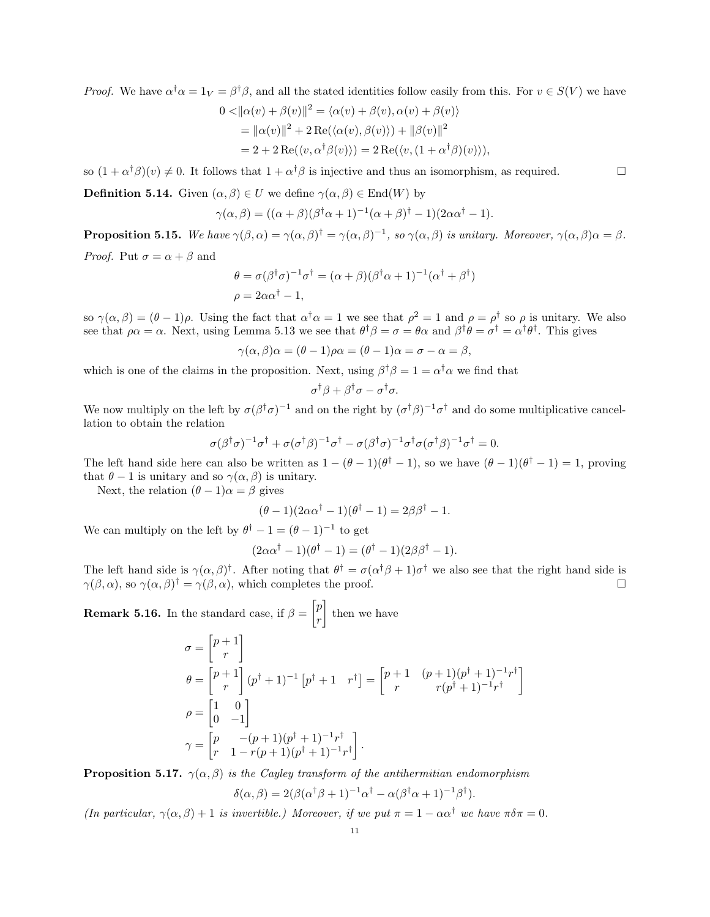*Proof.* We have  $\alpha^{\dagger} \alpha = 1_V = \beta^{\dagger} \beta$ , and all the stated identities follow easily from this. For  $v \in S(V)$  we have

$$
0 < ||\alpha(v) + \beta(v)||^2 = \langle \alpha(v) + \beta(v), \alpha(v) + \beta(v) \rangle
$$
  
=  $||\alpha(v)||^2 + 2 \operatorname{Re}(\langle \alpha(v), \beta(v) \rangle) + ||\beta(v)||^2$   
=  $2 + 2 \operatorname{Re}(\langle v, \alpha^\dagger \beta(v) \rangle) = 2 \operatorname{Re}(\langle v, (1 + \alpha^\dagger \beta)(v) \rangle),$ 

so  $(1 + \alpha^{\dagger} \beta)(v) \neq 0$ . It follows that  $1 + \alpha^{\dagger} \beta$  is injective and thus an isomorphism, as required.

**Definition 5.14.** Given  $(\alpha, \beta) \in U$  we define  $\gamma(\alpha, \beta) \in \text{End}(W)$  by

$$
\gamma(\alpha,\beta) = ((\alpha+\beta)(\beta^{\dagger}\alpha+1)^{-1}(\alpha+\beta)^{\dagger}-1)(2\alpha\alpha^{\dagger}-1).
$$

**Proposition 5.15.** We have  $\gamma(\beta, \alpha) = \gamma(\alpha, \beta)^{\dagger} = \gamma(\alpha, \beta)^{-1}$ , so  $\gamma(\alpha, \beta)$  is unitary. Moreover,  $\gamma(\alpha, \beta)\alpha = \beta$ . *Proof.* Put  $\sigma = \alpha + \beta$  and

$$
\theta = \sigma(\beta^{\dagger}\sigma)^{-1}\sigma^{\dagger} = (\alpha + \beta)(\beta^{\dagger}\alpha + 1)^{-1}(\alpha^{\dagger} + \beta^{\dagger})
$$
  

$$
\rho = 2\alpha\alpha^{\dagger} - 1,
$$

so  $\gamma(\alpha, \beta) = (\theta - 1)\rho$ . Using the fact that  $\alpha^{\dagger}\alpha = 1$  we see that  $\rho^2 = 1$  and  $\rho = \rho^{\dagger}$  so  $\rho$  is unitary. We also see that  $\rho \alpha = \alpha$ . Next, using Lemma 5.13 we see that  $\theta^{\dagger} \beta = \sigma = \theta \alpha$  and  $\beta^{\dagger} \theta = \sigma^{\dagger} = \alpha^{\dagger} \theta^{\dagger}$ . This gives

$$
\gamma(\alpha, \beta)\alpha = (\theta - 1)\rho\alpha = (\theta - 1)\alpha = \sigma - \alpha = \beta,
$$

which is one of the claims in the proposition. Next, using  $\beta^{\dagger} \beta = 1 = \alpha^{\dagger} \alpha$  we find that

$$
\sigma^{\dagger}\beta + \beta^{\dagger}\sigma - \sigma^{\dagger}\sigma.
$$

We now multiply on the left by  $\sigma(\beta^{\dagger}\sigma)^{-1}$  and on the right by  $(\sigma^{\dagger}\beta)^{-1}\sigma^{\dagger}$  and do some multiplicative cancellation to obtain the relation

$$
\sigma(\beta^{\dagger}\sigma)^{-1}\sigma^{\dagger} + \sigma(\sigma^{\dagger}\beta)^{-1}\sigma^{\dagger} - \sigma(\beta^{\dagger}\sigma)^{-1}\sigma^{\dagger}\sigma(\sigma^{\dagger}\beta)^{-1}\sigma^{\dagger} = 0.
$$

The left hand side here can also be written as  $1 - (\theta - 1)(\theta^{\dagger} - 1)$ , so we have  $(\theta - 1)(\theta^{\dagger} - 1) = 1$ , proving that  $\theta - 1$  is unitary and so  $\gamma(\alpha, \beta)$  is unitary.

Next, the relation  $(\theta - 1)\alpha = \beta$  gives

$$
(\theta - 1)(2\alpha\alpha^{\dagger} - 1)(\theta^{\dagger} - 1) = 2\beta\beta^{\dagger} - 1.
$$

We can multiply on the left by  $\theta^{\dagger} - 1 = (\theta - 1)^{-1}$  to get

$$
(2\alpha\alpha^{\dagger} - 1)(\theta^{\dagger} - 1) = (\theta^{\dagger} - 1)(2\beta\beta^{\dagger} - 1).
$$

The left hand side is  $\gamma(\alpha,\beta)$ <sup>†</sup>. After noting that  $\theta^{\dagger} = \sigma(\alpha^{\dagger}\beta + 1)\sigma^{\dagger}$  we also see that the right hand side is  $\gamma(\beta,\alpha)$ , so  $\gamma(\alpha,\beta)^\dagger = \gamma(\beta,\alpha)$ , which completes the proof.

1

**Remark 5.16.** In the standard case, if  $\beta = \begin{bmatrix} p \\ p \end{bmatrix}$ r then we have  $\sigma = \left[ \begin{matrix} p+1 \\ z \end{matrix} \right]$ r 1  $\theta = \left[ \begin{matrix} p+1 \end{matrix} \right]$ r  $\left[ (p^{\dagger} + 1)^{-1} [p^{\dagger} + 1 \quad r^{\dagger}] = \begin{bmatrix} p+1 & (p+1)(p^{\dagger}+1)^{-1}r^{\dagger} \\ \vdots & \vdots \end{bmatrix} \right]$  $r(r^{\dagger}+1)^{-1}r^{\dagger}$  $\rho = \begin{bmatrix} 1 & 0 \\ 0 & 1 \end{bmatrix}$  $0 -1$ 1  $\gamma = \begin{bmatrix} p & -(p+1)(p^{\dagger}+1)^{-1}r^{\dagger} \\ p & 1 & p(p+1)(p^{\dagger}+1)^{-1} \end{bmatrix}$  $r \quad 1 - r(p+1)(p^{\dagger}+1)^{-1}r^{\dagger}$ .

**Proposition 5.17.**  $\gamma(\alpha, \beta)$  is the Cayley transform of the antihermitian endomorphism

$$
\delta(\alpha, \beta) = 2(\beta(\alpha^{\dagger}\beta + 1)^{-1}\alpha^{\dagger} - \alpha(\beta^{\dagger}\alpha + 1)^{-1}\beta^{\dagger}).
$$

(In particular,  $\gamma(\alpha, \beta) + 1$  is invertible.) Moreover, if we put  $\pi = 1 - \alpha \alpha^{\dagger}$  we have  $\pi \delta \pi = 0$ .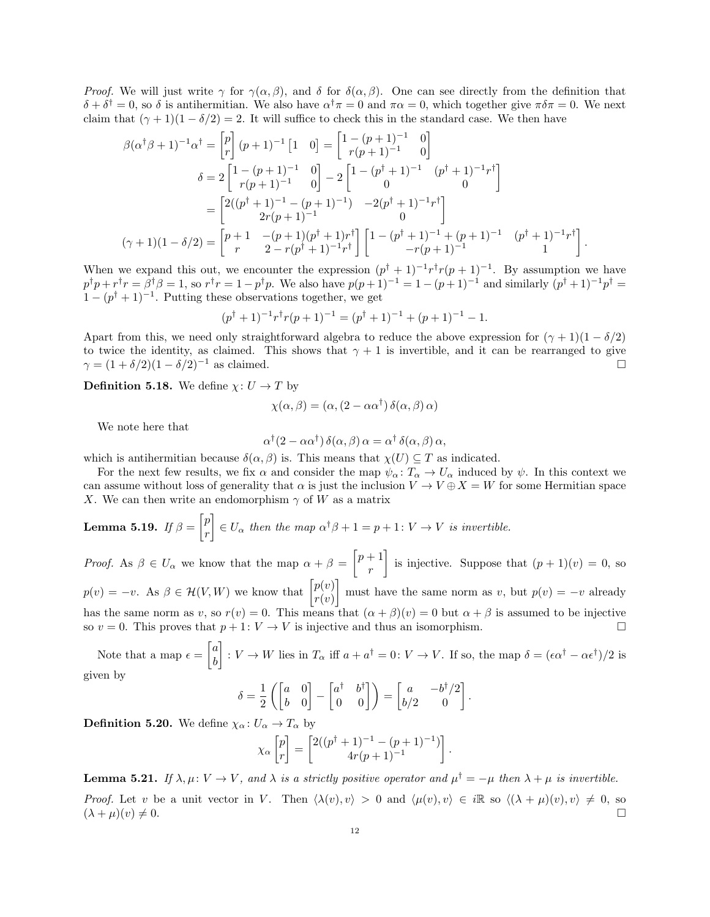*Proof.* We will just write  $\gamma$  for  $\gamma(\alpha, \beta)$ , and  $\delta$  for  $\delta(\alpha, \beta)$ . One can see directly from the definition that  $\delta + \delta^{\dagger} = 0$ , so  $\delta$  is antihermitian. We also have  $\alpha^{\dagger} \pi = 0$  and  $\pi \alpha = 0$ , which together give  $\pi \delta \pi = 0$ . We next claim that  $(\gamma + 1)(1 - \delta/2) = 2$ . It will suffice to check this in the standard case. We then have

$$
\beta(\alpha^{\dagger}\beta+1)^{-1}\alpha^{\dagger} = \begin{bmatrix} p \\ r \end{bmatrix} (p+1)^{-1} [1 \quad 0] = \begin{bmatrix} 1-(p+1)^{-1} & 0 \\ r(p+1)^{-1} & 0 \end{bmatrix} \n\delta = 2 \begin{bmatrix} 1-(p+1)^{-1} & 0 \\ r(p+1)^{-1} & 0 \end{bmatrix} - 2 \begin{bmatrix} 1-(p^{\dagger}+1)^{-1} & (p^{\dagger}+1)^{-1}r^{\dagger} \\ 0 & 0 \end{bmatrix} \n= \begin{bmatrix} 2((p^{\dagger}+1)^{-1}-(p+1)^{-1}) & -2(p^{\dagger}+1)^{-1}r^{\dagger} \\ 2r(p+1)^{-1} & 0 \end{bmatrix} \n(\gamma+1)(1-\delta/2) = \begin{bmatrix} p+1 & -(p+1)(p^{\dagger}+1)r^{\dagger} \\ r & 2-r(p^{\dagger}+1)^{-1}r^{\dagger} \end{bmatrix} \begin{bmatrix} 1-(p^{\dagger}+1)^{-1}+(p+1)^{-1} & (p^{\dagger}+1)^{-1}r^{\dagger} \\ -r(p+1)^{-1} & 1 \end{bmatrix}.
$$

When we expand this out, we encounter the expression  $(p^{\dagger} + 1)^{-1}r^{\dagger}r(p+1)^{-1}$ . By assumption we have  $p^{\dagger}p + r^{\dagger}r = \beta^{\dagger}\beta = 1$ , so  $r^{\dagger}r = 1 - p^{\dagger}p$ . We also have  $p(p+1)^{-1} = 1 - (p+1)^{-1}$  and similarly  $(p^{\dagger}+1)^{-1}p^{\dagger} = 1$  $1-(p^{\dagger}+1)^{-1}$ . Putting these observations together, we get

$$
(p\dagger + 1)-1r\daggerr(p + 1)-1 = (p\dagger + 1)-1 + (p + 1)-1 - 1.
$$

Apart from this, we need only straightforward algebra to reduce the above expression for  $(\gamma + 1)(1 - \delta/2)$ to twice the identity, as claimed. This shows that  $\gamma + 1$  is invertible, and it can be rearranged to give  $\gamma = (1 + \delta/2)(1 - \delta/2)^{-1}$  as claimed.

**Definition 5.18.** We define  $\chi: U \to T$  by

$$
\chi(\alpha, \beta) = (\alpha, (2 - \alpha \alpha^{\dagger}) \delta(\alpha, \beta) \alpha)
$$

We note here that

$$
\alpha^{\dagger}(2-\alpha\alpha^{\dagger})\,\delta(\alpha,\beta)\,\alpha=\alpha^{\dagger}\,\delta(\alpha,\beta)\,\alpha,
$$

which is antihermitian because  $\delta(\alpha, \beta)$  is. This means that  $\chi(U) \subseteq T$  as indicated.

For the next few results, we fix  $\alpha$  and consider the map  $\psi_{\alpha}: T_{\alpha} \to U_{\alpha}$  induced by  $\psi$ . In this context we can assume without loss of generality that  $\alpha$  is just the inclusion  $V \to V \oplus X = W$  for some Hermitian space X. We can then write an endomorphism  $\gamma$  of W as a matrix

**Lemma 5.19.** If 
$$
\beta = \begin{bmatrix} p \\ r \end{bmatrix} \in U_{\alpha}
$$
 then the map  $\alpha^{\dagger} \beta + 1 = p + 1 \colon V \to V$  is invertible.

*Proof.* As  $\beta \in U_{\alpha}$  we know that the map  $\alpha + \beta = \begin{bmatrix} p+1 \\ n \end{bmatrix}$ r is injective. Suppose that  $(p+1)(v) = 0$ , so  $p(v) = -v$ . As  $\beta \in \mathcal{H}(V, W)$  we know that  $\begin{bmatrix} p(v) \\ p(v) \end{bmatrix}$  $r(v)$ must have the same norm as v, but  $p(v) = -v$  already has the same norm as v, so  $r(v) = 0$ . This means that  $(\alpha + \beta)(v) = 0$  but  $\alpha + \beta$  is assumed to be injective so  $v = 0$ . This proves that  $p + 1: V \to V$  is injective and thus an isomorphism.

Note that a map  $\epsilon = \begin{bmatrix} a \\ b \end{bmatrix}$ b  $\left[ \begin{array}{c} 0 \colon V \to W \end{array} \right]$  is in  $T_{\alpha}$  iff  $a + a^{\dagger} = 0 \colon V \to V$ . If so, the map  $\delta = (\epsilon \alpha^{\dagger} - \alpha \epsilon^{\dagger})/2$  is given by

$$
\delta = \frac{1}{2} \left( \begin{bmatrix} a & 0 \\ b & 0 \end{bmatrix} - \begin{bmatrix} a^{\dagger} & b^{\dagger} \\ 0 & 0 \end{bmatrix} \right) = \begin{bmatrix} a & -b^{\dagger}/2 \\ b/2 & 0 \end{bmatrix}.
$$

**Definition 5.20.** We define  $\chi_{\alpha} : U_{\alpha} \to T_{\alpha}$  by

$$
\chi_{\alpha} \begin{bmatrix} p \\ r \end{bmatrix} = \begin{bmatrix} 2((p^{\dagger} + 1)^{-1} - (p+1)^{-1}) \\ 4r(p+1)^{-1} \end{bmatrix}.
$$

**Lemma 5.21.** If  $\lambda, \mu: V \to V$ , and  $\lambda$  is a strictly positive operator and  $\mu^{\dagger} = -\mu$  then  $\lambda + \mu$  is invertible.

*Proof.* Let v be a unit vector in V. Then  $\langle \lambda(v), v \rangle > 0$  and  $\langle \mu(v), v \rangle \in i\mathbb{R}$  so  $\langle (\lambda + \mu)(v), v \rangle \neq 0$ , so  $(\lambda + \mu)(v) \neq 0.$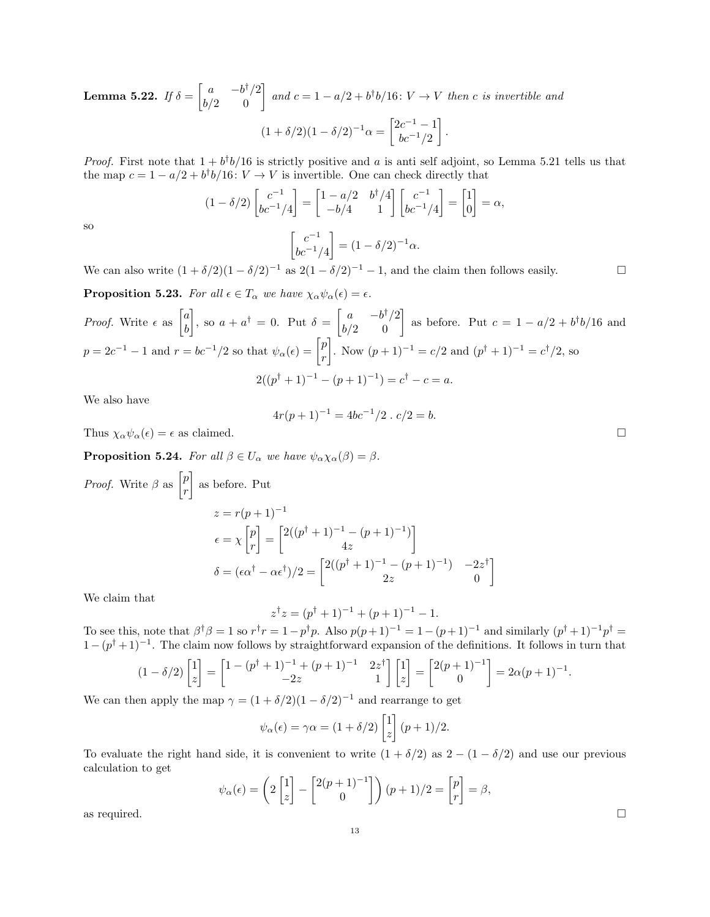**Lemma 5.22.** If  $\delta = \begin{bmatrix} a & -b^{\dagger}/2 \\ b/2 & 0 \end{bmatrix}$  and  $c = 1 - a/2 + b^{\dagger}b/16$ :  $V \rightarrow V$  then c is invertible and  $(1+\delta/2)(1-\delta/2)^{-1}\alpha = \begin{bmatrix} 2c^{-1}-1 \\ k-1/2 \end{bmatrix}$  $bc^{-1}/2$ .

*Proof.* First note that  $1 + b^{\dagger}b/16$  is strictly positive and a is anti self adjoint, so Lemma 5.21 tells us that the map  $c = 1 - a/2 + b^{\dagger}b/16$ :  $V \rightarrow V$  is invertible. One can check directly that

$$
(1 - \delta/2) \begin{bmatrix} c^{-1} \\ bc^{-1}/4 \end{bmatrix} = \begin{bmatrix} 1 - a/2 & b^{\dagger}/4 \\ -b/4 & 1 \end{bmatrix} \begin{bmatrix} c^{-1} \\ bc^{-1}/4 \end{bmatrix} = \begin{bmatrix} 1 \\ 0 \end{bmatrix} = \alpha,
$$

$$
\begin{bmatrix} c^{-1} \\ bc^{-1}/4 \end{bmatrix} = (1 - \delta/2)^{-1}\alpha.
$$

so

 $bc^{-1}/4$ We can also write  $(1 + \delta/2)(1 - \delta/2)^{-1}$  as  $2(1 - \delta/2)^{-1} - 1$ , and the claim then follows easily.

**Proposition 5.23.** For all  $\epsilon \in T_\alpha$  we have  $\chi_\alpha \psi_\alpha(\epsilon) = \epsilon$ .

*Proof.* Write 
$$
\epsilon
$$
 as  $\begin{bmatrix} a \\ b \end{bmatrix}$ , so  $a + a^{\dagger} = 0$ . Put  $\delta = \begin{bmatrix} a & -b^{\dagger}/2 \\ b/2 & 0 \end{bmatrix}$  as before. Put  $c = 1 - a/2 + b^{\dagger}b/16$  and  $p = 2c^{-1} - 1$  and  $r = bc^{-1}/2$  so that  $\psi_{\alpha}(\epsilon) = \begin{bmatrix} p \\ r \end{bmatrix}$ . Now  $(p+1)^{-1} = c/2$  and  $(p^{\dagger} + 1)^{-1} = c^{\dagger}/2$ , so  $2((p^{\dagger} + 1)^{-1} - (p+1)^{-1}) = c^{\dagger} - c = a$ .

We also have

$$
4r(p+1)^{-1} = 4bc^{-1}/2 \cdot c/2 = b.
$$

Thus  $\chi_{\alpha}\psi_{\alpha}(\epsilon) = \epsilon$  as claimed.

**Proposition 5.24.** For all  $\beta \in U_{\alpha}$  we have  $\psi_{\alpha} \chi_{\alpha}(\beta) = \beta$ .

*Proof.* Write 
$$
\beta
$$
 as  $\begin{bmatrix} p \\ r \end{bmatrix}$  as before. Put  
\n
$$
z = r(p+1)^{-1}
$$
\n
$$
\epsilon = \chi \begin{bmatrix} p \\ r \end{bmatrix} = \begin{bmatrix} 2((p^{\dagger} + 1)^{-1} - (p+1)^{-1}) \\ 4z \end{bmatrix}
$$
\n
$$
\delta = (\epsilon \alpha^{\dagger} - \alpha \epsilon^{\dagger})/2 = \begin{bmatrix} 2((p^{\dagger} + 1)^{-1} - (p+1)^{-1}) & -2z^{\dagger} \\ 2z & 0 \end{bmatrix}
$$

We claim that

$$
z^{\dagger}z = (p^{\dagger} + 1)^{-1} + (p+1)^{-1} - 1.
$$

To see this, note that  $\beta^{\dagger} \beta = 1$  so  $r^{\dagger} r = 1 - p^{\dagger} p$ . Also  $p(p+1)^{-1} = 1 - (p+1)^{-1}$  and similarly  $(p^{\dagger}+1)^{-1} p^{\dagger} =$  $1-(p^{\dagger}+1)^{-1}$ . The claim now follows by straightforward expansion of the definitions. It follows in turn that

$$
(1 - \delta/2) \begin{bmatrix} 1 \\ z \end{bmatrix} = \begin{bmatrix} 1 - (p^{\dagger} + 1)^{-1} + (p + 1)^{-1} & 2z^{\dagger} \\ -2z & 1 \end{bmatrix} \begin{bmatrix} 1 \\ z \end{bmatrix} = \begin{bmatrix} 2(p+1)^{-1} \\ 0 \end{bmatrix} = 2\alpha(p+1)^{-1}.
$$

We can then apply the map  $\gamma = (1 + \delta/2)(1 - \delta/2)^{-1}$  and rearrange to get

$$
\psi_{\alpha}(\epsilon) = \gamma \alpha = (1 + \delta/2) \begin{bmatrix} 1 \\ z \end{bmatrix} (p+1)/2.
$$

To evaluate the right hand side, it is convenient to write  $(1 + \delta/2)$  as  $2 - (1 - \delta/2)$  and use our previous calculation to get

$$
\psi_{\alpha}(\epsilon) = \left(2\begin{bmatrix}1\\z\end{bmatrix} - \begin{bmatrix}2(p+1)^{-1}\\0\end{bmatrix}\right)(p+1)/2 = \begin{bmatrix}p\\r\end{bmatrix} = \beta,
$$
 as required.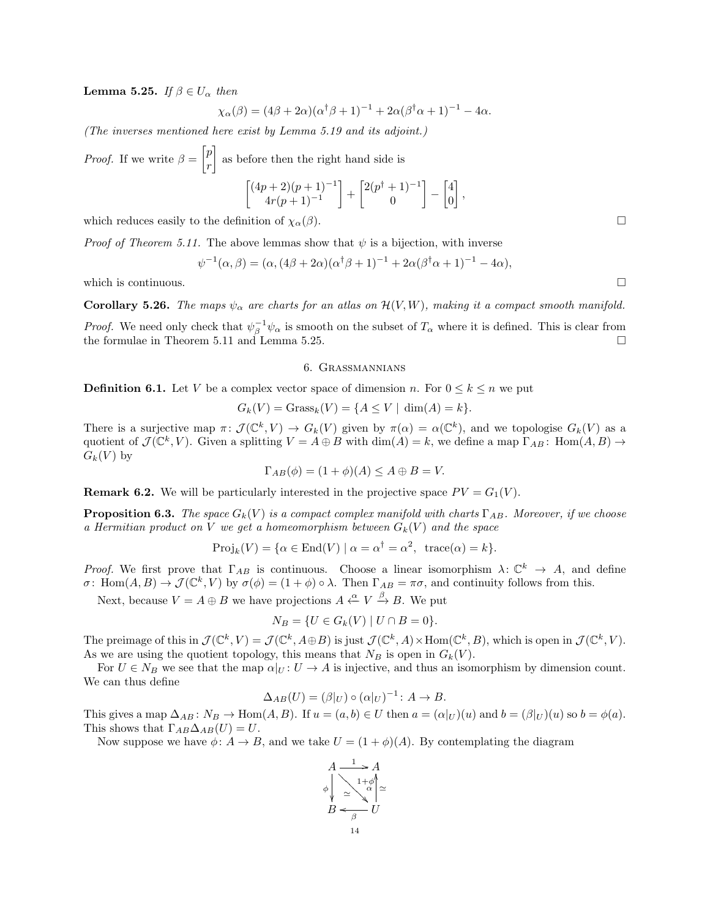Lemma 5.25. If  $\beta \in U_{\alpha}$  then

$$
\chi_{\alpha}(\beta) = (4\beta + 2\alpha)(\alpha^{\dagger}\beta + 1)^{-1} + 2\alpha(\beta^{\dagger}\alpha + 1)^{-1} - 4\alpha.
$$

(The inverses mentioned here exist by Lemma 5.19 and its adjoint.)

*Proof.* If we write  $\beta = \begin{bmatrix} p \\ p \end{bmatrix}$ r as before then the right hand side is

$$
\begin{bmatrix} (4p+2)(p+1)^{-1} \\ 4r(p+1)^{-1} \end{bmatrix} + \begin{bmatrix} 2(p^{\dagger}+1)^{-1} \\ 0 \end{bmatrix} - \begin{bmatrix} 4 \\ 0 \end{bmatrix},
$$

which reduces easily to the definition of  $\chi_{\alpha}(\beta)$ .

*Proof of Theorem 5.11.* The above lemmas show that  $\psi$  is a bijection, with inverse

$$
\psi^{-1}(\alpha,\beta) = (\alpha,(4\beta+2\alpha)(\alpha^{\dagger}\beta+1)^{-1} + 2\alpha(\beta^{\dagger}\alpha+1)^{-1} - 4\alpha),
$$

which is continuous.  $\Box$ 

**Corollary 5.26.** The maps  $\psi_{\alpha}$  are charts for an atlas on  $\mathcal{H}(V, W)$ , making it a compact smooth manifold.

*Proof.* We need only check that  $\psi_{\beta}^{-1}\psi_{\alpha}$  is smooth on the subset of  $T_{\alpha}$  where it is defined. This is clear from the formulae in Theorem 5.11 and Lemma 5.25.

#### 6. Grassmannians

**Definition 6.1.** Let V be a complex vector space of dimension n. For  $0 \le k \le n$  we put

$$
G_k(V) = \text{Grass}_k(V) = \{ A \le V \mid \dim(A) = k \}.
$$

There is a surjective map  $\pi: \mathcal{J}(\mathbb{C}^k, V) \to G_k(V)$  given by  $\pi(\alpha) = \alpha(\mathbb{C}^k)$ , and we topologise  $G_k(V)$  as a quotient of  $\mathcal{J}(\mathbb{C}^k, V)$ . Given a splitting  $V = A \oplus B$  with  $\dim(A) = k$ , we define a map  $\Gamma_{AB}$ :  $\text{Hom}(A, B) \rightarrow$  $G_k(V)$  by

$$
\Gamma_{AB}(\phi) = (1 + \phi)(A) \le A \oplus B = V.
$$

**Remark 6.2.** We will be particularly interested in the projective space  $PV = G_1(V)$ .

**Proposition 6.3.** The space  $G_k(V)$  is a compact complex manifold with charts  $\Gamma_{AB}$ . Moreover, if we choose a Hermitian product on V we get a homeomorphism between  $G_k(V)$  and the space

$$
Proj_k(V) = \{ \alpha \in End(V) \mid \alpha = \alpha^{\dagger} = \alpha^2, \text{ trace}(\alpha) = k \}.
$$

Proof. We first prove that  $\Gamma_{AB}$  is continuous. Choose a linear isomorphism  $\lambda: \mathbb{C}^k \to A$ , and define  $\sigma\colon \mathrm{Hom}(A,B)\to \mathcal{J}(\mathbb{C}^k,V)$  by  $\sigma(\phi)=(1+\phi)\circ \lambda$ . Then  $\Gamma_{AB}=\pi\sigma$ , and continuity follows from this.

Next, because  $V = A \oplus B$  we have projections  $A \xleftarrow{\alpha} V \xrightarrow{\beta} B$ . We put

$$
N_B = \{ U \in G_k(V) \mid U \cap B = 0 \}.
$$

The preimage of this in  $\mathcal{J}(\mathbb{C}^k, V) = \mathcal{J}(\mathbb{C}^k, A \oplus B)$  is just  $\mathcal{J}(\mathbb{C}^k, A) \times \text{Hom}(\mathbb{C}^k, B)$ , which is open in  $\mathcal{J}(\mathbb{C}^k, V)$ . As we are using the quotient topology, this means that  $N_B$  is open in  $G_k(V)$ .

For  $U \in N_B$  we see that the map  $\alpha|_U: U \to A$  is injective, and thus an isomorphism by dimension count. We can thus define

$$
\Delta_{AB}(U) = (\beta|_U) \circ (\alpha|_U)^{-1} : A \to B.
$$

This gives a map  $\Delta_{AB}$ :  $N_B \to \text{Hom}(A, B)$ . If  $u = (a, b) \in U$  then  $a = (\alpha|_U)(u)$  and  $b = (\beta|_U)(u)$  so  $b = \phi(a)$ . This shows that  $\Gamma_{AB}\Delta_{AB}(U) = U$ .

Now suppose we have  $\phi: A \to B$ , and we take  $U = (1 + \phi)(A)$ . By contemplating the diagram

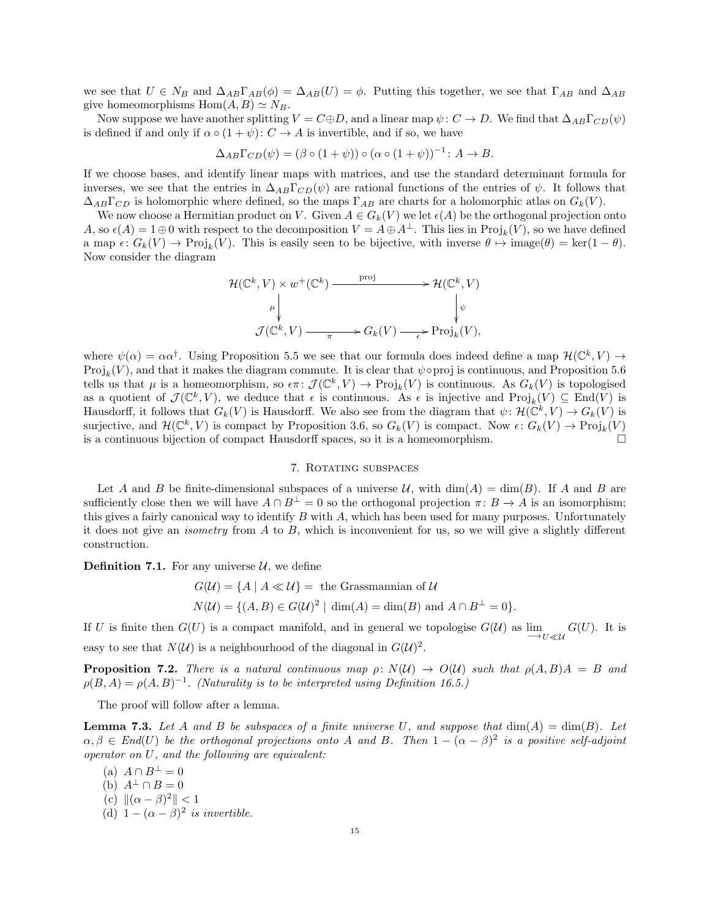we see that  $U \in N_B$  and  $\Delta_{AB}\Gamma_{AB}(\phi) = \Delta_{AB}(U) = \phi$ . Putting this together, we see that  $\Gamma_{AB}$  and  $\Delta_{AB}$ give homeomorphisms  $Hom(A, B) \simeq N_B$ .

Now suppose we have another splitting  $V = C \oplus D$ , and a linear map  $\psi: C \to D$ . We find that  $\Delta_{AB} \Gamma_{CD}(\psi)$ is defined if and only if  $\alpha \circ (1 + \psi) : C \to A$  is invertible, and if so, we have

$$
\Delta_{AB}\Gamma_{CD}(\psi) = (\beta \circ (1+\psi)) \circ (\alpha \circ (1+\psi))^{-1} : A \to B.
$$

If we choose bases, and identify linear maps with matrices, and use the standard determinant formula for inverses, we see that the entries in  $\Delta_{AB}\Gamma_{CD}(\psi)$  are rational functions of the entries of  $\psi$ . It follows that  $\Delta_{AB}\Gamma_{CD}$  is holomorphic where defined, so the maps  $\Gamma_{AB}$  are charts for a holomorphic atlas on  $G_k(V)$ .

We now choose a Hermitian product on V. Given  $A \in G_k(V)$  we let  $\epsilon(A)$  be the orthogonal projection onto A, so  $\epsilon(A) = 1 \oplus 0$  with respect to the decomposition  $V = A \oplus A^{\perp}$ . This lies in  $\text{Proj}_k(V)$ , so we have defined a map  $\epsilon: G_k(V) \to \text{Proj}_k(V)$ . This is easily seen to be bijective, with inverse  $\theta \mapsto \text{image}(\theta) = \text{ker}(1 - \theta)$ . Now consider the diagram

$$
\mathcal{H}(\mathbb{C}^k, V) \times w^+(\mathbb{C}^k) \xrightarrow{\text{proj}} \mathcal{H}(\mathbb{C}^k, V)
$$
\n
$$
\downarrow \qquad \qquad \downarrow \qquad \qquad \downarrow \qquad \qquad \downarrow \qquad \qquad \downarrow \qquad \qquad \downarrow \qquad \qquad \downarrow \qquad \qquad \downarrow \qquad \qquad \downarrow
$$
\n
$$
\mathcal{J}(\mathbb{C}^k, V) \xrightarrow{\pi} G_k(V) \xrightarrow{\epsilon} \text{Proj}_k(V),
$$

where  $\psi(\alpha) = \alpha \alpha^{\dagger}$ . Using Proposition 5.5 we see that our formula does indeed define a map  $\mathcal{H}(\mathbb{C}^k, V) \to$  $Proj_k(V)$ , and that it makes the diagram commute. It is clear that  $\psi \circ proj$  is continuous, and Proposition 5.6 tells us that  $\mu$  is a homeomorphism, so  $\epsilon \pi \colon \mathcal{J}(\mathbb{C}^k, V) \to \text{Proj}_k(V)$  is continuous. As  $G_k(V)$  is topologised as a quotient of  $\mathcal{J}(\mathbb{C}^k, V)$ , we deduce that  $\epsilon$  is continuous. As  $\epsilon$  is injective and  $\text{Proj}_k(V) \subseteq \text{End}(V)$  is Hausdorff, it follows that  $G_k(V)$  is Hausdorff. We also see from the diagram that  $\psi \colon \mathcal{H}(\mathbb{C}^k, V) \to G_k(V)$  is surjective, and  $\mathcal{H}(\mathbb{C}^k, V)$  is compact by Proposition 3.6, so  $G_k(V)$  is compact. Now  $\epsilon: G_k(V) \to \text{Proj}_k(V)$ is a continuous bijection of compact Hausdorff spaces, so it is a homeomorphism.

## 7. Rotating subspaces

Let A and B be finite-dimensional subspaces of a universe U, with  $\dim(A) = \dim(B)$ . If A and B are sufficiently close then we will have  $A \cap B^{\perp} = 0$  so the orthogonal projection  $\pi \colon B \to A$  is an isomorphism; this gives a fairly canonical way to identify  $B$  with  $A$ , which has been used for many purposes. Unfortunately it does not give an *isometry* from  $A$  to  $B$ , which is inconvenient for us, so we will give a slightly different construction.

**Definition 7.1.** For any universe  $\mathcal{U}$ , we define

$$
G(\mathcal{U}) = \{ A \mid A \ll \mathcal{U} \} = \text{ the Grassmannian of } \mathcal{U}
$$
  

$$
N(\mathcal{U}) = \{ (A, B) \in G(\mathcal{U})^2 \mid \dim(A) = \dim(B) \text{ and } A \cap B^{\perp} = 0 \}.
$$

If U is finite then  $G(U)$  is a compact manifold, and in general we topologise  $G(\mathcal{U})$  as  $\lim_{\longrightarrow U \ll \mathcal{U}} G(U)$ . It is easy to see that  $N(\mathcal{U})$  is a neighbourhood of the diagonal in  $G(\mathcal{U})^2$ .

**Proposition 7.2.** There is a natural continuous map  $\rho: N(\mathcal{U}) \to O(\mathcal{U})$  such that  $\rho(A, B)A = B$  and  $\rho(B, A) = \rho(A, B)^{-1}$ . (Naturality is to be interpreted using Definition 16.5.)

The proof will follow after a lemma.

**Lemma 7.3.** Let A and B be subspaces of a finite universe U, and suppose that  $dim(A) = dim(B)$ . Let  $\alpha, \beta \in End(U)$  be the orthogonal projections onto A and B. Then  $1 - (\alpha - \beta)^2$  is a positive self-adjoint operator on U, and the following are equivalent:

- (a)  $A \cap B^{\perp} = 0$
- (b)  $A^{\perp} \cap B = 0$
- (c)  $\|(\alpha \beta)^2\| < 1$
- (d)  $1 (\alpha \beta)^2$  is invertible.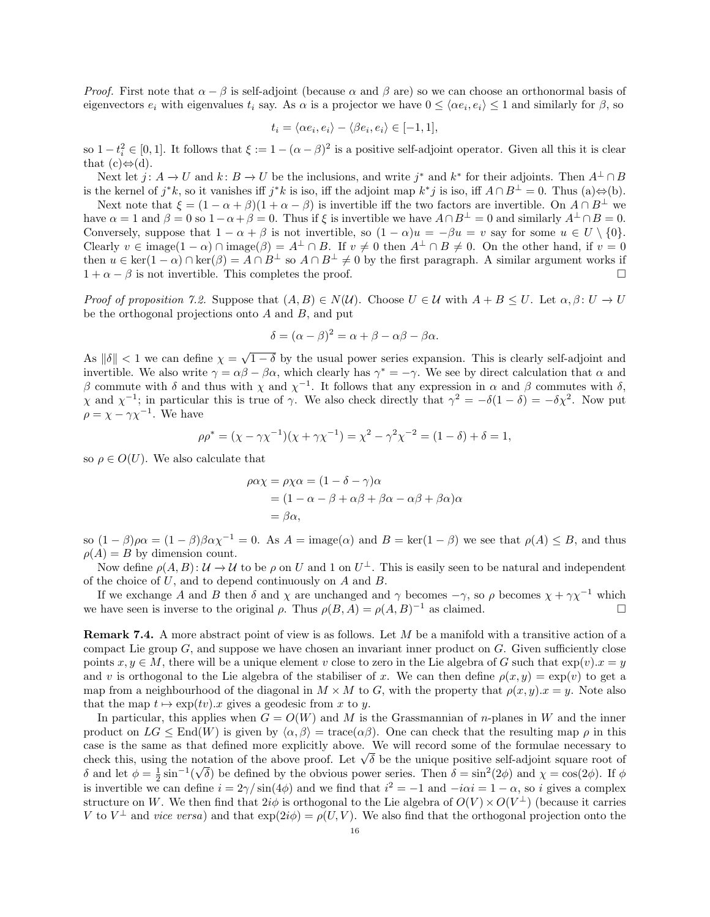*Proof.* First note that  $\alpha - \beta$  is self-adjoint (because  $\alpha$  and  $\beta$  are) so we can choose an orthonormal basis of eigenvectors  $e_i$  with eigenvalues  $t_i$  say. As  $\alpha$  is a projector we have  $0 \leq \langle \alpha e_i, e_i \rangle \leq 1$  and similarly for  $\beta$ , so

$$
t_i = \langle \alpha e_i, e_i \rangle - \langle \beta e_i, e_i \rangle \in [-1, 1],
$$

so  $1-t_i^2 \in [0,1]$ . It follows that  $\xi := 1-(\alpha-\beta)^2$  is a positive self-adjoint operator. Given all this it is clear that  $(c) \Leftrightarrow (d)$ .

Next let  $j: A \to U$  and  $k: B \to U$  be the inclusions, and write  $j^*$  and  $k^*$  for their adjoints. Then  $A^{\perp} \cap B$ is the kernel of  $j^*k$ , so it vanishes iff  $j^*k$  is iso, iff the adjoint map  $k^*j$  is iso, iff  $A \cap B^{\perp} = 0$ . Thus  $(a) \Leftrightarrow (b)$ .

Next note that  $\xi = (1 - \alpha + \beta)(1 + \alpha - \beta)$  is invertible iff the two factors are invertible. On  $A \cap B^{\perp}$  we have  $\alpha = 1$  and  $\beta = 0$  so  $1 - \alpha + \beta = 0$ . Thus if  $\xi$  is invertible we have  $A \cap B^{\perp} = 0$  and similarly  $A^{\perp} \cap B = 0$ . Conversely, suppose that  $1 - \alpha + \beta$  is not invertible, so  $(1 - \alpha)u = -\beta u = v$  say for some  $u \in U \setminus \{0\}.$ Clearly  $v \in \text{image}(1 - \alpha) \cap \text{image}(\beta) = A^{\perp} \cap B$ . If  $v \neq 0$  then  $A^{\perp} \cap B \neq 0$ . On the other hand, if  $v = 0$ then  $u \in \ker(1 - \alpha) \cap \ker(\beta) = A \cap B^{\perp}$  so  $A \cap B^{\perp} \neq 0$  by the first paragraph. A similar argument works if  $1 + \alpha - \beta$  is not invertible. This completes the proof.

*Proof of proposition 7.2.* Suppose that  $(A, B) \in N(\mathcal{U})$ . Choose  $U \in \mathcal{U}$  with  $A + B \leq U$ . Let  $\alpha, \beta \colon U \to U$ be the orthogonal projections onto  $A$  and  $B$ , and put

$$
\delta = (\alpha - \beta)^2 = \alpha + \beta - \alpha\beta - \beta\alpha.
$$

As  $\|\delta\|$  < 1 we can define  $\chi =$ √  $1 - \delta$  by the usual power series expansion. This is clearly self-adjoint and invertible. We also write  $\gamma = \alpha \beta - \beta \alpha$ , which clearly has  $\gamma^* = -\gamma$ . We see by direct calculation that  $\alpha$  and β commute with δ and thus with  $\chi$  and  $\chi^{-1}$ . It follows that any expression in  $\alpha$  and β commutes with δ,  $\chi$  and  $\chi^{-1}$ ; in particular this is true of γ. We also check directly that  $\gamma^2 = -\delta(1 - \delta) = -\delta\chi^2$ . Now put  $\rho = \chi - \gamma \chi^{-1}$ . We have

$$
\rho \rho^* = (\chi - \gamma \chi^{-1})(\chi + \gamma \chi^{-1}) = \chi^2 - \gamma^2 \chi^{-2} = (1 - \delta) + \delta = 1,
$$

so  $\rho \in O(U)$ . We also calculate that

$$
\rho \alpha \chi = \rho \chi \alpha = (1 - \delta - \gamma) \alpha
$$
  
= (1 - \alpha - \beta + \alpha \beta + \beta \alpha - \alpha \beta + \beta \alpha) \alpha  
= \beta \alpha,

so  $(1 - \beta)\rho\alpha = (1 - \beta)\beta\alpha\chi^{-1} = 0$ . As  $A = \text{image}(\alpha)$  and  $B = \text{ker}(1 - \beta)$  we see that  $\rho(A) \leq B$ , and thus  $\rho(A) = B$  by dimension count.

Now define  $\rho(A, B)$ :  $\mathcal{U} \to \mathcal{U}$  to be  $\rho$  on U and 1 on  $U^{\perp}$ . This is easily seen to be natural and independent of the choice of U, and to depend continuously on A and B.

If we exchange A and B then  $\delta$  and  $\chi$  are unchanged and  $\gamma$  becomes  $-\gamma$ , so  $\rho$  becomes  $\chi + \gamma \chi^{-1}$  which we have seen is inverse to the original  $\rho$ . Thus  $\rho(B, A) = \rho(A, B)^{-1}$  as claimed.

Remark 7.4. A more abstract point of view is as follows. Let M be a manifold with a transitive action of a compact Lie group  $G$ , and suppose we have chosen an invariant inner product on  $G$ . Given sufficiently close points  $x, y \in M$ , there will be a unique element v close to zero in the Lie algebra of G such that  $\exp(v).x = y$ and v is orthogonal to the Lie algebra of the stabiliser of x. We can then define  $\rho(x, y) = \exp(v)$  to get a map from a neighbourhood of the diagonal in  $M \times M$  to G, with the property that  $\rho(x, y).x = y$ . Note also that the map  $t \mapsto \exp(tv).x$  gives a geodesic from x to y.

In particular, this applies when  $G = O(W)$  and M is the Grassmannian of n-planes in W and the inner product on  $LG \leq End(W)$  is given by  $\langle \alpha, \beta \rangle = \text{trace}(\alpha \beta)$ . One can check that the resulting map  $\rho$  in this case is the same as that defined more explicitly above. We will record some of the formulae necessary to case is the same as that defined more explicitly above. We will record some of the formulae necessary to check this, using the notation of the above proof. Let  $\sqrt{\delta}$  be the unique positive self-adjoint square root of δ and let  $\phi = \frac{1}{2} \sin^{-1}(\sqrt{\delta})$  be defined by the obvious power series. Then  $\delta = \sin^2(2\phi)$  and  $\chi = \cos(2\phi)$ . If  $\phi$ is invertible we can define  $i = 2\gamma / \sin(4\phi)$  and we find that  $i^2 = -1$  and  $-i\alpha i = 1 - \alpha$ , so i gives a complex structure on W. We then find that  $2i\phi$  is orthogonal to the Lie algebra of  $O(V) \times O(V^{\perp})$  (because it carries V to  $V^{\perp}$  and vice versa) and that  $\exp(2i\phi) = \rho(U, V)$ . We also find that the orthogonal projection onto the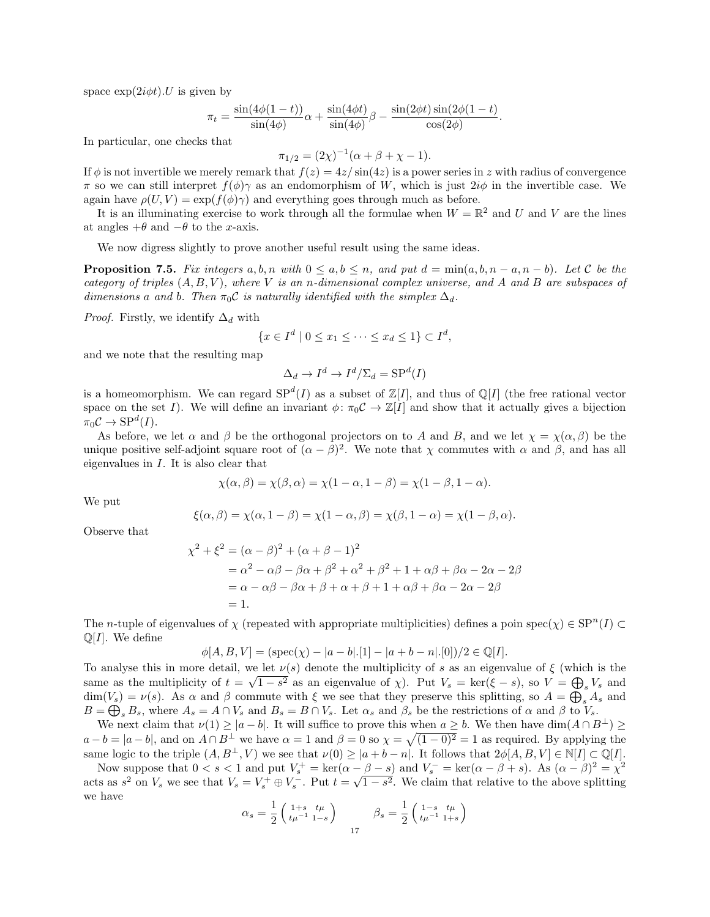space  $\exp(2i\phi t)$ . U is given by

$$
\pi_t = \frac{\sin(4\phi(1-t))}{\sin(4\phi)}\alpha + \frac{\sin(4\phi t)}{\sin(4\phi)}\beta - \frac{\sin(2\phi t)\sin(2\phi(1-t)}{\cos(2\phi)}.
$$

In particular, one checks that

$$
\pi_{1/2} = (2\chi)^{-1}(\alpha + \beta + \chi - 1).
$$

If  $\phi$  is not invertible we merely remark that  $f(z) = 4z/\sin(4z)$  is a power series in z with radius of convergence π so we can still interpret  $f(φ)γ$  as an endomorphism of W, which is just  $2iφ$  in the invertible case. We again have  $\rho(U, V) = \exp(f(\phi)\gamma)$  and everything goes through much as before.

It is an illuminating exercise to work through all the formulae when  $W = \mathbb{R}^2$  and U and V are the lines at angles  $+\theta$  and  $-\theta$  to the x-axis.

We now digress slightly to prove another useful result using the same ideas.

**Proposition 7.5.** Fix integers a, b, n with  $0 \le a, b \le n$ , and put  $d = \min(a, b, n - a, n - b)$ . Let C be the category of triples  $(A, B, V)$ , where V is an n-dimensional complex universe, and A and B are subspaces of dimensions a and b. Then  $\pi_0 \mathcal{C}$  is naturally identified with the simplex  $\Delta_d$ .

*Proof.* Firstly, we identify  $\Delta_d$  with

$$
\{x \in I^d \mid 0 \le x_1 \le \dots \le x_d \le 1\} \subset I^d,
$$

and we note that the resulting map

$$
\Delta_d \to I^d \to I^d / \Sigma_d = \text{SP}^d(I)
$$

is a homeomorphism. We can regard  $SP<sup>d</sup>(I)$  as a subset of  $\mathbb{Z}[I]$ , and thus of  $\mathbb{Q}[I]$  (the free rational vector space on the set I). We will define an invariant  $\phi: \pi_0 C \to \mathbb{Z}[I]$  and show that it actually gives a bijection  $\pi_0 C \to \text{SP}^d(I).$ 

As before, we let  $\alpha$  and  $\beta$  be the orthogonal projectors on to A and B, and we let  $\chi = \chi(\alpha, \beta)$  be the unique positive self-adjoint square root of  $(\alpha - \beta)^2$ . We note that  $\chi$  commutes with  $\alpha$  and  $\beta$ , and has all eigenvalues in I. It is also clear that

$$
\chi(\alpha,\beta) = \chi(\beta,\alpha) = \chi(1-\alpha,1-\beta) = \chi(1-\beta,1-\alpha).
$$

We put

$$
\xi(\alpha,\beta)=\chi(\alpha,1-\beta)=\chi(1-\alpha,\beta)=\chi(\beta,1-\alpha)=\chi(1-\beta,\alpha).
$$

Observe that

$$
\chi^2 + \xi^2 = (\alpha - \beta)^2 + (\alpha + \beta - 1)^2
$$
  
=  $\alpha^2 - \alpha\beta - \beta\alpha + \beta^2 + \alpha^2 + \beta^2 + 1 + \alpha\beta + \beta\alpha - 2\alpha - 2\beta$   
=  $\alpha - \alpha\beta - \beta\alpha + \beta + \alpha + \beta + 1 + \alpha\beta + \beta\alpha - 2\alpha - 2\beta$   
= 1.

The *n*-tuple of eigenvalues of  $\chi$  (repeated with appropriate multiplicities) defines a poin spec $(\chi) \in \text{SP}^n(I) \subset$  $\mathbb{Q}[I]$ . We define

$$
\phi[A, B, V] = (\text{spec}(\chi) - |a - b|.[1] - |a + b - n|.[0])/2 \in \mathbb{Q}[I].
$$

To analyse this in more detail, we let  $\nu(s)$  denote the multiplicity of s as an eigenvalue of  $\xi$  (which is the same as the multiplicity of  $t = \sqrt{1 - s^2}$  as an eigenvalue of  $\chi$ ). Put  $V_s = \text{ker}(\xi - s)$ , so  $V = \bigoplus_s V_s$  and  $\dim(V_s) = \nu(s)$ . As  $\alpha$  and  $\beta$  commute with  $\xi$  we see that they preserve this splitting, so  $A = \bigoplus_s A_s$  and  $B = \bigoplus_{s} B_s$ , where  $A_s = A \cap V_s$  and  $B_s = B \cap V_s$ . Let  $\alpha_s$  and  $\beta_s$  be the restrictions of  $\alpha$  and  $\beta$  to  $V_s$ .

We next claim that  $\nu(1) \geq |a - b|$ . It will suffice to prove this when  $a \geq b$ . We then have  $\dim(A \cap B^{\perp}) \geq$  $a - b = |a - b|$ , and on  $A \cap B^{\perp}$  we have  $\alpha = 1$  and  $\beta = 0$  so  $\chi = \sqrt{(1 - 0)^2} = 1$  as required. By applying the same logic to the triple  $(A, B^{\perp}, V)$  we see that  $\nu(0) \geq |a + b - n|$ . It follows that  $2\phi[A, B, V] \in \mathbb{N}[I] \subset \mathbb{Q}[I]$ .

Now suppose that  $0 < s < 1$  and put  $V_s^+ = \ker(\alpha - \beta - s)$  and  $V_s^- = \ker(\alpha - \beta + s)$ . As  $(\alpha - \beta)^2 = \chi^2$ acts as  $s^2$  on  $V_s$  we see that  $V_s = V_s^+ \oplus V_s^-$ . Put  $t =$ √  $\overline{1-s^2}$ . We claim that relative to the above splitting we have  $\setminus$ 

$$
\alpha_s = \frac{1}{2} \begin{pmatrix} 1+s & t\mu \\ t\mu^{-1} & 1-s \end{pmatrix} \qquad \beta_s = \frac{1}{2} \begin{pmatrix} 1-s & t\mu \\ t\mu^{-1} & 1+s \end{pmatrix}
$$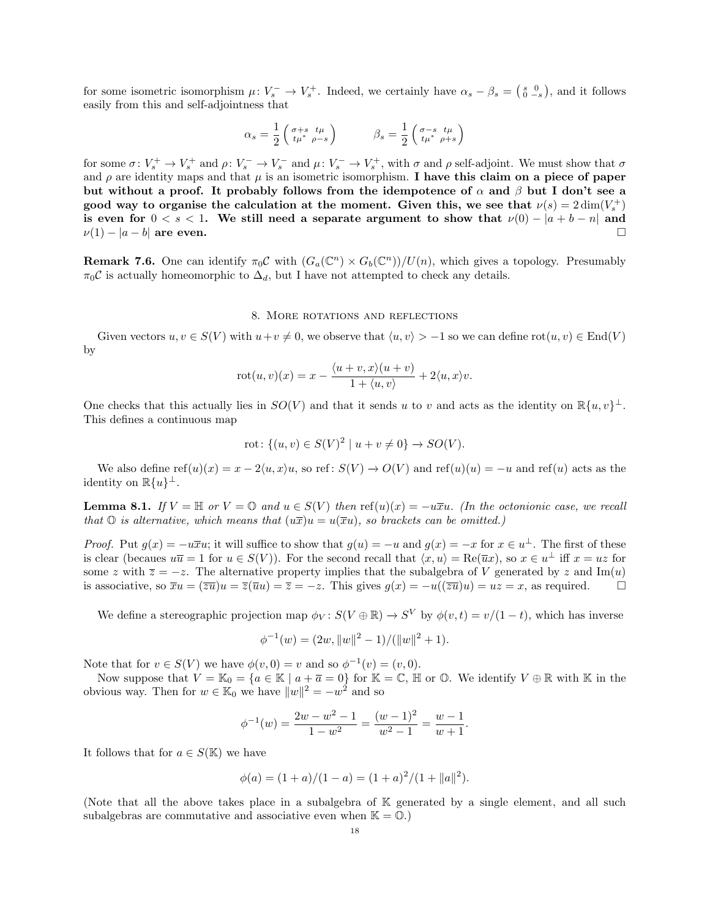for some isometric isomorphism  $\mu: V_s^- \to V_s^+$ . Indeed, we certainly have  $\alpha_s - \beta_s = \begin{pmatrix} s & 0 \\ 0 & -s \end{pmatrix}$ , and it follows easily from this and self-adjointness that

$$
\alpha_s = \frac{1}{2} \begin{pmatrix} \sigma + s & t\mu \\ t\mu^* & \rho - s \end{pmatrix} \qquad \qquad \beta_s = \frac{1}{2} \begin{pmatrix} \sigma - s & t\mu \\ t\mu^* & \rho + s \end{pmatrix}
$$

for some  $\sigma: V_s^+ \to V_s^+$  and  $\rho: V_s^- \to V_s^-$  and  $\mu: V_s^- \to V_s^+$ , with  $\sigma$  and  $\rho$  self-adjoint. We must show that  $\sigma$ and  $\rho$  are identity maps and that  $\mu$  is an isometric isomorphism. I have this claim on a piece of paper but without a proof. It probably follows from the idempotence of  $\alpha$  and  $\beta$  but I don't see a good way to organise the calculation at the moment. Given this, we see that  $\nu(s) = 2 \dim(V_s^+)$ is even for  $0 < s < 1$ . We still need a separate argument to show that  $\nu(0) - |a + b - n|$  and  $\nu(1) - |a - b|$  are even.

**Remark 7.6.** One can identify  $\pi_0 \mathcal{C}$  with  $(G_a(\mathbb{C}^n) \times G_b(\mathbb{C}^n))/U(n)$ , which gives a topology. Presumably  $\pi_0 C$  is actually homeomorphic to  $\Delta_d$ , but I have not attempted to check any details.

#### 8. More rotations and reflections

Given vectors  $u, v \in S(V)$  with  $u+v \neq 0$ , we observe that  $\langle u, v \rangle > -1$  so we can define rot $(u, v) \in End(V)$ by

$$
rot(u, v)(x) = x - \frac{\langle u + v, x \rangle(u + v)}{1 + \langle u, v \rangle} + 2\langle u, x \rangle v.
$$

One checks that this actually lies in  $SO(V)$  and that it sends u to v and acts as the identity on  $\mathbb{R}\{u, v\}^{\perp}$ . This defines a continuous map

$$
rot: \{(u, v) \in S(V)^{2} \mid u + v \neq 0\} \to SO(V).
$$

We also define  $ref(u)(x) = x - 2\langle u, x \rangle u$ , so ref:  $S(V) \rightarrow O(V)$  and  $ref(u)(u) = -u$  and  $ref(u)$  acts as the identity on  $\mathbb{R}\{u\}^{\perp}$ .

**Lemma 8.1.** If  $V = \mathbb{H}$  or  $V = \mathbb{O}$  and  $u \in S(V)$  then ref(u)(x) =  $-u\overline{x}u$ . (In the octonionic case, we recall that  $\mathbb{O}$  is alternative, which means that  $(u\overline{x})u = u(\overline{x}u)$ , so brackets can be omitted.)

*Proof.* Put  $g(x) = -u\overline{x}u$ ; it will suffice to show that  $g(u) = -u$  and  $g(x) = -x$  for  $x \in u^{\perp}$ . The first of these is clear (becaues  $u\overline{u} = 1$  for  $u \in S(V)$ ). For the second recall that  $\langle x, u \rangle = \text{Re}(\overline{u}x)$ , so  $x \in u^{\perp}$  iff  $x = uz$  for some z with  $\overline{z} = -z$ . The alternative property implies that the subalgebra of V generated by z and Im(u) is associative, so  $\overline{x}u = (\overline{z}\overline{u})u = \overline{z}(\overline{u}u) = \overline{z} = -z$ . This gives  $g(x) = -u((\overline{z}\overline{u})u) = uz = x$ , as required.

We define a stereographic projection map  $\phi_V : S(V \oplus \mathbb{R}) \to S^V$  by  $\phi(v, t) = v/(1-t)$ , which has inverse

$$
\phi^{-1}(w) = (2w, ||w||^2 - 1) / (||w||^2 + 1).
$$

Note that for  $v \in S(V)$  we have  $\phi(v, 0) = v$  and so  $\phi^{-1}(v) = (v, 0)$ .

Now suppose that  $V = \mathbb{K}_0 = \{a \in \mathbb{K} \mid a + \overline{a} = 0\}$  for  $\mathbb{K} = \mathbb{C}$ ,  $\mathbb{H}$  or  $\mathbb{O}$ . We identify  $V \oplus \mathbb{R}$  with  $\mathbb{K}$  in the obvious way. Then for  $w \in \mathbb{K}_0$  we have  $||w||^2 = -w^2$  and so

$$
\phi^{-1}(w) = \frac{2w - w^2 - 1}{1 - w^2} = \frac{(w - 1)^2}{w^2 - 1} = \frac{w - 1}{w + 1}.
$$

It follows that for  $a \in S(\mathbb{K})$  we have

$$
\phi(a) = (1+a)/(1-a) = (1+a)^2/(1+\|a\|^2).
$$

(Note that all the above takes place in a subalgebra of K generated by a single element, and all such subalgebras are commutative and associative even when  $\mathbb{K} = \mathbb{O}$ .)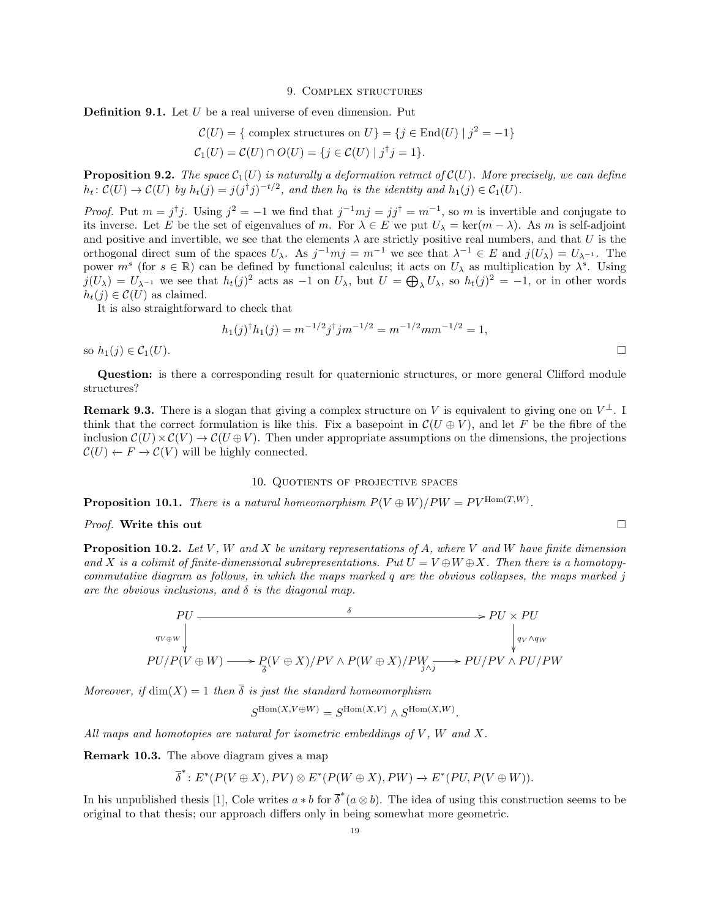#### 9. Complex structures

**Definition 9.1.** Let  $U$  be a real universe of even dimension. Put

$$
\mathcal{C}(U) = \{ \text{ complex structures on } U \} = \{ j \in \text{End}(U) \mid j^2 = -1 \}
$$
  

$$
\mathcal{C}_1(U) = \mathcal{C}(U) \cap O(U) = \{ j \in \mathcal{C}(U) \mid j^{\dagger}j = 1 \}.
$$

**Proposition 9.2.** The space  $C_1(U)$  is naturally a deformation retract of  $C(U)$ . More precisely, we can define  $h_t: \mathcal{C}(U) \to \mathcal{C}(U)$  by  $h_t(j) = j(j^{\dagger}j)^{-t/2}$ , and then  $h_0$  is the identity and  $h_1(j) \in \mathcal{C}_1(U)$ .

*Proof.* Put  $m = j^{\dagger}j$ . Using  $j^2 = -1$  we find that  $j^{-1}mj = jj^{\dagger} = m^{-1}$ , so m is invertible and conjugate to its inverse. Let E be the set of eigenvalues of m. For  $\lambda \in E$  we put  $U_{\lambda} = \text{ker}(m - \lambda)$ . As m is self-adjoint and positive and invertible, we see that the elements  $\lambda$  are strictly positive real numbers, and that U is the orthogonal direct sum of the spaces  $U_\lambda$ . As  $j^{-1}mj = m^{-1}$  we see that  $\lambda^{-1} \in E$  and  $j(U_\lambda) = U_{\lambda^{-1}}$ . The power  $m^s$  (for  $s \in \mathbb{R}$ ) can be defined by functional calculus; it acts on  $U_\lambda$  as multiplication by  $\lambda^s$ . Using  $j(U_\lambda) = U_{\lambda^{-1}}$  we see that  $h_t(j)^2$  acts as  $-1$  on  $U_\lambda$ , but  $U = \bigoplus_{\lambda} U_\lambda$ , so  $h_t(j)^2 = -1$ , or in other words  $h_t(j) \in \mathcal{C}(U)$  as claimed.

It is also straightforward to check that

$$
h_1(j)^{\dagger} h_1(j) = m^{-1/2} j^{\dagger} j m^{-1/2} = m^{-1/2} m m^{-1/2} = 1,
$$

so  $h_1(j) \in C_1(U)$ .

Question: is there a corresponding result for quaternionic structures, or more general Clifford module structures?

**Remark 9.3.** There is a slogan that giving a complex structure on V is equivalent to giving one on  $V^{\perp}$ . I think that the correct formulation is like this. Fix a basepoint in  $\mathcal{C}(U \oplus V)$ , and let F be the fibre of the inclusion  $\mathcal{C}(U) \times \mathcal{C}(V) \to \mathcal{C}(U \oplus V)$ . Then under appropriate assumptions on the dimensions, the projections  $\mathcal{C}(U) \leftarrow F \rightarrow \mathcal{C}(V)$  will be highly connected.

## 10. Quotients of projective spaces

**Proposition 10.1.** There is a natural homeomorphism  $P(V \oplus W)/PW = PV^{\text{Hom}(T,W)}$ .

# *Proof.* Write this out  $\Box$

**Proposition 10.2.** Let V, W and X be unitary representations of A, where V and W have finite dimension and X is a colimit of finite-dimensional subrepresentations. Put  $U = V \oplus W \oplus X$ . Then there is a homotopycommutative diagram as follows, in which the maps marked q are the obvious collapses, the maps marked j are the obvious inclusions, and  $\delta$  is the diagonal map.

$$
\begin{array}{c}\nPU \longrightarrow V \times PU \\
\downarrow^{q_{V \oplus W}} \\
PU/P(V \oplus W) \longrightarrow P(V \oplus X)/PV \wedge P(W \oplus X)/PW_{j \wedge j} \longrightarrow PU/PV \wedge PU/PW \\
\downarrow^{q_{V} \wedge q_{W}}\n\end{array}
$$

Moreover, if  $\dim(X) = 1$  then  $\overline{\delta}$  is just the standard homeomorphism

$$
S^{{\operatorname{Hom}\nolimits}(X,V\oplus W)}=S^{{\operatorname{Hom}\nolimits}(X,V)}\wedge S^{{\operatorname{Hom}\nolimits}(X,W)}.
$$

All maps and homotopies are natural for isometric embeddings of  $V$ ,  $W$  and  $X$ .

Remark 10.3. The above diagram gives a map

$$
\overline{\delta}^* \colon E^*(P(V \oplus X), PV) \otimes E^*(P(W \oplus X), PW) \to E^*(PU, P(V \oplus W)).
$$

In his unpublished thesis [1], Cole writes  $a * b$  for  $\overline{\delta}^*(a \otimes b)$ . The idea of using this construction seems to be original to that thesis; our approach differs only in being somewhat more geometric.

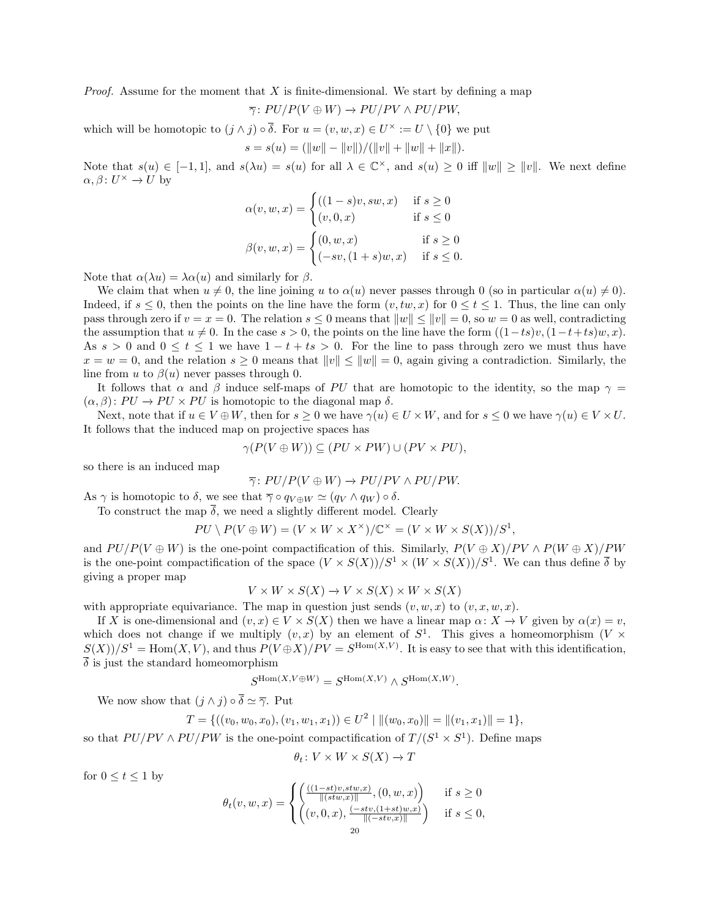*Proof.* Assume for the moment that  $X$  is finite-dimensional. We start by defining a map

$$
\overline{\gamma}: PU/P(V \oplus W) \to PU/PV \wedge PU/PW,
$$

which will be homotopic to  $(j \wedge j) \circ \overline{\delta}$ . For  $u = (v, w, x) \in U^{\times} := U \setminus \{0\}$  we put  $s = s(u) = (||w|| - ||v||)/(||v|| + ||w|| + ||x||).$ 

Note that  $s(u) \in [-1,1]$ , and  $s(\lambda u) = s(u)$  for all  $\lambda \in \mathbb{C}^{\times}$ , and  $s(u) \geq 0$  iff  $||w|| \geq ||v||$ . We next define  $\alpha, \beta \colon U^{\times} \to U$  by

$$
\alpha(v, w, x) = \begin{cases}\n((1-s)v, sw, x) & \text{if } s \ge 0 \\
(v, 0, x) & \text{if } s \le 0\n\end{cases}
$$
\n
$$
\beta(v, w, x) = \begin{cases}\n(0, w, x) & \text{if } s \ge 0 \\
(-sv, (1+s)w, x) & \text{if } s \le 0\n\end{cases}
$$

Note that  $\alpha(\lambda u) = \lambda \alpha(u)$  and similarly for  $\beta$ .

We claim that when  $u \neq 0$ , the line joining u to  $\alpha(u)$  never passes through 0 (so in particular  $\alpha(u) \neq 0$ ). Indeed, if  $s \leq 0$ , then the points on the line have the form  $(v, tw, x)$  for  $0 \leq t \leq 1$ . Thus, the line can only pass through zero if  $v = x = 0$ . The relation  $s \leq 0$  means that  $||w|| \leq ||v|| = 0$ , so  $w = 0$  as well, contradicting the assumption that  $u \neq 0$ . In the case  $s > 0$ , the points on the line have the form  $((1-ts)v, (1-t+ts)w, x)$ . As  $s > 0$  and  $0 \le t \le 1$  we have  $1 - t + ts > 0$ . For the line to pass through zero we must thus have  $x = w = 0$ , and the relation  $s \ge 0$  means that  $||v|| \le ||w|| = 0$ , again giving a contradiction. Similarly, the line from u to  $\beta(u)$  never passes through 0.

It follows that  $\alpha$  and  $\beta$  induce self-maps of PU that are homotopic to the identity, so the map  $\gamma =$  $(\alpha, \beta)$ :  $PU \rightarrow PU \times PU$  is homotopic to the diagonal map  $\delta$ .

Next, note that if  $u \in V \oplus W$ , then for  $s \geq 0$  we have  $\gamma(u) \in U \times W$ , and for  $s \leq 0$  we have  $\gamma(u) \in V \times U$ . It follows that the induced map on projective spaces has

$$
\gamma(P(V \oplus W)) \subseteq (PU \times PW) \cup (PV \times PU),
$$

so there is an induced map

$$
\overline{\gamma}: PU/P(V \oplus W) \to PU/PV \wedge PU/PW.
$$

As  $\gamma$  is homotopic to  $\delta$ , we see that  $\overline{\gamma} \circ q_{V \oplus W} \simeq (q_V \wedge q_W) \circ \delta$ .

To construct the map  $\overline{\delta}$ , we need a slightly different model. Clearly

$$
PU \setminus P(V \oplus W) = (V \times W \times X^{\times})/\mathbb{C}^{\times} = (V \times W \times S(X))/S^{1},
$$

and  $PU/P(V \oplus W)$  is the one-point compactification of this. Similarly,  $P(V \oplus X)/PV \wedge P(W \oplus X)/PW$ is the one-point compactification of the space  $(V \times S(X))/S^1 \times (W \times S(X))/S^1$ . We can thus define  $\overline{\delta}$  by giving a proper map

$$
V \times W \times S(X) \to V \times S(X) \times W \times S(X)
$$

with appropriate equivariance. The map in question just sends  $(v, w, x)$  to  $(v, x, w, x)$ .

If X is one-dimensional and  $(v, x) \in V \times S(X)$  then we have a linear map  $\alpha: X \to V$  given by  $\alpha(x) = v$ , which does not change if we multiply  $(v, x)$  by an element of  $S<sup>1</sup>$ . This gives a homeomorphism  $(V \times$  $S(X)/S^1 = \text{Hom}(X, V)$ , and thus  $P(V \oplus X)/PV = S^{\text{Hom}(X, V)}$ . It is easy to see that with this identification,  $\overline{\delta}$  is just the standard homeomorphism

$$
S^{{\operatorname{Hom}\nolimits}(X,V\oplus W)}=S^{{\operatorname{Hom}\nolimits}(X,V)}\wedge S^{{\operatorname{Hom}\nolimits}(X,W)}.
$$

We now show that  $(j \wedge j) \circ \overline{\delta} \simeq \overline{\gamma}$ . Put

$$
T = \{((v_0, w_0, x_0), (v_1, w_1, x_1)) \in U^2 \mid ||(w_0, x_0)|| = ||(v_1, x_1)|| = 1\},\
$$

so that  $PU/PV \wedge PU/PW$  is the one-point compactification of  $T/(S^1 \times S^1)$ . Define maps

$$
\theta_t \colon V \times W \times S(X) \to T
$$

for  $0 \le t \le 1$  by

$$
\theta_t(v, w, x) = \begin{cases} \left( \frac{((1 - st)v, stw, x)}{\|(stw, x)\|}, (0, w, x) \right) & \text{if } s \ge 0\\ \left( (v, 0, x), \frac{(-stv, (1 + st)w, x)}{\|( - stv, x)\|} \right) & \text{if } s \le 0, \end{cases}
$$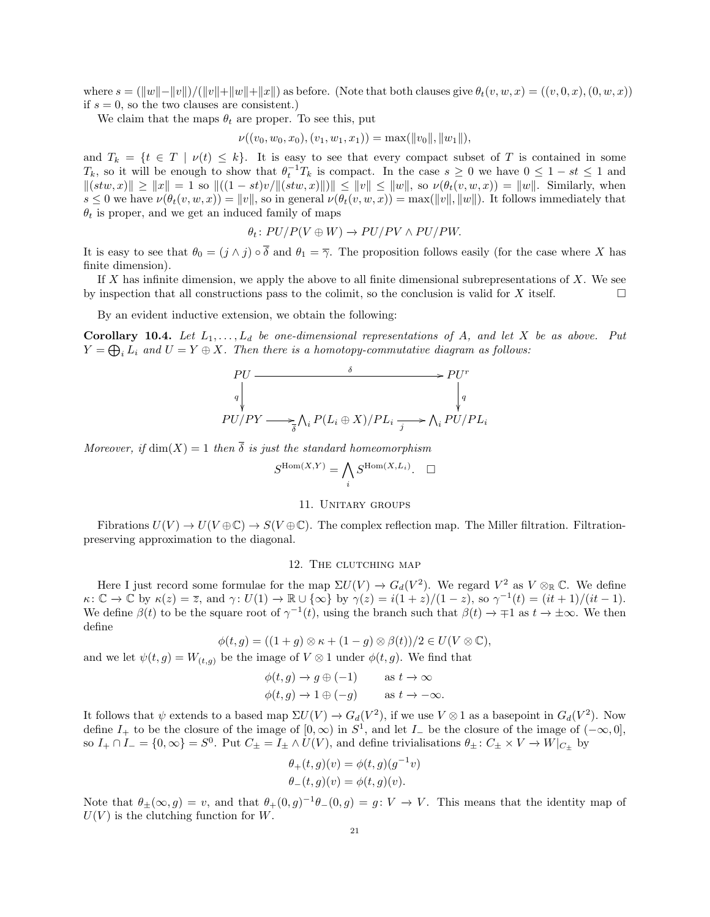where  $s = (\Vert w \Vert - \Vert v \Vert)/(\Vert v \Vert + \Vert w \Vert + \Vert x \Vert)$  as before. (Note that both clauses give  $\theta_t(v, w, x) = ((v, 0, x), (0, w, x))$ ) if  $s = 0$ , so the two clauses are consistent.)

We claim that the maps  $\theta_t$  are proper. To see this, put

$$
\nu((v_0, w_0, x_0), (v_1, w_1, x_1)) = \max(\|v_0\|, \|w_1\|),
$$

and  $T_k = \{t \in T \mid \nu(t) \leq k\}$ . It is easy to see that every compact subset of T is contained in some  $T_k$ , so it will be enough to show that  $\theta_t^{-1}T_k$  is compact. In the case  $s \geq 0$  we have  $0 \leq 1 - st \leq 1$  and  $||(stw, x)|| \ge ||x|| = 1$  so  $||(1 - st)v/||(stw, x)||)|| \le ||v|| \le ||w||$ , so  $\nu(\theta_t(v, w, x)) = ||w||$ . Similarly, when  $s \leq 0$  we have  $\nu(\theta_t(v, w, x)) = ||v||$ , so in general  $\nu(\theta_t(v, w, x)) = \max(||v||, ||w||)$ . It follows immediately that  $\theta_t$  is proper, and we get an induced family of maps

$$
\theta_t \colon PU/P(V \oplus W) \to PU/PV \land PU/PW.
$$

It is easy to see that  $\theta_0 = (j \wedge j) \circ \overline{\delta}$  and  $\theta_1 = \overline{\gamma}$ . The proposition follows easily (for the case where X has finite dimension).

If  $X$  has infinite dimension, we apply the above to all finite dimensional subrepresentations of  $X$ . We see by inspection that all constructions pass to the colimit, so the conclusion is valid for  $X$  itself.

By an evident inductive extension, we obtain the following:

Corollary 10.4. Let  $L_1, \ldots, L_d$  be one-dimensional representations of A, and let X be as above. Put  $Y = \bigoplus_i L_i$  and  $U = Y \oplus X$ . Then there is a homotopy-commutative diagram as follows:

$$
\begin{array}{ccc}\nPU & \xrightarrow{\delta} & \rightarrow & PU^r \\
\downarrow^{q} & & \downarrow^{q} \\
PU/PY & \xrightarrow{\overline{\delta}} \bigwedge_i P(L_i \oplus X) / PL_i \xrightarrow{j} & \bigwedge_i PU / PL_i\n\end{array}
$$

Moreover, if  $\dim(X) = 1$  then  $\overline{\delta}$  is just the standard homeomorphism

$$
S^{\mathrm{Hom}(X,Y)} = \bigwedge_i S^{\mathrm{Hom}(X,L_i)}.\quad \Box
$$

#### 11. Unitary groups

Fibrations  $U(V) \to U(V \oplus \mathbb{C}) \to S(V \oplus \mathbb{C})$ . The complex reflection map. The Miller filtration. Filtrationpreserving approximation to the diagonal.

### 12. THE CLUTCHING MAP

Here I just record some formulae for the map  $\Sigma U(V) \to G_d(V^2)$ . We regard  $V^2$  as  $V \otimes_{\mathbb{R}} \mathbb{C}$ . We define  $\kappa: \mathbb{C} \to \mathbb{C}$  by  $\kappa(z) = \overline{z}$ , and  $\gamma: U(1) \to \mathbb{R} \cup {\infty}$  by  $\gamma(z) = i(1+z)/(1-z)$ , so  $\gamma^{-1}(t) = (it+1)/(it-1)$ . We define  $\beta(t)$  to be the square root of  $\gamma^{-1}(t)$ , using the branch such that  $\beta(t) \to \mp 1$  as  $t \to \pm \infty$ . We then define

$$
\phi(t,g) = ((1+g) \otimes \kappa + (1-g) \otimes \beta(t))/2 \in U(V \otimes \mathbb{C}),
$$

and we let  $\psi(t, g) = W_{(t, g)}$  be the image of  $V \otimes 1$  under  $\phi(t, g)$ . We find that

$$
\begin{aligned}\n\phi(t,g) &\to g \oplus (-1) & \text{as } t \to \infty \\
\phi(t,g) &\to 1 \oplus (-g) & \text{as } t \to -\infty.\n\end{aligned}
$$

It follows that  $\psi$  extends to a based map  $\Sigma U(V) \to G_d(V^2)$ , if we use  $V \otimes 1$  as a basepoint in  $G_d(V^2)$ . Now define  $I_+$  to be the closure of the image of  $[0, \infty)$  in  $S^1$ , and let  $I_-$  be the closure of the image of  $(-\infty, 0]$ , so  $I_+ \cap I_- = \{0, \infty\} = S^0$ . Put  $C_\pm = I_\pm \wedge U(V)$ , and define trivialisations  $\theta_\pm: C_\pm \times V \to W|_{C_\pm}$  by

$$
\theta_+(t,g)(v) = \phi(t,g)(g^{-1}v)
$$
  

$$
\theta_-(t,g)(v) = \phi(t,g)(v).
$$

Note that  $\theta_{\pm}(\infty, g) = v$ , and that  $\theta_{+}(0, g)^{-1}\theta_{-}(0, g) = g: V \to V$ . This means that the identity map of  $U(V)$  is the clutching function for W.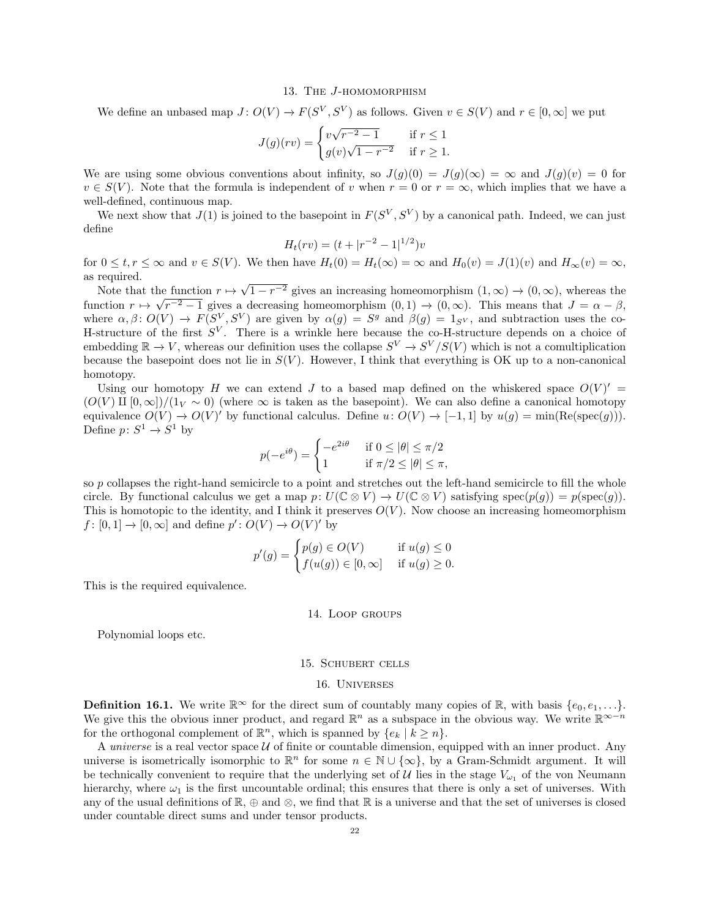#### 13. THE J-HOMOMORPHISM

We define an unbased map  $J: O(V) \to F(S^V, S^V)$  as follows. Given  $v \in S(V)$  and  $r \in [0, \infty]$  we put

$$
J(g)(rv) = \begin{cases} v\sqrt{r^{-2} - 1} & \text{if } r \le 1\\ g(v)\sqrt{1 - r^{-2}} & \text{if } r \ge 1. \end{cases}
$$

We are using some obvious conventions about infinity, so  $J(g)(0) = J(g)(\infty) = \infty$  and  $J(g)(v) = 0$  for  $v \in S(V)$ . Note that the formula is independent of v when  $r = 0$  or  $r = \infty$ , which implies that we have a well-defined, continuous map.

We next show that  $J(1)$  is joined to the basepoint in  $F(S^V, S^V)$  by a canonical path. Indeed, we can just define

$$
H_t(rv) = (t + |r^{-2} - 1|^{1/2})v
$$

for  $0 \le t, r \le \infty$  and  $v \in S(V)$ . We then have  $H_t(0) = H_t(\infty) = \infty$  and  $H_0(v) = J(1)(v)$  and  $H_\infty(v) = \infty$ , as required.

Note that the function  $r \mapsto$ he function  $r \mapsto \sqrt{1-r^{-2}}$  gives an increasing homeomorphism  $(1,\infty) \to (0,\infty)$ , whereas the function  $r \mapsto \sqrt{r^{-2}-1}$  gives a decreasing homeomorphism  $(0,1) \to (0,\infty)$ . This means that  $J = \alpha - \beta$ , where  $\alpha, \beta: O(V) \to F(S^V, S^V)$  are given by  $\alpha(g) = S^g$  and  $\beta(g) = 1_{S^V}$ , and subtraction uses the co-H-structure of the first  $S^V$ . There is a wrinkle here because the co-H-structure depends on a choice of embedding  $\mathbb{R} \to V$ , whereas our definition uses the collapse  $S^V \to S^V/S(V)$  which is not a comultiplication because the basepoint does not lie in  $S(V)$ . However, I think that everything is OK up to a non-canonical homotopy.

Using our homotopy H we can extend J to a based map defined on the whiskered space  $O(V)'$  =  $(O(V) \amalg [0,\infty])/(1_V \sim 0)$  (where  $\infty$  is taken as the basepoint). We can also define a canonical homotopy equivalence  $O(V) \to O(V)'$  by functional calculus. Define  $u: O(V) \to [-1,1]$  by  $u(g) = \min(\text{Re}(\text{spec}(g))).$ Define  $p: S^1 \to S^1$  by

$$
p(-e^{i\theta}) = \begin{cases} -e^{2i\theta} & \text{if } 0 \le |\theta| \le \pi/2\\ 1 & \text{if } \pi/2 \le |\theta| \le \pi, \end{cases}
$$

so p collapses the right-hand semicircle to a point and stretches out the left-hand semicircle to fill the whole circle. By functional calculus we get a map  $p: U(\mathbb{C} \otimes V) \to U(\mathbb{C} \otimes V)$  satisfying  $spec(p(g)) = p(spec(g)).$ This is homotopic to the identity, and I think it preserves  $O(V)$ . Now choose an increasing homeomorphism  $f: [0,1] \to [0,\infty]$  and define  $p': O(V) \to O(V)'$  by

$$
p'(g) = \begin{cases} p(g) \in O(V) & \text{if } u(g) \le 0 \\ f(u(g)) \in [0, \infty] & \text{if } u(g) \ge 0. \end{cases}
$$

This is the required equivalence.

#### 14. Loop groups

Polynomial loops etc.

# 15. Schubert cells

#### 16. Universes

**Definition 16.1.** We write  $\mathbb{R}^{\infty}$  for the direct sum of countably many copies of  $\mathbb{R}$ , with basis  $\{e_0, e_1, \ldots\}$ . We give this the obvious inner product, and regard  $\mathbb{R}^n$  as a subspace in the obvious way. We write  $\mathbb{R}^{\infty-n}$ for the orthogonal complement of  $\mathbb{R}^n$ , which is spanned by  $\{e_k \mid k \geq n\}$ .

A universe is a real vector space  $U$  of finite or countable dimension, equipped with an inner product. Any universe is isometrically isomorphic to  $\mathbb{R}^n$  for some  $n \in \mathbb{N} \cup \{\infty\}$ , by a Gram-Schmidt argument. It will be technically convenient to require that the underlying set of U lies in the stage  $V_{\omega_1}$  of the von Neumann hierarchy, where  $\omega_1$  is the first uncountable ordinal; this ensures that there is only a set of universes. With any of the usual definitions of  $\mathbb{R}, \oplus$  and  $\otimes$ , we find that  $\mathbb{R}$  is a universe and that the set of universes is closed under countable direct sums and under tensor products.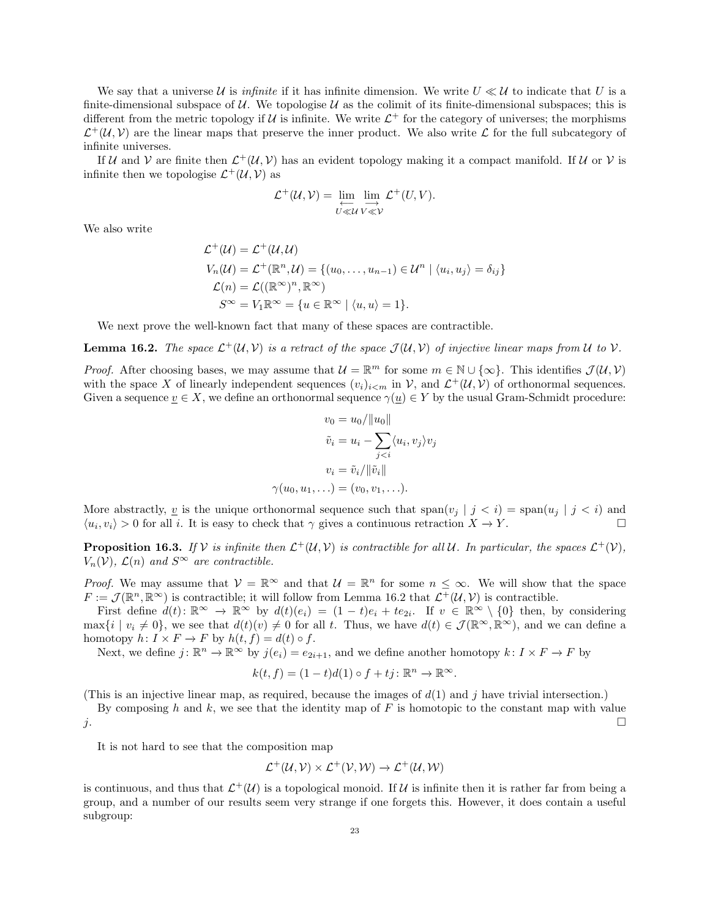We say that a universe U is *infinite* if it has infinite dimension. We write  $U \ll U$  to indicate that U is a finite-dimensional subspace of  $U$ . We topologise  $U$  as the colimit of its finite-dimensional subspaces; this is different from the metric topology if  $U$  is infinite. We write  $\mathcal{L}^+$  for the category of universes; the morphisms  $\mathcal{L}^+(\mathcal{U}, \mathcal{V})$  are the linear maps that preserve the inner product. We also write  $\mathcal L$  for the full subcategory of infinite universes.

If U and V are finite then  $\mathcal{L}^+(\mathcal{U}, \mathcal{V})$  has an evident topology making it a compact manifold. If U or V is infinite then we topologise  $\mathcal{L}^+(\mathcal{U}, \mathcal{V})$  as

$$
\mathcal{L}^+(\mathcal{U},\mathcal{V}) = \varprojlim_{U \ll \mathcal{U}} \varinjlim_{V \ll \mathcal{V}} \mathcal{L}^+(U,V).
$$

We also write

$$
\mathcal{L}^+(U) = \mathcal{L}^+(U, U)
$$
  
\n
$$
V_n(U) = \mathcal{L}^+( \mathbb{R}^n, U) = \{(u_0, \dots, u_{n-1}) \in U^n \mid \langle u_i, u_j \rangle = \delta_{ij}\}
$$
  
\n
$$
\mathcal{L}(n) = \mathcal{L}((\mathbb{R}^\infty)^n, \mathbb{R}^\infty)
$$
  
\n
$$
S^\infty = V_1 \mathbb{R}^\infty = \{u \in \mathbb{R}^\infty \mid \langle u, u \rangle = 1\}.
$$

We next prove the well-known fact that many of these spaces are contractible.

**Lemma 16.2.** The space  $\mathcal{L}^+(\mathcal{U}, \mathcal{V})$  is a retract of the space  $\mathcal{J}(\mathcal{U}, \mathcal{V})$  of injective linear maps from U to V.

*Proof.* After choosing bases, we may assume that  $\mathcal{U} = \mathbb{R}^m$  for some  $m \in \mathbb{N} \cup \{\infty\}$ . This identifies  $\mathcal{J}(\mathcal{U}, \mathcal{V})$ with the space X of linearly independent sequences  $(v_i)_{i \le m}$  in V, and  $\mathcal{L}^+(\mathcal{U}, \mathcal{V})$  of orthonormal sequences. Given a sequence  $v \in X$ , we define an orthonormal sequence  $\gamma(u) \in Y$  by the usual Gram-Schmidt procedure:

$$
v_0 = u_0 / \|u_0\|
$$

$$
\tilde{v}_i = u_i - \sum_{j
$$
v_i = \tilde{v}_i / \|\tilde{v}_i\|
$$

$$
\gamma(u_0, u_1, \ldots) = (v_0, v_1, \ldots).
$$
$$

More abstractly, <u>v</u> is the unique orthonormal sequence such that  $\text{span}(v_j | j < i) = \text{span}(u_j | j < i)$  and  $\langle u_i, v_i \rangle > 0$  for all i. It is easy to check that  $\gamma$  gives a continuous retraction  $X \to Y$ .

**Proposition 16.3.** If V is infinite then  $\mathcal{L}^+(\mathcal{U}, \mathcal{V})$  is contractible for all U. In particular, the spaces  $\mathcal{L}^+(\mathcal{V})$ ,  $V_n(\mathcal{V})$ ,  $\mathcal{L}(n)$  and  $S^{\infty}$  are contractible.

*Proof.* We may assume that  $V = \mathbb{R}^{\infty}$  and that  $U = \mathbb{R}^n$  for some  $n \leq \infty$ . We will show that the space  $F := \mathcal{J}(\mathbb{R}^n, \mathbb{R}^\infty)$  is contractible; it will follow from Lemma 16.2 that  $\mathcal{L}^+(\mathcal{U}, \mathcal{V})$  is contractible.

First define  $d(t)$ :  $\mathbb{R}^{\infty} \to \mathbb{R}^{\infty}$  by  $d(t)(e_i) = (1-t)e_i + te_{2i}$ . If  $v \in \mathbb{R}^{\infty} \setminus \{0\}$  then, by considering  $\max\{i \mid v_i \neq 0\}$ , we see that  $d(t)(v) \neq 0$  for all t. Thus, we have  $d(t) \in \mathcal{J}(\mathbb{R}^{\infty}, \mathbb{R}^{\infty})$ , and we can define a homotopy  $h: I \times F \to F$  by  $h(t, f) = d(t) \circ f$ .

Next, we define  $j: \mathbb{R}^n \to \mathbb{R}^\infty$  by  $j(e_i) = e_{2i+1}$ , and we define another homotopy  $k: I \times F \to F$  by

$$
k(t, f) = (1 - t)d(1) \circ f + tj \colon \mathbb{R}^n \to \mathbb{R}^\infty.
$$

(This is an injective linear map, as required, because the images of  $d(1)$  and j have trivial intersection.)

By composing h and k, we see that the identity map of  $F$  is homotopic to the constant map with value  $j$ .

It is not hard to see that the composition map

$$
\mathcal{L}^+(\mathcal{U}, \mathcal{V}) \times \mathcal{L}^+(\mathcal{V}, \mathcal{W}) \to \mathcal{L}^+(\mathcal{U}, \mathcal{W})
$$

is continuous, and thus that  $\mathcal{L}^+(\mathcal{U})$  is a topological monoid. If  $\mathcal U$  is infinite then it is rather far from being a group, and a number of our results seem very strange if one forgets this. However, it does contain a useful subgroup: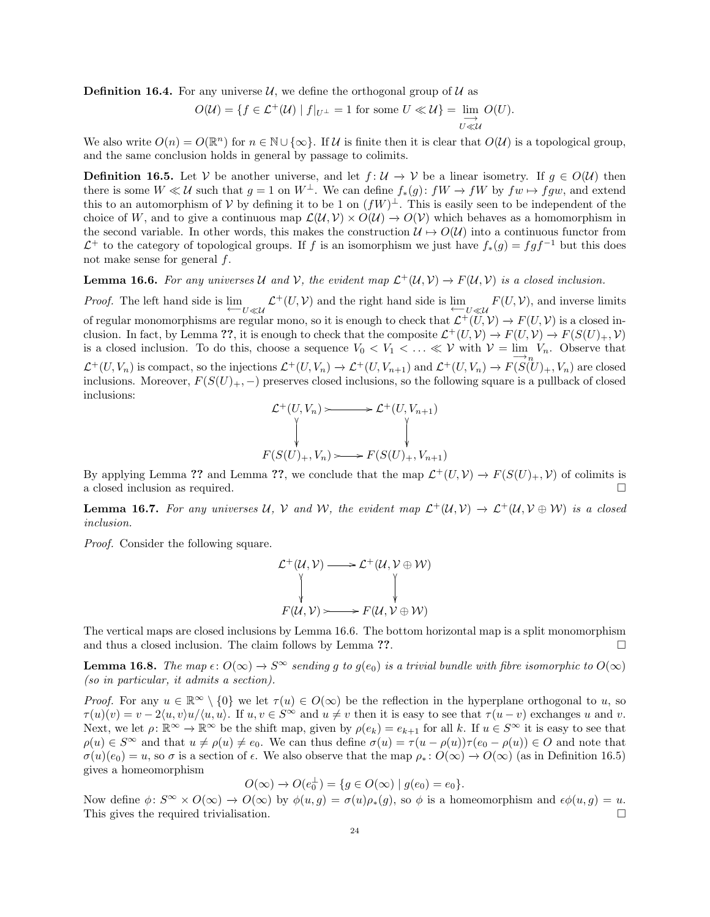**Definition 16.4.** For any universe  $\mathcal{U}$ , we define the orthogonal group of  $\mathcal{U}$  as

$$
O(\mathcal{U}) = \{ f \in \mathcal{L}^+(\mathcal{U}) \mid f|_{U^\perp} = 1 \text{ for some } U \ll \mathcal{U} \} = \lim_{\substack{\longrightarrow \\ U \ll \mathcal{U}}} O(U).
$$

We also write  $O(n) = O(\mathbb{R}^n)$  for  $n \in \mathbb{N} \cup \{\infty\}$ . If U is finite then it is clear that  $O(\mathcal{U})$  is a topological group, and the same conclusion holds in general by passage to colimits.

**Definition 16.5.** Let V be another universe, and let  $f: U \to V$  be a linear isometry. If  $g \in O(U)$  then there is some  $W \ll U$  such that  $g = 1$  on  $W^{\perp}$ . We can define  $f_*(g): fW \to fW$  by  $fw \mapsto fgw$ , and extend this to an automorphism of V by defining it to be 1 on  $(fW)^{\perp}$ . This is easily seen to be independent of the choice of W, and to give a continuous map  $\mathcal{L}(\mathcal{U}, \mathcal{V}) \times O(\mathcal{U}) \to O(\mathcal{V})$  which behaves as a homomorphism in the second variable. In other words, this makes the construction  $\mathcal{U} \mapsto O(\mathcal{U})$  into a continuous functor from  $\mathcal{L}^+$  to the category of topological groups. If f is an isomorphism we just have  $f_*(g) = fgf^{-1}$  but this does not make sense for general f.

**Lemma 16.6.** For any universes U and V, the evident map  $\mathcal{L}^+(\mathcal{U}, \mathcal{V}) \to F(\mathcal{U}, \mathcal{V})$  is a closed inclusion.

*Proof.* The left hand side is  $\lim_{t\to U\ll u} \mathcal{L}^+(U,\mathcal{V})$  and the right hand side is  $\lim_{t\to U\ll u} F(U,\mathcal{V})$ , and inverse limits of regular monomorphisms are regular mono, so it is enough to check that  $\mathcal{L}^+(\tilde{U},V) \to F(U,V)$  is a closed inclusion. In fact, by Lemma ??, it is enough to check that the composite  $\mathcal{L}^+(U,V) \to F(U,V) \to F(S(U)_+,\mathcal{V})$ is a closed inclusion. To do this, choose a sequence  $V_0 < V_1 < \ldots \ll V$  with  $V = \lim_{n \to \infty} V_n$ . Observe that  $\mathcal{L}^+(U, V_n)$  is compact, so the injections  $\mathcal{L}^+(U, V_n) \to \mathcal{L}^+(U, V_{n+1})$  and  $\mathcal{L}^+(U, V_n) \to F(S(U)_+, V_n)$  are closed inclusions. Moreover,  $F(S(U)_+,-)$  preserves closed inclusions, so the following square is a pullback of closed inclusions:

$$
\mathcal{L}^+(U, V_n) \longrightarrow \mathcal{L}^+(U, V_{n+1})
$$
\n
$$
\downarrow \qquad \qquad \downarrow
$$
\n
$$
F(S(U)_+, V_n) \longrightarrow F(S(U)_+, V_{n+1})
$$

By applying Lemma ?? and Lemma ??, we conclude that the map  $\mathcal{L}^+(U,V) \to F(S(U)_+,\mathcal{V})$  of colimits is a closed inclusion as required.

**Lemma 16.7.** For any universes U, V and W, the evident map  $\mathcal{L}^+(\mathcal{U}, \mathcal{V}) \to \mathcal{L}^+(\mathcal{U}, \mathcal{V} \oplus \mathcal{W})$  is a closed inclusion.

Proof. Consider the following square.

$$
\mathcal{L}^+(U, V) \longrightarrow \mathcal{L}^+(U, V \oplus W)
$$
  
\n
$$
\downarrow \qquad \qquad \downarrow
$$
  
\n
$$
F(U, V) \longrightarrow F(U, V \oplus W)
$$

The vertical maps are closed inclusions by Lemma 16.6. The bottom horizontal map is a split monomorphism and thus a closed inclusion. The claim follows by Lemma ??.  $\Box$ 

**Lemma 16.8.** The map  $\epsilon: O(\infty) \to S^{\infty}$  sending q to  $q(e_0)$  is a trivial bundle with fibre isomorphic to  $O(\infty)$ (so in particular, it admits a section).

*Proof.* For any  $u \in \mathbb{R}^{\infty} \setminus \{0\}$  we let  $\tau(u) \in O(\infty)$  be the reflection in the hyperplane orthogonal to u, so  $\tau(u)(v) = v - 2\langle u, v \rangle u / \langle u, u \rangle$ . If  $u, v \in S^{\infty}$  and  $u \neq v$  then it is easy to see that  $\tau(u - v)$  exchanges u and v. Next, we let  $\rho: \mathbb{R}^{\infty} \to \mathbb{R}^{\infty}$  be the shift map, given by  $\rho(e_k) = e_{k+1}$  for all k. If  $u \in S^{\infty}$  it is easy to see that  $\rho(u) \in S^{\infty}$  and that  $u \neq \rho(u) \neq e_0$ . We can thus define  $\sigma(u) = \tau(u - \rho(u))\tau(e_0 - \rho(u)) \in O$  and note that  $\sigma(u)(e_0) = u$ , so  $\sigma$  is a section of  $\epsilon$ . We also observe that the map  $\rho_* : O(\infty) \to O(\infty)$  (as in Definition 16.5) gives a homeomorphism

$$
O(\infty) \rightarrow O(e_0^{\perp}) = \{g \in O(\infty) \mid g(e_0) = e_0\}.
$$

Now define  $\phi: S^{\infty} \times O(\infty) \to O(\infty)$  by  $\phi(u,g) = \sigma(u)\rho_*(g)$ , so  $\phi$  is a homeomorphism and  $\epsilon\phi(u,g) = u$ . This gives the required trivialisation.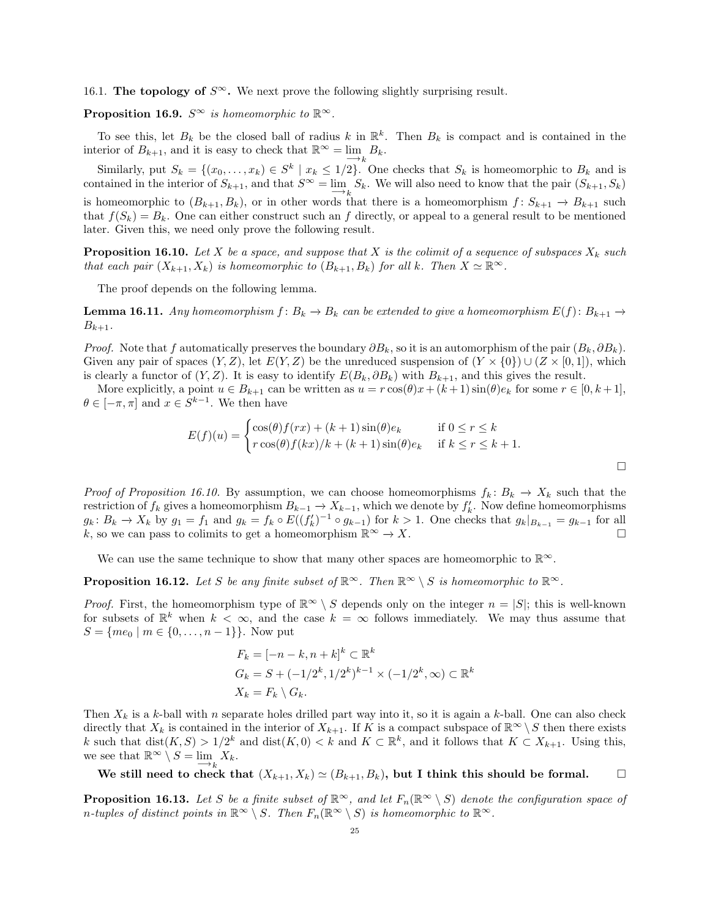16.1. The topology of  $S^{\infty}$ . We next prove the following slightly surprising result.

**Proposition 16.9.**  $S^{\infty}$  is homeomorphic to  $\mathbb{R}^{\infty}$ .

To see this, let  $B_k$  be the closed ball of radius k in  $\mathbb{R}^k$ . Then  $B_k$  is compact and is contained in the interior of  $B_{k+1}$ , and it is easy to check that  $\mathbb{R}^{\infty} = \lim_{k \to k} B_k$ .

Similarly, put  $S_k = \{(x_0, \ldots, x_k) \in S^k \mid x_k \leq 1/2\}$ . One checks that  $S_k$  is homeomorphic to  $B_k$  and is contained in the interior of  $S_{k+1}$ , and that  $S^{\infty} = \lim_{k \to k} S_k$ . We will also need to know that the pair  $(S_{k+1}, S_k)$ is homeomorphic to  $(B_{k+1}, B_k)$ , or in other words that there is a homeomorphism  $f: S_{k+1} \to B_{k+1}$  such that  $f(S_k) = B_k$ . One can either construct such an f directly, or appeal to a general result to be mentioned later. Given this, we need only prove the following result.

**Proposition 16.10.** Let X be a space, and suppose that X is the colimit of a sequence of subspaces  $X_k$  such that each pair  $(X_{k+1}, X_k)$  is homeomorphic to  $(B_{k+1}, B_k)$  for all k. Then  $X \simeq \mathbb{R}^{\infty}$ .

The proof depends on the following lemma.

**Lemma 16.11.** Any homeomorphism  $f: B_k \to B_k$  can be extended to give a homeomorphism  $E(f): B_{k+1} \to$  $B_{k+1}$ .

*Proof.* Note that f automatically preserves the boundary  $\partial B_k$ , so it is an automorphism of the pair  $(B_k, \partial B_k)$ . Given any pair of spaces  $(Y, Z)$ , let  $E(Y, Z)$  be the unreduced suspension of  $(Y \times \{0\}) \cup (Z \times [0, 1])$ , which is clearly a functor of  $(Y, Z)$ . It is easy to identify  $E(B_k, \partial B_k)$  with  $B_{k+1}$ , and this gives the result.

More explicitly, a point  $u \in B_{k+1}$  can be written as  $u = r \cos(\theta)x + (k+1) \sin(\theta)e_k$  for some  $r \in [0, k+1]$ ,  $\theta \in [-\pi, \pi]$  and  $x \in S^{k-1}$ . We then have

$$
E(f)(u) = \begin{cases} \cos(\theta)f(rx) + (k+1)\sin(\theta)e_k & \text{if } 0 \le r \le k\\ r\cos(\theta)f(kx)/k + (k+1)\sin(\theta)e_k & \text{if } k \le r \le k+1. \end{cases}
$$

Proof of Proposition 16.10. By assumption, we can choose homeomorphisms  $f_k: B_k \to X_k$  such that the restriction of  $f_k$  gives a homeomorphism  $B_{k-1} \to X_{k-1}$ , which we denote by  $f'_k$ . Now define homeomorphisms  $g_k: B_k \to X_k$  by  $g_1 = f_1$  and  $g_k = f_k \circ E((f'_k)^{-1} \circ g_{k-1})$  for  $k > 1$ . One checks that  $g_k|_{B_{k-1}} = g_{k-1}$  for all k, so we can pass to colimits to get a homeomorphism  $\mathbb{R}^{\infty} \to X$ .

We can use the same technique to show that many other spaces are homeomorphic to  $\mathbb{R}^{\infty}$ .

**Proposition 16.12.** Let S be any finite subset of  $\mathbb{R}^{\infty}$ . Then  $\mathbb{R}^{\infty} \setminus S$  is homeomorphic to  $\mathbb{R}^{\infty}$ .

*Proof.* First, the homeomorphism type of  $\mathbb{R}^{\infty} \setminus S$  depends only on the integer  $n = |S|$ ; this is well-known for subsets of  $\mathbb{R}^k$  when  $k < \infty$ , and the case  $k = \infty$  follows immediately. We may thus assume that  $S = \{me_0 \mid m \in \{0, \ldots, n-1\}\}.$  Now put

$$
F_k = [-n - k, n + k]^k \subset \mathbb{R}^k
$$
  
\n
$$
G_k = S + (-1/2^k, 1/2^k)^{k-1} \times (-1/2^k, \infty) \subset \mathbb{R}^k
$$
  
\n
$$
X_k = F_k \setminus G_k.
$$

Then  $X_k$  is a k-ball with n separate holes drilled part way into it, so it is again a k-ball. One can also check directly that  $X_k$  is contained in the interior of  $X_{k+1}$ . If K is a compact subspace of  $\mathbb{R}^{\infty} \setminus S$  then there exists k such that  $dist(K, S) > 1/2^k$  and  $dist(K, 0) < k$  and  $K \subset \mathbb{R}^k$ , and it follows that  $K \subset X_{k+1}$ . Using this, we see that  $\mathbb{R}^{\infty} \setminus S = \lim_{k \to k} X_k$ .

We still need to check that  $(X_{k+1}, X_k) \simeq (B_{k+1}, B_k)$ , but I think this should be formal.

**Proposition 16.13.** Let S be a finite subset of  $\mathbb{R}^{\infty}$ , and let  $F_n(\mathbb{R}^{\infty} \setminus S)$  denote the configuration space of n-tuples of distinct points in  $\mathbb{R}^{\infty} \setminus S$ . Then  $F_n(\mathbb{R}^{\infty} \setminus S)$  is homeomorphic to  $\mathbb{R}^{\infty}$ .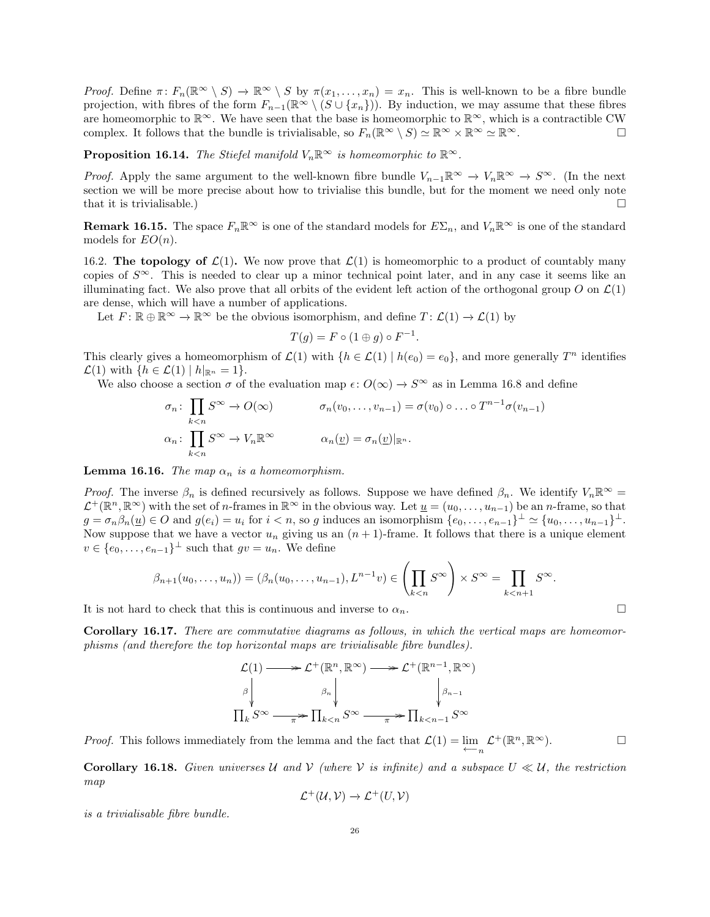Proof. Define  $\pi\colon F_n(\mathbb{R}^\infty\setminus S) \to \mathbb{R}^\infty\setminus S$  by  $\pi(x_1,\ldots,x_n)=x_n$ . This is well-known to be a fibre bundle projection, with fibres of the form  $F_{n-1}(\mathbb{R}^{\infty} \setminus (S \cup \{x_n\}))$ . By induction, we may assume that these fibres are homeomorphic to  $\mathbb{R}^{\infty}$ . We have seen that the base is homeomorphic to  $\mathbb{R}^{\infty}$ , which is a contractible CW complex. It follows that the bundle is trivialisable, so  $F_n(\mathbb{R}^\infty \setminus S) \simeq \mathbb{R}^\infty \times \mathbb{R}^\infty \simeq \mathbb{R}^\infty$ .

**Proposition 16.14.** The Stiefel manifold  $V_n\mathbb{R}^\infty$  is homeomorphic to  $\mathbb{R}^\infty$ .

*Proof.* Apply the same argument to the well-known fibre bundle  $V_{n-1}\mathbb{R}^{\infty} \to V_n\mathbb{R}^{\infty} \to S^{\infty}$ . (In the next section we will be more precise about how to trivialise this bundle, but for the moment we need only note that it is trivialisable.)  $\Box$ 

**Remark 16.15.** The space  $F_n\mathbb{R}^\infty$  is one of the standard models for  $E\Sigma_n$ , and  $V_n\mathbb{R}^\infty$  is one of the standard models for  $EO(n)$ .

16.2. The topology of  $\mathcal{L}(1)$ . We now prove that  $\mathcal{L}(1)$  is homeomorphic to a product of countably many copies of  $S^{\infty}$ . This is needed to clear up a minor technical point later, and in any case it seems like an illuminating fact. We also prove that all orbits of the evident left action of the orthogonal group O on  $\mathcal{L}(1)$ are dense, which will have a number of applications.

Let  $F: \mathbb{R} \oplus \mathbb{R}^{\infty} \to \mathbb{R}^{\infty}$  be the obvious isomorphism, and define  $T: \mathcal{L}(1) \to \mathcal{L}(1)$  by

$$
T(g) = F \circ (1 \oplus g) \circ F^{-1}.
$$

This clearly gives a homeomorphism of  $\mathcal{L}(1)$  with  $\{h \in \mathcal{L}(1) \mid h(e_0) = e_0\}$ , and more generally  $T^n$  identifies  $\mathcal{L}(1)$  with  $\{h \in \mathcal{L}(1) \mid h|_{\mathbb{R}^n} = 1\}.$ 

We also choose a section  $\sigma$  of the evaluation map  $\epsilon: O(\infty) \to S^{\infty}$  as in Lemma 16.8 and define

$$
\sigma_n \colon \prod_{k < n} S^{\infty} \to O(\infty) \qquad \sigma_n(v_0, \dots, v_{n-1}) = \sigma(v_0) \circ \dots \circ T^{n-1} \sigma(v_{n-1})
$$
\n
$$
\alpha_n \colon \prod_{k < n} S^{\infty} \to V_n \mathbb{R}^{\infty} \qquad \alpha_n(\underline{v}) = \sigma_n(\underline{v})|_{\mathbb{R}^n}.
$$

**Lemma 16.16.** The map  $\alpha_n$  is a homeomorphism.

*Proof.* The inverse  $\beta_n$  is defined recursively as follows. Suppose we have defined  $\beta_n$ . We identify  $V_n\mathbb{R}^\infty$  =  $\mathcal{L}^+(\mathbb{R}^n, \mathbb{R}^\infty)$  with the set of *n*-frames in  $\mathbb{R}^\infty$  in the obvious way. Let  $\underline{u} = (u_0, \ldots, u_{n-1})$  be an *n*-frame, so that  $g = \sigma_n \beta_n(\underline{u}) \in O$  and  $g(e_i) = u_i$  for  $i < n$ , so g induces an isomorphism  $\{e_0, \ldots, e_{n-1}\}^{\perp} \simeq \{u_0, \ldots, u_{n-1}\}^{\perp}$ . Now suppose that we have a vector  $u_n$  giving us an  $(n + 1)$ -frame. It follows that there is a unique element  $v \in \{e_0, \ldots, e_{n-1}\}^{\perp}$  such that  $gv = u_n$ . We define

$$
\beta_{n+1}(u_0,\ldots,u_n))=(\beta_n(u_0,\ldots,u_{n-1}),L^{n-1}v)\in\left(\prod_{k
$$

It is not hard to check that this is continuous and inverse to  $\alpha_n$ .

Corollary 16.17. There are commutative diagrams as follows, in which the vertical maps are homeomorphisms (and therefore the top horizontal maps are trivialisable fibre bundles).

$$
\mathcal{L}(1) \longrightarrow \mathcal{L}^+(\mathbb{R}^n, \mathbb{R}^\infty) \longrightarrow \mathcal{L}^+(\mathbb{R}^{n-1}, \mathbb{R}^\infty)
$$
\n
$$
\upbeta \downarrow \qquad \qquad \downbeta_n \downarrow \qquad \qquad \downarrow \qquad \downarrow \qquad \downarrow \qquad \downarrow
$$
\n
$$
\Pi_k S^\infty \longrightarrow \Pi_{k < n} S^\infty \longrightarrow \Pi_{k < n-1} S^\infty
$$

*Proof.* This follows immediately from the lemma and the fact that  $\mathcal{L}(1) = \lim_{\leftarrow} \mathcal{L}^+(\mathbb{R}^n, \mathbb{R}^\infty)$ .  $\Box$ 

**Corollary 16.18.** Given universes U and V (where V is infinite) and a subspace  $U \ll U$ , the restriction map

$$
\mathcal{L}^+(\mathcal{U},\mathcal{V}) \to \mathcal{L}^+(U,\mathcal{V})
$$

is a trivialisable fibre bundle.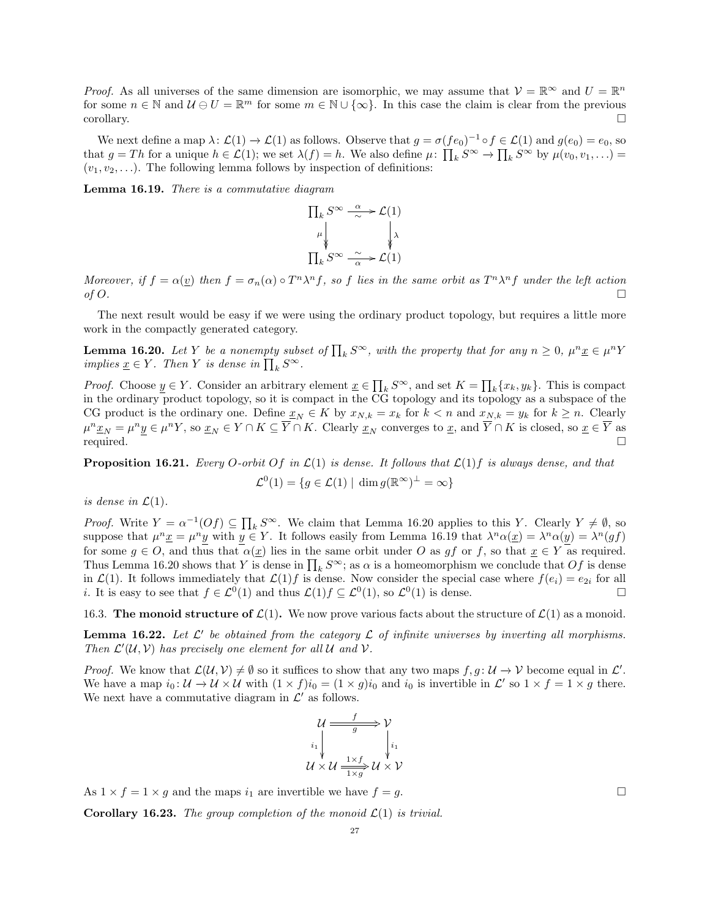*Proof.* As all universes of the same dimension are isomorphic, we may assume that  $V = \mathbb{R}^{\infty}$  and  $U = \mathbb{R}^n$ for some  $n \in \mathbb{N}$  and  $\mathcal{U} \oplus U = \mathbb{R}^m$  for some  $m \in \mathbb{N} \cup \{\infty\}$ . In this case the claim is clear from the previous  $\Box$ corollary.

We next define a map  $\lambda: \mathcal{L}(1) \to \mathcal{L}(1)$  as follows. Observe that  $g = \sigma (f e_0)^{-1} \circ f \in \mathcal{L}(1)$  and  $g(e_0) = e_0$ , so that  $g = Th$  for a unique  $h \in \mathcal{L}(1)$ ; we set  $\lambda(f) = h$ . We also define  $\mu \colon \prod_k S^{\infty} \to \prod_k S^{\infty}$  by  $\mu(v_0, v_1, \ldots) =$  $(v_1, v_2, \ldots)$ . The following lemma follows by inspection of definitions:

Lemma 16.19. There is a commutative diagram



Moreover, if  $f = \alpha(\underline{v})$  then  $f = \sigma_n(\alpha) \circ T^n \lambda^n f$ , so f lies in the same orbit as  $T^n \lambda^n f$  under the left action of  $O$ .

The next result would be easy if we were using the ordinary product topology, but requires a little more work in the compactly generated category.

**Lemma 16.20.** Let Y be a nonempty subset of  $\prod_k S^{\infty}$ , with the property that for any  $n \geq 0$ ,  $\mu^n \underline{x} \in \mu^n Y$ implies  $\underline{x} \in Y$ . Then Y is dense in  $\prod_k S^{\infty}$ .

*Proof.* Choose  $\underline{y} \in Y$ . Consider an arbitrary element  $\underline{x} \in \prod_k S^{\infty}$ , and set  $K = \prod_k \{x_k, y_k\}$ . This is compact in the ordinary product topology, so it is compact in the CG topology and its topology as a subspace of the CG product is the ordinary one. Define  $\underline{x}_N \in K$  by  $x_{N,k} = x_k$  for  $k < n$  and  $x_{N,k} = y_k$  for  $k \ge n$ . Clearly  $\mu^n \underline{x}_N = \mu^n \underline{y} \in \mu^n Y$ , so  $\underline{x}_N \in Y \cap K \subseteq \overline{Y} \cap K$ . Clearly  $\underline{x}_N$  converges to  $\underline{x}$ , and  $\overline{Y} \cap K$  is closed, so  $\underline{x} \in \overline{Y}$  as required.  $\square$ 

**Proposition 16.21.** Every O-orbit Of in  $\mathcal{L}(1)$  is dense. It follows that  $\mathcal{L}(1)$  f is always dense, and that

$$
\mathcal{L}^0(1) = \{ g \in \mathcal{L}(1) \mid \dim g(\mathbb{R}^\infty)^\perp = \infty \}
$$

is dense in  $\mathcal{L}(1)$ .

*Proof.* Write  $Y = \alpha^{-1}(Of) \subseteq \prod_k S^{\infty}$ . We claim that Lemma 16.20 applies to this Y. Clearly  $Y \neq \emptyset$ , so suppose that  $\mu^n \underline{x} = \mu^n y$  with  $y \in Y$ . It follows easily from Lemma 16.19 that  $\lambda^n \alpha(\underline{x}) = \lambda^n \alpha(y) = \lambda^n(gf)$ for some  $g \in O$ , and thus that  $\alpha(\underline{x})$  lies in the same orbit under O as gf or f, so that  $\underline{x} \in Y$  as required. Thus Lemma 16.20 shows that Y is dense in  $\prod_k S^\infty$ ; as  $\alpha$  is a homeomorphism we conclude that  $Of$  is dense in  $\mathcal{L}(1)$ . It follows immediately that  $\mathcal{L}(1)f$  is dense. Now consider the special case where  $f(e_i) = e_{2i}$  for all *i*. It is easy to see that  $f \in \mathcal{L}^0(1)$  and thus  $\mathcal{L}(1)f \subseteq \mathcal{L}^0(1)$ , so  $\mathcal{L}^0(1)$  is dense.

16.3. The monoid structure of  $\mathcal{L}(1)$ . We now prove various facts about the structure of  $\mathcal{L}(1)$  as a monoid.

**Lemma 16.22.** Let  $\mathcal{L}'$  be obtained from the category  $\mathcal{L}$  of infinite universes by inverting all morphisms. Then  $\mathcal{L}'(\mathcal{U}, \mathcal{V})$  has precisely one element for all  $\mathcal{U}$  and  $\mathcal{V}$ .

*Proof.* We know that  $\mathcal{L}(\mathcal{U}, \mathcal{V}) \neq \emptyset$  so it suffices to show that any two maps  $f, g : \mathcal{U} \to \mathcal{V}$  become equal in  $\mathcal{L}'$ . We have a map  $i_0: \mathcal{U} \to \mathcal{U} \times \mathcal{U}$  with  $(1 \times f)i_0 = (1 \times g)i_0$  and  $i_0$  is invertible in  $\mathcal{L}'$  so  $1 \times f = 1 \times g$  there. We next have a commutative diagram in  $\mathcal{L}'$  as follows.

$$
\begin{array}{ccc}\n U & \xrightarrow{f} & \mathcal{V} \\
 i_1 & \downarrow & \downarrow \\
 U \times U & \xrightarrow{1 \times f} & U \times \mathcal{V}\n\end{array}
$$

As  $1 \times f = 1 \times g$  and the maps  $i_1$  are invertible we have  $f = g$ .

**Corollary 16.23.** The group completion of the monoid  $\mathcal{L}(1)$  is trivial.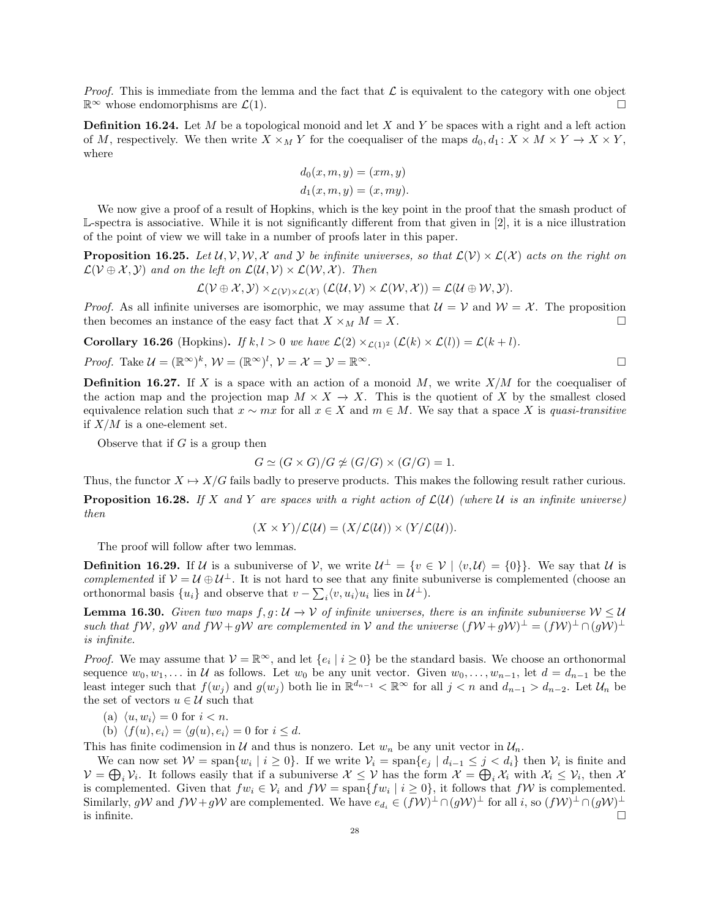*Proof.* This is immediate from the lemma and the fact that  $\mathcal L$  is equivalent to the category with one object  $\mathbb{R}^{\infty}$  whose endomorphisms are  $\mathcal{L}(1)$ .

**Definition 16.24.** Let  $M$  be a topological monoid and let  $X$  and  $Y$  be spaces with a right and a left action of M, respectively. We then write  $X \times_M Y$  for the coequaliser of the maps  $d_0, d_1: X \times M \times Y \to X \times Y$ , where

$$
d_0(x, m, y) = (xm, y)
$$
  

$$
d_1(x, m, y) = (x, my).
$$

We now give a proof of a result of Hopkins, which is the key point in the proof that the smash product of L-spectra is associative. While it is not significantly different from that given in [2], it is a nice illustration of the point of view we will take in a number of proofs later in this paper.

**Proposition 16.25.** Let  $\mathcal{U}, \mathcal{V}, \mathcal{W}, \mathcal{X}$  and  $\mathcal{Y}$  be infinite universes, so that  $\mathcal{L}(\mathcal{V}) \times \mathcal{L}(\mathcal{X})$  acts on the right on  $\mathcal{L}(\mathcal{V} \oplus \mathcal{X}, \mathcal{Y})$  and on the left on  $\mathcal{L}(\mathcal{U}, \mathcal{V}) \times \mathcal{L}(\mathcal{W}, \mathcal{X})$ . Then

$$
\mathcal{L}(\mathcal{V} \oplus \mathcal{X}, \mathcal{Y}) \times_{\mathcal{L}(\mathcal{V}) \times \mathcal{L}(\mathcal{X})} (\mathcal{L}(\mathcal{U}, \mathcal{V}) \times \mathcal{L}(\mathcal{W}, \mathcal{X})) = \mathcal{L}(\mathcal{U} \oplus \mathcal{W}, \mathcal{Y}).
$$

*Proof.* As all infinite universes are isomorphic, we may assume that  $\mathcal{U} = \mathcal{V}$  and  $\mathcal{W} = \mathcal{X}$ . The proposition then becomes an instance of the easy fact that  $X \times_M M = X$ .

**Corollary 16.26** (Hopkins). If  $k, l > 0$  we have  $\mathcal{L}(2) \times_{\mathcal{L}(1)^2} (\mathcal{L}(k) \times \mathcal{L}(l)) = \mathcal{L}(k+l)$ .

*Proof.* Take 
$$
\mathcal{U} = (\mathbb{R}^{\infty})^k
$$
,  $\mathcal{W} = (\mathbb{R}^{\infty})^l$ ,  $\mathcal{V} = \mathcal{X} = \mathcal{Y} = \mathbb{R}^{\infty}$ .

**Definition 16.27.** If X is a space with an action of a monoid M, we write  $X/M$  for the coequaliser of the action map and the projection map  $M \times X \to X$ . This is the quotient of X by the smallest closed equivalence relation such that  $x \sim mx$  for all  $x \in X$  and  $m \in M$ . We say that a space X is quasi-transitive if  $X/M$  is a one-element set.

Observe that if  $G$  is a group then

$$
G \simeq (G \times G)/G \not\simeq (G/G) \times (G/G) = 1.
$$

Thus, the functor  $X \mapsto X/G$  fails badly to preserve products. This makes the following result rather curious.

**Proposition 16.28.** If X and Y are spaces with a right action of  $\mathcal{L}(\mathcal{U})$  (where U is an infinite universe) then

$$
(X \times Y)/\mathcal{L}(\mathcal{U}) = (X/\mathcal{L}(\mathcal{U})) \times (Y/\mathcal{L}(\mathcal{U})).
$$

The proof will follow after two lemmas.

**Definition 16.29.** If U is a subuniverse of V, we write  $U^{\perp} = \{v \in V \mid \langle v, U \rangle = \{0\}\}\.$  We say that U is complemented if  $V = U \oplus U^{\perp}$ . It is not hard to see that any finite subuniverse is complemented (choose an orthonormal basis  $\{u_i\}$  and observe that  $v - \sum_i \langle v, u_i \rangle u_i$  lies in  $\mathcal{U}^{\perp}$ ).

**Lemma 16.30.** Given two maps  $f, g: U \to V$  of infinite universes, there is an infinite subuniverse  $W \leq U$ such that  $f\mathcal{W}, g\mathcal{W}$  and  $f\mathcal{W}+g\mathcal{W}$  are complemented in V and the universe  $(f\mathcal{W}+g\mathcal{W})^{\perp}=(f\mathcal{W})^{\perp}\cap(g\mathcal{W})^{\perp}$ is infinite.

*Proof.* We may assume that  $V = \mathbb{R}^{\infty}$ , and let  $\{e_i \mid i \geq 0\}$  be the standard basis. We choose an orthonormal sequence  $w_0, w_1, \ldots$  in U as follows. Let  $w_0$  be any unit vector. Given  $w_0, \ldots, w_{n-1}$ , let  $d = d_{n-1}$  be the least integer such that  $f(w_j)$  and  $g(w_j)$  both lie in  $\mathbb{R}^{d_{n-1}} < \mathbb{R}^\infty$  for all  $j < n$  and  $d_{n-1} > d_{n-2}$ . Let  $\mathcal{U}_n$  be the set of vectors  $u \in \mathcal{U}$  such that

(a)  $\langle u, w_i \rangle = 0$  for  $i < n$ .

(b)  $\langle f(u), e_i \rangle = \langle g(u), e_i \rangle = 0$  for  $i \leq d$ .

This has finite codimension in U and thus is nonzero. Let  $w_n$  be any unit vector in  $\mathcal{U}_n$ .

We can now set  $W = \text{span}\{w_i \mid i \geq 0\}$ . If we write  $V_i = \text{span}\{e_j \mid d_{i-1} \leq j < d_i\}$  then  $V_i$  is finite and  $V = \bigoplus_i V_i$ . It follows easily that if a subuniverse  $X \leq V$  has the form  $\mathcal{X} = \bigoplus_i \mathcal{X}_i$  with  $\mathcal{X}_i \leq V_i$ , then  $\mathcal{X}$ is complemented. Given that  $fw_i \in V_i$  and  $fW = \text{span}\lbrace fw_i \mid i \geq 0 \rbrace$ , it follows that  $fW$  is complemented. Similarly, gW and  $fW + gW$  are complemented. We have  $e_{d_i} \in (fW)^{\perp} \cap (gW)^{\perp}$  for all i, so  $(fW)^{\perp} \cap (gW)^{\perp}$ is infinite.  $\Box$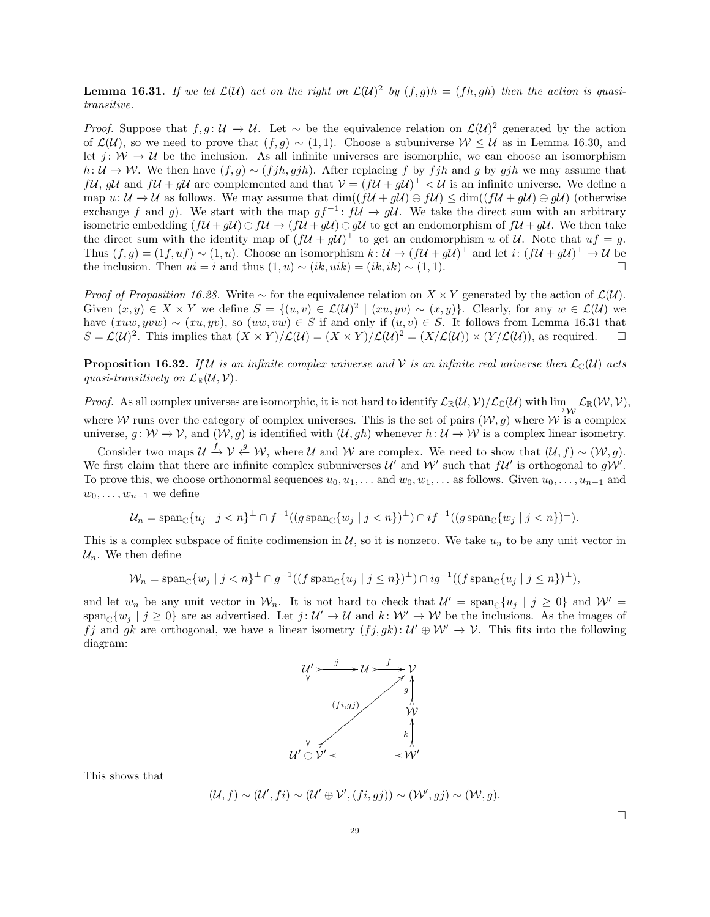**Lemma 16.31.** If we let  $\mathcal{L}(\mathcal{U})$  act on the right on  $\mathcal{L}(\mathcal{U})^2$  by  $(f,g)h = (fh, gh)$  then the action is quasitransitive.

*Proof.* Suppose that  $f, g: \mathcal{U} \to \mathcal{U}$ . Let  $\sim$  be the equivalence relation on  $\mathcal{L}(\mathcal{U})^2$  generated by the action of  $\mathcal{L}(\mathcal{U})$ , so we need to prove that  $(f, g) \sim (1, 1)$ . Choose a subuniverse  $\mathcal{W} \leq \mathcal{U}$  as in Lemma 16.30, and let  $j: W \to U$  be the inclusion. As all infinite universes are isomorphic, we can choose an isomorphism  $h: U \to W$ . We then have  $(f, g) \sim (f j h, g j h)$ . After replacing f by fjh and g by gjh we may assume that  $f\mathcal{U}, g\mathcal{U}$  and  $f\mathcal{U} + g\mathcal{U}$  are complemented and that  $\mathcal{V} = (f\mathcal{U} + g\mathcal{U})^{\perp} < \mathcal{U}$  is an infinite universe. We define a map  $u: \mathcal{U} \to \mathcal{U}$  as follows. We may assume that  $\dim((f\mathcal{U} + g\mathcal{U}) \ominus f\mathcal{U}) \leq \dim((f\mathcal{U} + g\mathcal{U}) \ominus g\mathcal{U})$  (otherwise exchange f and g). We start with the map  $gf^{-1}$ :  $f\mathcal{U} \to g\mathcal{U}$ . We take the direct sum with an arbitrary isometric embedding  $(f\mathcal{U} + g\mathcal{U}) \ominus f\mathcal{U} \rightarrow (f\mathcal{U} + g\mathcal{U}) \ominus g\mathcal{U}$  to get an endomorphism of  $f\mathcal{U} + g\mathcal{U}$ . We then take the direct sum with the identity map of  $(f\mathcal{U} + g\mathcal{U})^{\perp}$  to get an endomorphism u of U. Note that  $uf = g$ . Thus  $(f, g) = (1f, uf) \sim (1, u)$ . Choose an isomorphism  $k: \mathcal{U} \to (f\mathcal{U} + g\mathcal{U})^{\perp}$  and let  $i: (f\mathcal{U} + g\mathcal{U})^{\perp} \to \mathcal{U}$  be the inclusion. Then  $ui = i$  and thus  $(1, u) \sim (ik, uik) = (ik, ik) \sim (1, 1)$ .

*Proof of Proposition 16.28.* Write  $\sim$  for the equivalence relation on  $X \times Y$  generated by the action of  $\mathcal{L}(\mathcal{U})$ . Given  $(x, y) \in X \times Y$  we define  $S = \{(u, v) \in \mathcal{L}(\mathcal{U})^2 \mid (xu, yv) \sim (x, y)\}\.$  Clearly, for any  $w \in \mathcal{L}(\mathcal{U})$  we have  $(xuw, yvw) \sim (xu, yv)$ , so  $(uw, vw) \in S$  if and only if  $(u, v) \in S$ . It follows from Lemma 16.31 that  $S = \mathcal{L}(\mathcal{U})^2$ . This implies that  $(X \times Y)/\mathcal{L}(\mathcal{U}) = (X \times Y)/\mathcal{L}(\mathcal{U})^2 = (X/\mathcal{L}(\mathcal{U})) \times (Y/\mathcal{L}(\mathcal{U}))$ , as required.  $\square$ 

**Proposition 16.32.** If U is an infinite complex universe and V is an infinite real universe then  $\mathcal{L}_{\mathbb{C}}(\mathcal{U})$  acts quasi-transitively on  $\mathcal{L}_{\mathbb{R}}(\mathcal{U}, \mathcal{V})$ .

Proof. As all complex universes are isomorphic, it is not hard to identify  $\mathcal{L}_{\mathbb{R}}(\mathcal{U}, \mathcal{V})/\mathcal{L}_{\mathbb{C}}(\mathcal{U})$  with  $\lim_{n\to\infty}\mathcal{L}_{\mathbb{R}}(\mathcal{W}, \mathcal{V}),$ where W runs over the category of complex universes. This is the set of pairs  $(W, g)$  where W is a complex universe,  $g: W \to V$ , and  $(W, g)$  is identified with  $(U, gh)$  whenever  $h: U \to W$  is a complex linear isometry.

Consider two maps  $\mathcal{U} \stackrel{f}{\rightarrow} \mathcal{V} \stackrel{g}{\leftarrow} \mathcal{W}$ , where  $\mathcal{U}$  and  $\mathcal{W}$  are complex. We need to show that  $(\mathcal{U}, f) \sim (\mathcal{W}, g)$ . We first claim that there are infinite complex subuniverses  $\mathcal{U}'$  and  $\mathcal{W}'$  such that  $f\mathcal{U}'$  is orthogonal to  $g\mathcal{W}'$ . To prove this, we choose orthonormal sequences  $u_0, u_1, \ldots$  and  $w_0, w_1, \ldots$  as follows. Given  $u_0, \ldots, u_{n-1}$  and  $w_0, \ldots, w_{n-1}$  we define

$$
\mathcal{U}_n = \text{span}_{\mathbb{C}} \{ u_j \mid j < n \}^{\perp} \cap f^{-1}((g \text{ span}_{\mathbb{C}} \{ w_j \mid j < n \})^{\perp}) \cap if^{-1}((g \text{ span}_{\mathbb{C}} \{ w_j \mid j < n \})^{\perp}).
$$

This is a complex subspace of finite codimension in  $\mathcal{U}$ , so it is nonzero. We take  $u_n$  to be any unit vector in  $\mathcal{U}_n$ . We then define

$$
\mathcal{W}_n = \operatorname{span}_{\mathbb{C}} \{ w_j \mid j < n \}^\perp \cap g^{-1}((f \operatorname{span}_{\mathbb{C}} \{ u_j \mid j \leq n \})^\perp) \cap ig^{-1}((f \operatorname{span}_{\mathbb{C}} \{ u_j \mid j \leq n \})^\perp),
$$

and let  $w_n$  be any unit vector in  $W_n$ . It is not hard to check that  $\mathcal{U}' = \text{span}_{\mathbb{C}}\{u_j \mid j \geq 0\}$  and  $\mathcal{W}' =$  $span_{\mathbb{C}}\{w_j | j \geq 0\}$  are as advertised. Let  $j: \mathcal{U}' \to \mathcal{U}$  and  $k: \mathcal{W}' \to \mathcal{W}$  be the inclusions. As the images of fj and gk are orthogonal, we have a linear isometry  $(fj, gk): \mathcal{U}' \oplus \mathcal{W}' \to \mathcal{V}$ . This fits into the following diagram:



This shows that

$$
(\mathcal{U}, f) \sim (\mathcal{U}', f \mathbf{i}) \sim (\mathcal{U}' \oplus \mathcal{V}', (f \mathbf{i}, g \mathbf{j})) \sim (\mathcal{W}', g \mathbf{j}) \sim (\mathcal{W}, g).
$$

 $\Box$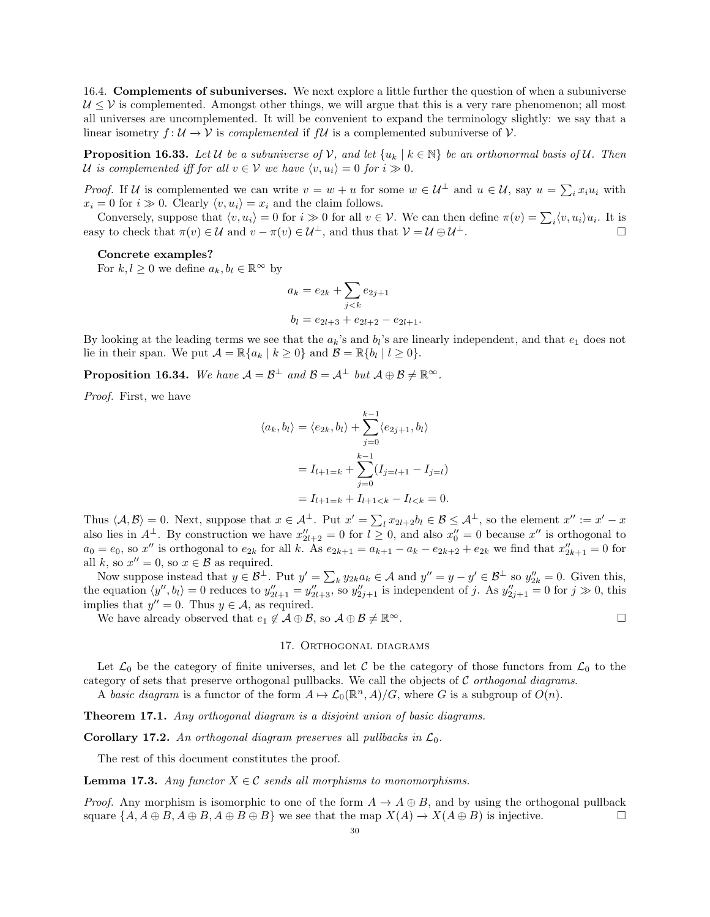16.4. Complements of subuniverses. We next explore a little further the question of when a subuniverse  $U \leq V$  is complemented. Amongst other things, we will argue that this is a very rare phenomenon; all most all universes are uncomplemented. It will be convenient to expand the terminology slightly: we say that a linear isometry  $f: U \to V$  is *complemented* if  $fU$  is a complemented subuniverse of  $V$ .

**Proposition 16.33.** Let U be a subuniverse of V, and let  $\{u_k | k \in \mathbb{N}\}\$  be an orthonormal basis of U. Then U is complemented iff for all  $v \in V$  we have  $\langle v, u_i \rangle = 0$  for  $i \gg 0$ .

*Proof.* If U is complemented we can write  $v = w + u$  for some  $w \in U^{\perp}$  and  $u \in U$ , say  $u = \sum_i x_i u_i$  with  $x_i = 0$  for  $i \gg 0$ . Clearly  $\langle v, u_i \rangle = x_i$  and the claim follows.

Conversely, suppose that  $\langle v, u_i \rangle = 0$  for  $i \gg 0$  for all  $v \in \mathcal{V}$ . We can then define  $\pi(v) = \sum_i \langle v, u_i \rangle u_i$ . It is easy to check that  $\pi(v) \in \mathcal{U}$  and  $v - \pi(v) \in \mathcal{U}^{\perp}$ , and thus that  $\mathcal{V} = \mathcal{U} \oplus \mathcal{U}^{\perp}$ .

## Concrete examples?

For  $k, l \geq 0$  we define  $a_k, b_l \in \mathbb{R}^\infty$  by

$$
a_k = e_{2k} + \sum_{j < k} e_{2j+1}
$$
\n
$$
b_l = e_{2l+3} + e_{2l+2} - e_{2l+1}.
$$

By looking at the leading terms we see that the  $a_k$ 's and  $b_l$ 's are linearly independent, and that  $e_1$  does not lie in their span. We put  $\mathcal{A} = \mathbb{R} \{ a_k \mid k \geq 0 \}$  and  $\mathcal{B} = \mathbb{R} \{ b_l \mid l \geq 0 \}.$ 

**Proposition 16.34.** We have  $\mathcal{A} = \mathcal{B}^{\perp}$  and  $\mathcal{B} = \mathcal{A}^{\perp}$  but  $\mathcal{A} \oplus \mathcal{B} \neq \mathbb{R}^{\infty}$ .

Proof. First, we have

$$
\langle a_k, b_l \rangle = \langle e_{2k}, b_l \rangle + \sum_{j=0}^{k-1} \langle e_{2j+1}, b_l \rangle
$$
  
=  $I_{l+1=k} + \sum_{j=0}^{k-1} (I_{j=l+1} - I_{j=l})$   
=  $I_{l+1=k} + I_{l+1$ 

Thus  $\langle A, \mathcal{B} \rangle = 0$ . Next, suppose that  $x \in A^{\perp}$ . Put  $x' = \sum_{l} x_{2l+2} b_l \in \mathcal{B} \le A^{\perp}$ , so the element  $x'' := x' - x$ also lies in  $A^{\perp}$ . By construction we have  $x''_{2l+2} = 0$  for  $l \geq 0$ , and also  $x''_0 = 0$  because  $x''$  is orthogonal to  $a_0 = e_0$ , so x'' is orthogonal to  $e_{2k}$  for all k. As  $e_{2k+1} = a_{k+1} - a_k - e_{2k+2} + e_{2k}$  we find that  $x''_{2k+1} = 0$  for all k, so  $x'' = 0$ , so  $x \in \mathcal{B}$  as required.

Now suppose instead that  $y \in \mathcal{B}^{\perp}$ . Put  $y' = \sum_{k} y_{2k} a_k \in \mathcal{A}$  and  $y'' = y - y' \in \mathcal{B}^{\perp}$  so  $y''_{2k} = 0$ . Given this, the equation  $\langle y'', b_l \rangle = 0$  reduces to  $y''_{2l+1} = y''_{2l+3}$ , so  $y''_{2j+1}$  is independent of j. As  $y''_{2j+1} = 0$  for  $j \gg 0$ , this implies that  $y'' = 0$ . Thus  $y \in A$ , as required.

We have already observed that  $e_1 \notin \mathcal{A} \oplus \mathcal{B}$ , so  $\mathcal{A} \oplus \mathcal{B} \neq \mathbb{R}^{\infty}$ .

# 17. ORTHOGONAL DIAGRAMS

Let  $\mathcal{L}_0$  be the category of finite universes, and let C be the category of those functors from  $\mathcal{L}_0$  to the category of sets that preserve orthogonal pullbacks. We call the objects of  $\mathcal C$  orthogonal diagrams.

A basic diagram is a functor of the form  $A \mapsto \mathcal{L}_0(\mathbb{R}^n, A)/G$ , where G is a subgroup of  $O(n)$ .

**Theorem 17.1.** Any orthogonal diagram is a disjoint union of basic diagrams.

**Corollary 17.2.** An orthogonal diagram preserves all pullbacks in  $\mathcal{L}_0$ .

The rest of this document constitutes the proof.

**Lemma 17.3.** Any functor  $X \in \mathcal{C}$  sends all morphisms to monomorphisms.

*Proof.* Any morphism is isomorphic to one of the form  $A \to A \oplus B$ , and by using the orthogonal pullback square  $\{A, A \oplus B, A \oplus B, A \oplus B \}$  we see that the map  $X(A) \to X(A \oplus B)$  is injective.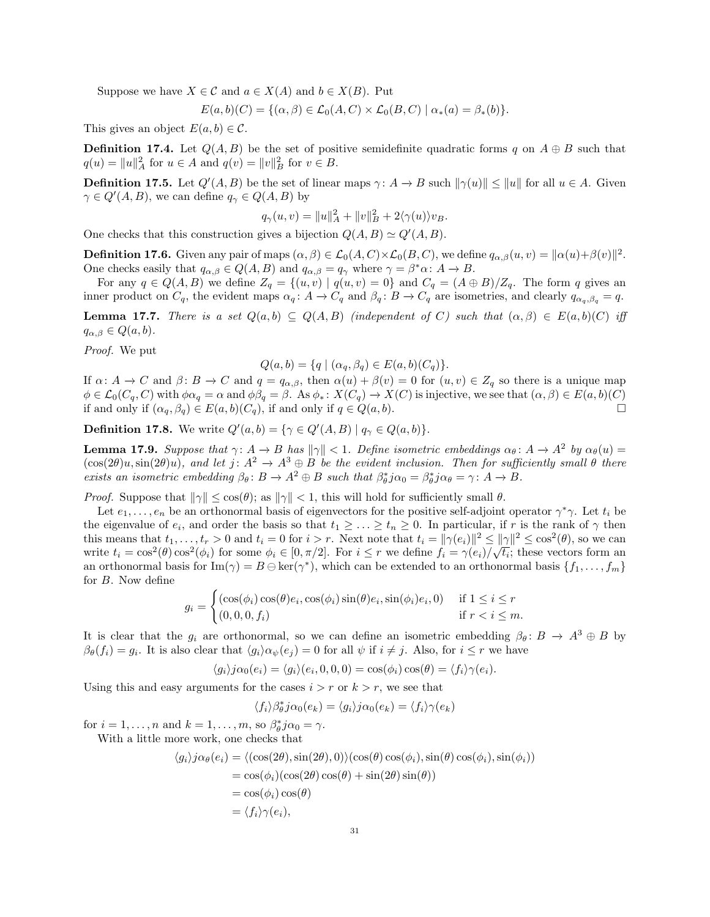Suppose we have  $X \in \mathcal{C}$  and  $a \in X(A)$  and  $b \in X(B)$ . Put

 $E(a, b)(C) = \{(\alpha, \beta) \in \mathcal{L}_0(A, C) \times \mathcal{L}_0(B, C) \mid \alpha_*(a) = \beta_*(b)\}.$ 

This gives an object  $E(a, b) \in \mathcal{C}$ .

**Definition 17.4.** Let  $Q(A, B)$  be the set of positive semidefinite quadratic forms q on  $A \oplus B$  such that  $q(u) = ||u||_A^2$  for  $u \in A$  and  $q(v) = ||v||_B^2$  for  $v \in B$ .

**Definition 17.5.** Let  $Q'(A, B)$  be the set of linear maps  $\gamma: A \to B$  such  $\|\gamma(u)\| \le \|u\|$  for all  $u \in A$ . Given  $\gamma \in Q'(A, B)$ , we can define  $q_{\gamma} \in Q(A, B)$  by

$$
q_{\gamma}(u,v) = ||u||_A^2 + ||v||_B^2 + 2\langle \gamma(u) \rangle v_B.
$$

One checks that this construction gives a bijection  $Q(A, B) \simeq Q'(A, B)$ .

**Definition 17.6.** Given any pair of maps  $(\alpha, \beta) \in \mathcal{L}_0(A, C) \times \mathcal{L}_0(B, C)$ , we define  $q_{\alpha, \beta}(u, v) = ||\alpha(u) + \beta(v)||^2$ . One checks easily that  $q_{\alpha,\beta} \in Q(A, B)$  and  $q_{\alpha,\beta} = q_{\gamma}$  where  $\gamma = \beta^* \alpha : A \to B$ .

For any  $q \in Q(A, B)$  we define  $Z_q = \{(u, v) | q(u, v) = 0\}$  and  $C_q = (A \oplus B)/Z_q$ . The form q gives an inner product on  $C_q$ , the evident maps  $\alpha_q: A \to C_q$  and  $\beta_q: B \to C_q$  are isometries, and clearly  $q_{\alpha_q, \beta_q} = q$ .

**Lemma 17.7.** There is a set  $Q(a, b) \subseteq Q(A, B)$  (independent of C) such that  $(\alpha, \beta) \in E(a, b)(C)$  iff  $q_{\alpha,\beta} \in Q(a,b).$ 

Proof. We put

$$
Q(a, b) = \{q \mid (\alpha_q, \beta_q) \in E(a, b)(C_q) \}.
$$

If  $\alpha: A \to C$  and  $\beta: B \to C$  and  $q = q_{\alpha,\beta}$ , then  $\alpha(u) + \beta(v) = 0$  for  $(u, v) \in Z_q$  so there is a unique map  $\phi \in \mathcal{L}_0(C_q, C)$  with  $\phi \alpha_q = \alpha$  and  $\phi \beta_q = \beta$ . As  $\phi_* \colon X(C_q) \to X(C)$  is injective, we see that  $(\alpha, \beta) \in E(a, b)(C)$ if and only if  $(\alpha_q, \beta_q) \in E(a, b)(C_q)$ , if and only if  $q \in Q(a, b)$ .

**Definition 17.8.** We write  $Q'(a, b) = \{ \gamma \in Q'(A, B) \mid q_{\gamma} \in Q(a, b) \}.$ 

**Lemma 17.9.** Suppose that  $\gamma: A \to B$  has  $\|\gamma\| < 1$ . Define isometric embeddings  $\alpha_{\theta}: A \to A^2$  by  $\alpha_{\theta}(u) =$  $(\cos(2\theta)u, \sin(2\theta)u)$ , and let  $j: A^2 \to A^3 \oplus B$  be the evident inclusion. Then for sufficiently small  $\theta$  there exists an isometric embedding  $\beta_{\theta} : B \to A^2 \oplus B$  such that  $\beta_{\theta}^* j \alpha_0 = \beta_{\theta}^* j \alpha_{\theta} = \gamma : A \to B$ .

*Proof.* Suppose that  $\|\gamma\| \leq \cos(\theta)$ ; as  $\|\gamma\| < 1$ , this will hold for sufficiently small  $\theta$ .

Let  $e_1, \ldots, e_n$  be an orthonormal basis of eigenvectors for the positive self-adjoint operator  $\gamma^* \gamma$ . Let  $t_i$  be the eigenvalue of  $e_i$ , and order the basis so that  $t_1 \geq \ldots \geq t_n \geq 0$ . In particular, if r is the rank of  $\gamma$  then this means that  $t_1, \ldots, t_r > 0$  and  $t_i = 0$  for  $i > r$ . Next note that  $t_i = ||\gamma(e_i)||^2 \le ||\gamma||^2 \le \cos^2(\theta)$ , so we can write  $t_i = \cos^2(\theta) \cos^2(\phi_i)$  for some  $\phi_i \in [0, \pi/2]$ . For  $i \leq r$  we define  $f_i = \gamma(e_i)/\sqrt{t_i}$ ; these vectors form an an orthonormal basis for  $\text{Im}(\gamma) = B \ominus \text{ker}(\gamma^*)$ , which can be extended to an orthonormal basis  $\{f_1, \ldots, f_m\}$ for B. Now define

$$
g_i = \begin{cases} (\cos(\phi_i)\cos(\theta)e_i, \cos(\phi_i)\sin(\theta)e_i, \sin(\phi_i)e_i, 0) & \text{if } 1 \le i \le r \\ (0, 0, 0, f_i) & \text{if } r < i \le m. \end{cases}
$$

It is clear that the  $g_i$  are orthonormal, so we can define an isometric embedding  $\beta_\theta: B \to A^3 \oplus B$  by  $\beta_{\theta}(f_i) = g_i$ . It is also clear that  $\langle g_i \rangle \alpha_{\psi}(e_j) = 0$  for all  $\psi$  if  $i \neq j$ . Also, for  $i \leq r$  we have

$$
\langle g_i \rangle j \alpha_0(e_i) = \langle g_i \rangle (e_i, 0, 0, 0) = \cos(\phi_i) \cos(\theta) = \langle f_i \rangle \gamma(e_i).
$$

Using this and easy arguments for the cases  $i > r$  or  $k > r$ , we see that

$$
\langle f_i \rangle \beta_{\theta}^* j \alpha_0(e_k) = \langle g_i \rangle j \alpha_0(e_k) = \langle f_i \rangle \gamma(e_k)
$$

for  $i = 1, \ldots, n$  and  $k = 1, \ldots, m$ , so  $\beta_{\theta}^{*}j\alpha_{0} = \gamma$ . With a little more work, one checks that

$$
\langle g_i \rangle j \alpha_{\theta}(e_i) = \langle (\cos(2\theta), \sin(2\theta), 0) \rangle (\cos(\theta) \cos(\phi_i), \sin(\theta) \cos(\phi_i), \sin(\phi_i))
$$
  
=  $\cos(\phi_i)(\cos(2\theta) \cos(\theta) + \sin(2\theta) \sin(\theta))$   
=  $\cos(\phi_i) \cos(\theta)$   
=  $\langle f_i \rangle \gamma(e_i),$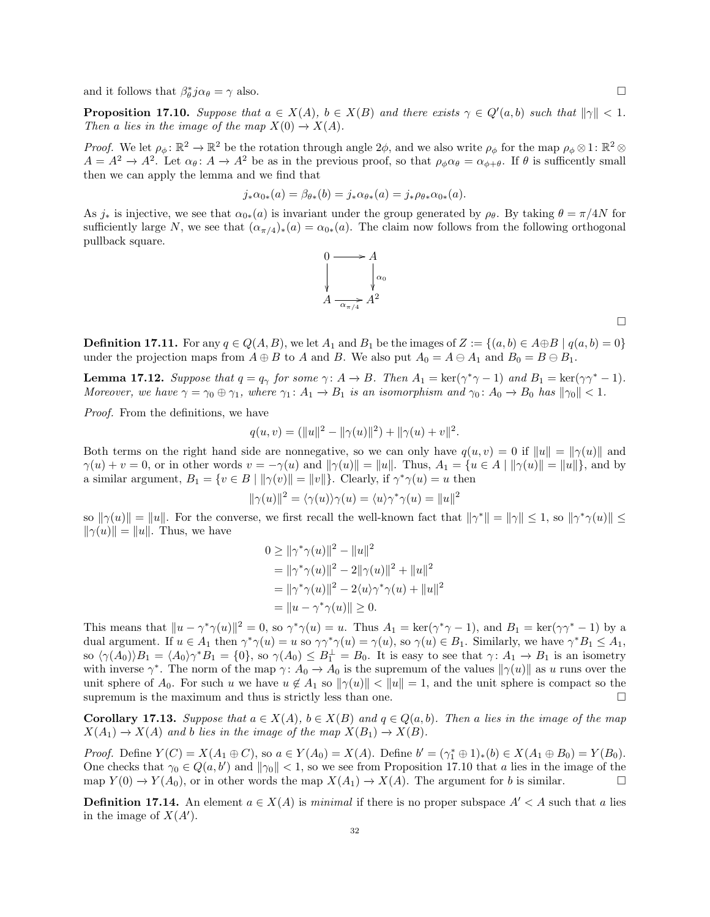and it follows that  $\beta_{\theta}^* j \alpha_{\theta} = \gamma$  also.

**Proposition 17.10.** Suppose that  $a \in X(A)$ ,  $b \in X(B)$  and there exists  $\gamma \in Q'(a, b)$  such that  $\|\gamma\| < 1$ . Then a lies in the image of the map  $X(0) \to X(A)$ .

Proof. We let  $\rho_{\phi} \colon \mathbb{R}^2 \to \mathbb{R}^2$  be the rotation through angle  $2\phi$ , and we also write  $\rho_{\phi}$  for the map  $\rho_{\phi} \otimes 1 \colon \mathbb{R}^2 \otimes$  $A = A^2 \to A^2$ . Let  $\alpha_{\theta} : A \to A^2$  be as in the previous proof, so that  $\rho_{\phi} \alpha_{\theta} = \alpha_{\phi+\theta}$ . If  $\theta$  is sufficently small then we can apply the lemma and we find that

$$
j_*\alpha_{0*}(a) = \beta_{\theta*}(b) = j_*\alpha_{\theta*}(a) = j_*\rho_{\theta*}\alpha_{0*}(a).
$$

As  $j_*$  is injective, we see that  $\alpha_{0*}(a)$  is invariant under the group generated by  $\rho_\theta$ . By taking  $\theta = \pi/4N$  for sufficiently large N, we see that  $(\alpha_{\pi/4})_*(a) = \alpha_{0*}(a)$ . The claim now follows from the following orthogonal pullback square.



 $\Box$ 

**Definition 17.11.** For any  $q \in Q(A, B)$ , we let  $A_1$  and  $B_1$  be the images of  $Z := \{(a, b) \in A \oplus B \mid q(a, b) = 0\}$ under the projection maps from  $A \oplus B$  to A and B. We also put  $A_0 = A \oplus A_1$  and  $B_0 = B \oplus B_1$ .

**Lemma 17.12.** Suppose that  $q = q_\gamma$  for some  $\gamma: A \to B$ . Then  $A_1 = \text{ker}(\gamma^* \gamma - 1)$  and  $B_1 = \text{ker}(\gamma \gamma^* - 1)$ . Moreover, we have  $\gamma = \gamma_0 \oplus \gamma_1$ , where  $\gamma_1 \colon A_1 \to B_1$  is an isomorphism and  $\gamma_0 \colon A_0 \to B_0$  has  $\|\gamma_0\| < 1$ .

Proof. From the definitions, we have

$$
q(u, v) = (\|u\|^2 - \|\gamma(u)\|^2) + \|\gamma(u) + v\|^2.
$$

Both terms on the right hand side are nonnegative, so we can only have  $q(u, v) = 0$  if  $||u|| = ||\gamma(u)||$  and  $\gamma(u) + v = 0$ , or in other words  $v = -\gamma(u)$  and  $\|\gamma(u)\| = \|u\|$ . Thus,  $A_1 = \{u \in A \mid \|\gamma(u)\| = \|u\|\}$ , and by a similar argument,  $B_1 = \{v \in B \mid ||\gamma(v)|| = ||v||\}$ . Clearly, if  $\gamma^* \gamma(u) = u$  then

$$
\|\gamma(u)\|^2 = \langle \gamma(u) \rangle \gamma(u) = \langle u \rangle \gamma^* \gamma(u) = \|u\|^2
$$

so  $\|\gamma(u)\| = \|u\|$ . For the converse, we first recall the well-known fact that  $\|\gamma^*\| = \|\gamma\| \leq 1$ , so  $\|\gamma^*\gamma(u)\| \leq$  $\|\gamma(u)\| = \|u\|$ . Thus, we have

$$
0 \ge ||\gamma^* \gamma(u)||^2 - ||u||^2
$$
  
=  $||\gamma^* \gamma(u)||^2 - 2||\gamma(u)||^2 + ||u||^2$   
=  $||\gamma^* \gamma(u)||^2 - 2\langle u \rangle \gamma^* \gamma(u) + ||u||^2$   
=  $||u - \gamma^* \gamma(u)|| \ge 0$ .

This means that  $||u - \gamma^* \gamma(u)||^2 = 0$ , so  $\gamma^* \gamma(u) = u$ . Thus  $A_1 = \text{ker}(\gamma^* \gamma - 1)$ , and  $B_1 = \text{ker}(\gamma \gamma^* - 1)$  by a dual argument. If  $u \in A_1$  then  $\gamma^* \gamma(u) = u$  so  $\gamma \gamma^* \gamma(u) = \gamma(u)$ , so  $\gamma(u) \in B_1$ . Similarly, we have  $\gamma^* B_1 \leq A_1$ , so  $\langle \gamma(A_0) \rangle B_1 = \langle A_0 \rangle \gamma^* B_1 = \{0\}$ , so  $\gamma(A_0) \leq B_1^{\perp} = B_0$ . It is easy to see that  $\gamma: A_1 \to B_1$  is an isometry with inverse  $\gamma^*$ . The norm of the map  $\gamma: A_0 \to A_0$  is the supremum of the values  $\|\gamma(u)\|$  as u runs over the unit sphere of  $A_0$ . For such u we have  $u \notin A_1$  so  $\|\gamma(u)\| < \|u\| = 1$ , and the unit sphere is compact so the supremum is the maximum and thus is strictly less than one.  $\Box$ 

**Corollary 17.13.** Suppose that  $a \in X(A)$ ,  $b \in X(B)$  and  $q \in Q(a, b)$ . Then a lies in the image of the map  $X(A_1) \to X(A)$  and b lies in the image of the map  $X(B_1) \to X(B)$ .

*Proof.* Define  $Y(C) = X(A_1 \oplus C)$ , so  $a \in Y(A_0) = X(A)$ . Define  $b' = (\gamma_1^* \oplus 1)_*(b) \in X(A_1 \oplus B_0) = Y(B_0)$ . One checks that  $\gamma_0 \in Q(a, b')$  and  $\|\gamma_0\| < 1$ , so we see from Proposition 17.10 that a lies in the image of the map  $Y(0) \to Y(A_0)$ , or in other words the map  $X(A_1) \to X(A)$ . The argument for b is similar.

**Definition 17.14.** An element  $a \in X(A)$  is minimal if there is no proper subspace  $A' < A$  such that a lies in the image of  $X(A')$ .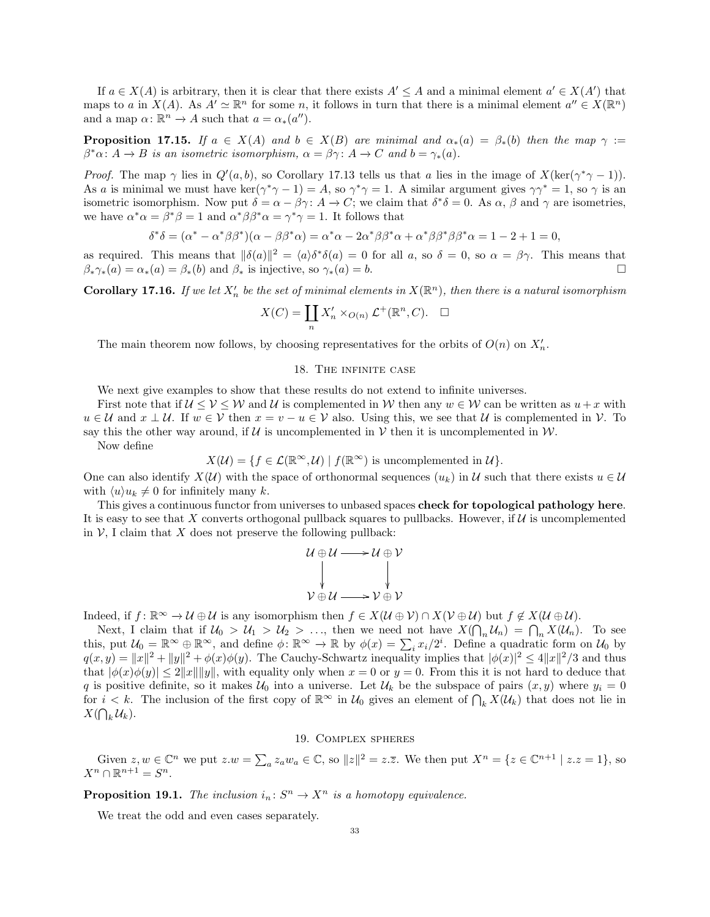If  $a \in X(A)$  is arbitrary, then it is clear that there exists  $A' \leq A$  and a minimal element  $a' \in X(A')$  that maps to a in  $X(A)$ . As  $A' \simeq \mathbb{R}^n$  for some n, it follows in turn that there is a minimal element  $a'' \in X(\mathbb{R}^n)$ and a map  $\alpha: \mathbb{R}^n \to A$  such that  $a = \alpha_*(a'')$ .

**Proposition 17.15.** If  $a \in X(A)$  and  $b \in X(B)$  are minimal and  $\alpha_*(a) = \beta_*(b)$  then the map  $\gamma :=$  $\beta^*\alpha\colon A\to B$  is an isometric isomorphism,  $\alpha=\beta\gamma\colon A\to C$  and  $b=\gamma_*(a)$ .

*Proof.* The map  $\gamma$  lies in  $Q'(a, b)$ , so Corollary 17.13 tells us that a lies in the image of  $X(\ker(\gamma^*\gamma - 1))$ . As a is minimal we must have ker $(\gamma^*\gamma - 1) = A$ , so  $\gamma^*\gamma = 1$ . A similar argument gives  $\gamma\gamma^* = 1$ , so  $\gamma$  is an isometric isomorphism. Now put  $\delta = \alpha - \beta \gamma$ :  $A \to C$ ; we claim that  $\delta^* \delta = 0$ . As  $\alpha$ ,  $\beta$  and  $\gamma$  are isometries, we have  $\alpha^* \alpha = \beta^* \beta = 1$  and  $\alpha^* \beta \beta^* \alpha = \gamma^* \gamma = 1$ . It follows that

$$
\delta^*\delta=(\alpha^*-\alpha^*\beta\beta^*)(\alpha-\beta\beta^*\alpha)=\alpha^*\alpha-2\alpha^*\beta\beta^*\alpha+\alpha^*\beta\beta^*\beta\beta^*\alpha=1-2+1=0,
$$

as required. This means that  $\|\delta(a)\|^2 = \langle a\rangle \delta^* \delta(a) = 0$  for all a, so  $\delta = 0$ , so  $\alpha = \beta \gamma$ . This means that  $\beta_* \gamma_*(a) = \alpha_*(a) = \beta_*(b)$  and  $\beta_*$  is injective, so  $\gamma_*(a) = b$ .

**Corollary 17.16.** If we let  $X'_n$  be the set of minimal elements in  $X(\mathbb{R}^n)$ , then there is a natural isomorphism

$$
X(C) = \coprod_{n} X'_{n} \times_{O(n)} \mathcal{L}^{+}(\mathbb{R}^{n}, C). \quad \Box
$$

The main theorem now follows, by choosing representatives for the orbits of  $O(n)$  on  $X'_n$ .

## 18. The infinite case

We next give examples to show that these results do not extend to infinite universes.

First note that if  $U \leq V \leq W$  and U is complemented in W then any  $w \in W$  can be written as  $u + x$  with  $u \in \mathcal{U}$  and  $x \perp \mathcal{U}$ . If  $w \in \mathcal{V}$  then  $x = v - u \in \mathcal{V}$  also. Using this, we see that  $\mathcal{U}$  is complemented in  $\mathcal{V}$ . To say this the other way around, if  $U$  is uncomplemented in  $V$  then it is uncomplemented in  $W$ .

Now define

$$
X(\mathcal{U}) = \{ f \in \mathcal{L}(\mathbb{R}^{\infty}, \mathcal{U}) \mid f(\mathbb{R}^{\infty}) \text{ is uncomplemented in } \mathcal{U} \}.
$$

One can also identify  $X(\mathcal{U})$  with the space of orthonormal sequences  $(u_k)$  in U such that there exists  $u \in \mathcal{U}$ with  $\langle u \rangle u_k \neq 0$  for infinitely many k.

This gives a continuous functor from universes to unbased spaces check for topological pathology here. It is easy to see that X converts orthogonal pullback squares to pullbacks. However, if  $\mathcal U$  is uncomplemented in  $V$ , I claim that X does not preserve the following pullback:

$$
u \oplus u \longrightarrow u \oplus v
$$
  
 
$$
\downarrow \qquad \qquad \downarrow
$$
  
 
$$
v \oplus u \longrightarrow v \oplus v
$$

Indeed, if  $f: \mathbb{R}^{\infty} \to \mathcal{U} \oplus \mathcal{U}$  is any isomorphism then  $f \in X(\mathcal{U} \oplus \mathcal{V}) \cap X(\mathcal{V} \oplus \mathcal{U})$  but  $f \notin X(\mathcal{U} \oplus \mathcal{U})$ .

Next, I claim that if  $U_0 > U_1 > U_2 > \ldots$ , then we need not have  $X(\bigcap_n U_n) = \bigcap_n X(U_n)$ . To see this, put  $\mathcal{U}_0 = \mathbb{R}^\infty \oplus \mathbb{R}^\infty$ , and define  $\phi \colon \mathbb{R}^\infty \to \mathbb{R}$  by  $\phi(x) = \sum_i x_i/2^i$ . Define a quadratic form on  $\mathcal{U}_0$  by  $q(x,y) = ||x||^2 + ||y||^2 + \phi(x)\phi(y)$ . The Cauchy-Schwartz inequality implies that  $|\phi(x)|^2 \leq 4||x||^2/3$  and thus that  $|\phi(x)\phi(y)| \leq 2||x|| ||y||$ , with equality only when  $x = 0$  or  $y = 0$ . From this it is not hard to deduce that q is positive definite, so it makes  $U_0$  into a universe. Let  $U_k$  be the subspace of pairs  $(x, y)$  where  $y_i = 0$ for  $i < k$ . The inclusion of the first copy of  $\mathbb{R}^{\infty}$  in  $\mathcal{U}_0$  gives an element of  $\bigcap_k X(\mathcal{U}_k)$  that does not lie in  $X(\bigcap_k \mathcal{U}_k).$ 

## 19. Complex spheres

Given  $z, w \in \mathbb{C}^n$  we put  $z.w = \sum_a z_a w_a \in \mathbb{C}$ , so  $||z||^2 = z.\overline{z}$ . We then put  $X^n = \{z \in \mathbb{C}^{n+1} \mid z.z = 1\}$ , so  $X^n \cap \mathbb{R}^{n+1} = S^n$ .

**Proposition 19.1.** The inclusion  $i_n: S^n \to X^n$  is a homotopy equivalence.

We treat the odd and even cases separately.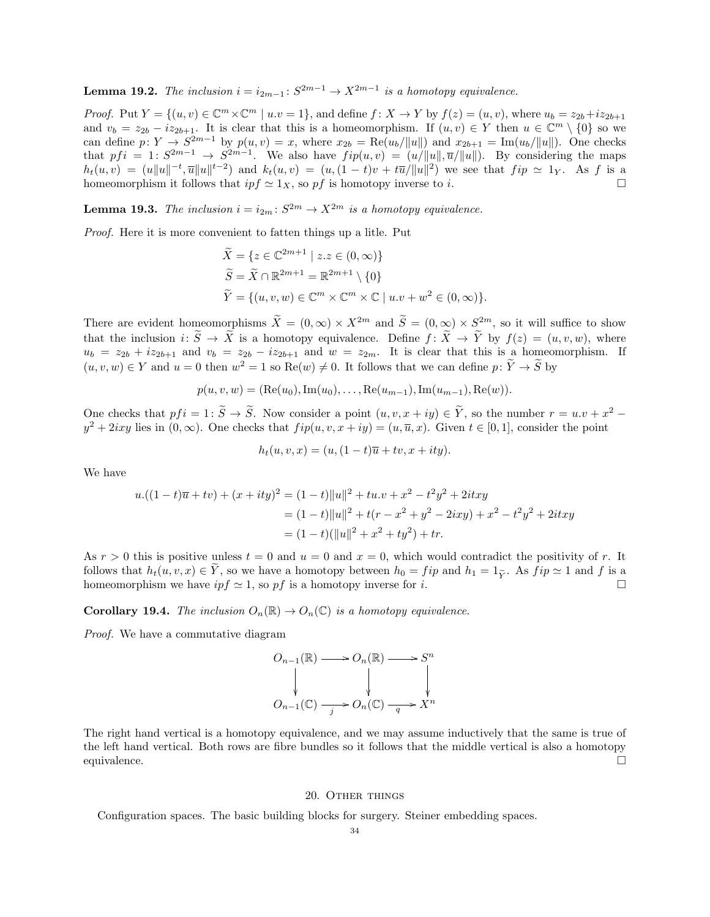**Lemma 19.2.** The inclusion  $i = i_{2m-1}: S^{2m-1} \to X^{2m-1}$  is a homotopy equivalence.

*Proof.* Put  $Y = \{(u, v) \in \mathbb{C}^m \times \mathbb{C}^m \mid u.v = 1\}$ , and define  $f: X \to Y$  by  $f(z) = (u, v)$ , where  $u_b = z_{2b} + iz_{2b+1}$ and  $v_b = z_{2b} - iz_{2b+1}$ . It is clear that this is a homeomorphism. If  $(u, v) \in Y$  then  $u \in \mathbb{C}^m \setminus \{0\}$  so we can define  $p: Y \to S^{2m-1}$  by  $p(u, v) = x$ , where  $x_{2b} = \text{Re}(u_b/||u||)$  and  $x_{2b+1} = \text{Im}(u_b/||u||)$ . One checks that  $pfi = 1: S^{2m-1} \rightarrow S^{2m-1}$ . We also have  $fip(u, v) = (u/||u||, \overline{u}/||u||)$ . By considering the maps  $h_t(u,v) = (u||u||^{-t}, \overline{u}||u||^{t-2})$  and  $k_t(u,v) = (u,(1-t)v + t\overline{u}/||u||^2)$  we see that  $f$ *ip*  $\simeq 1_Y$ . As f is a homeomorphism it follows that  $ipf \simeq 1_X$ , so pf is homotopy inverse to i.

**Lemma 19.3.** The inclusion  $i = i_{2m} : S^{2m} \to X^{2m}$  is a homotopy equivalence.

Proof. Here it is more convenient to fatten things up a litle. Put

$$
\widetilde{X} = \{ z \in \mathbb{C}^{2m+1} \mid z.z \in (0, \infty) \}
$$
  
\n
$$
\widetilde{S} = \widetilde{X} \cap \mathbb{R}^{2m+1} = \mathbb{R}^{2m+1} \setminus \{0 \}
$$
  
\n
$$
\widetilde{Y} = \{ (u, v, w) \in \mathbb{C}^m \times \mathbb{C}^m \times \mathbb{C} \mid u.v + w^2 \in (0, \infty) \}.
$$

There are evident homeomorphisms  $\widetilde{X} = (0, \infty) \times X^{2m}$  and  $\widetilde{S} = (0, \infty) \times S^{2m}$ , so it will suffice to show that the inclusion  $i: \tilde{S} \to \tilde{X}$  is a homotopy equivalence. Define  $f: \tilde{X} \to \tilde{Y}$  by  $f(z) = (u, v, w)$ , where  $u_b = z_{2b} + iz_{2b+1}$  and  $v_b = z_{2b} - iz_{2b+1}$  and  $w = z_{2m}$ . It is clear that this is a homeomorphism. If  $(u, v, w) \in Y$  and  $u = 0$  then  $w^2 = 1$  so  $\text{Re}(w) \neq 0$ . It follows that we can define  $p: \tilde{Y} \to \tilde{S}$  by

$$
p(u, v, w) = (Re(u_0), Im(u_0), \dots, Re(u_{m-1}), Im(u_{m-1}), Re(w)).
$$

One checks that  $pf i = 1: \tilde{S} \to \tilde{S}$ . Now consider a point  $(u, v, x + iy) \in \tilde{Y}$ , so the number  $r = u \cdot v + x^2$  $y^2 + 2ixy$  lies in  $(0, \infty)$ . One checks that  $fip(u, v, x + iy) = (u, \overline{u}, x)$ . Given  $t \in [0, 1]$ , consider the point

$$
h_t(u, v, x) = (u, (1-t)\overline{u} + tv, x + ity).
$$

We have

$$
u.((1-t)\overline{u}+tv) + (x+ity)^2 = (1-t)\|u\|^2 + tu.v + x^2 - t^2y^2 + 2itxy
$$
  
=  $(1-t)\|u\|^2 + t(r - x^2 + y^2 - 2ixy) + x^2 - t^2y^2 + 2itxy$   
=  $(1-t)(\|u\|^2 + x^2 + ty^2) + tr.$ 

As  $r > 0$  this is positive unless  $t = 0$  and  $u = 0$  and  $x = 0$ , which would contradict the positivity of r. It follows that  $h_t(u, v, x) \in \tilde{Y}$ , so we have a homotopy between  $h_0 = f i p$  and  $h_1 = 1_{\tilde{Y}}$ . As  $f i p \simeq 1$  and f is a homomorphism we have  $i p f \simeq 1$ , so  $p f$  is a homotopy inverse for  $i$ . homeomorphism we have  $ipf \approx 1$ , so pf is a homotopy inverse for i.

**Corollary 19.4.** The inclusion  $O_n(\mathbb{R}) \to O_n(\mathbb{C})$  is a homotopy equivalence.

Proof. We have a commutative diagram

$$
O_{n-1}(\mathbb{R}) \longrightarrow O_n(\mathbb{R}) \longrightarrow S^n
$$
  
\n
$$
\downarrow \qquad \qquad \downarrow \qquad \qquad \downarrow
$$
  
\n
$$
O_{n-1}(\mathbb{C}) \longrightarrow O_n(\mathbb{C}) \longrightarrow X^n
$$

The right hand vertical is a homotopy equivalence, and we may assume inductively that the same is true of the left hand vertical. Both rows are fibre bundles so it follows that the middle vertical is also a homotopy equivalence.

## 20. Other things

Configuration spaces. The basic building blocks for surgery. Steiner embedding spaces.